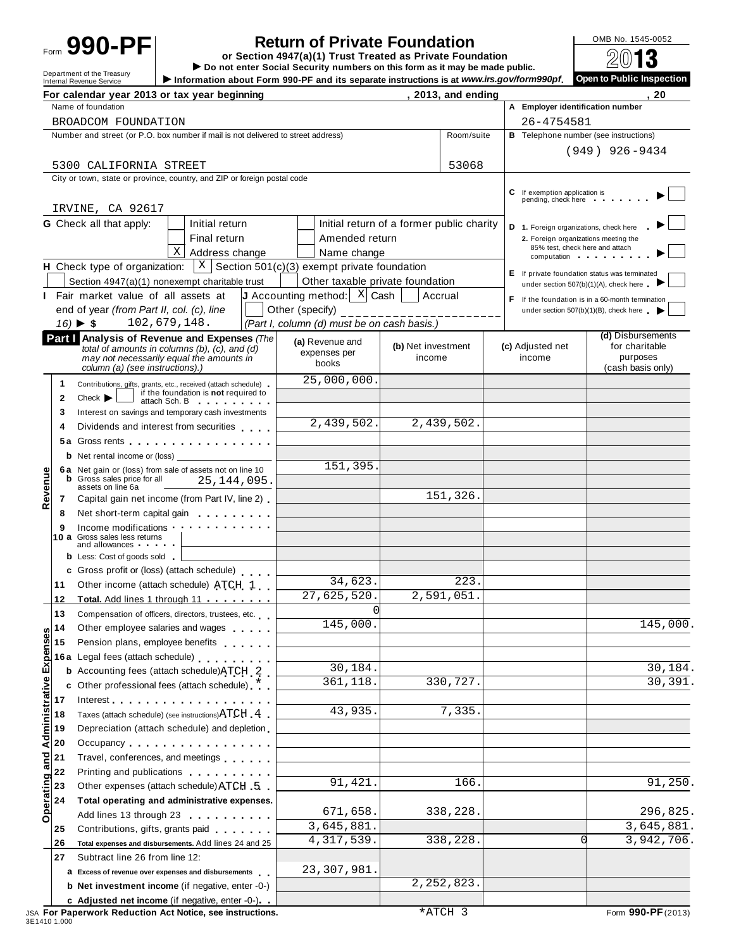# **990-PF** or **Secturn of Private Foundation**<br>
Form **990-PF** or Section 4947(a)(1) Trust Treated as Private Foundation and a manuformal

Form  $\overline{U}$   $\overline{U}$   $\overline{U}$   $\overline{U}$   $\overline{U}$   $\overline{U}$   $\overline{U}$   $\overline{U}$   $\overline{U}$   $\overline{U}$   $\overline{U}$   $\overline{U}$   $\overline{U}$   $\overline{U}$   $\overline{U}$   $\overline{U}$   $\overline{U}$   $\overline{U}$   $\overline{U}$   $\overline{U}$   $\overline{U}$   $\overline{U}$   $\overline{U}$   $\overline{U}$ 

|                         | For calendar year 2013 or tax year beginning                                                                                                                                                                                                                    |                                                                                                                                                                                                                                |                                                                                            |                    | , 2013, and ending |                  |                                                      | 20                                                                                      |
|-------------------------|-----------------------------------------------------------------------------------------------------------------------------------------------------------------------------------------------------------------------------------------------------------------|--------------------------------------------------------------------------------------------------------------------------------------------------------------------------------------------------------------------------------|--------------------------------------------------------------------------------------------|--------------------|--------------------|------------------|------------------------------------------------------|-----------------------------------------------------------------------------------------|
|                         | Name of foundation                                                                                                                                                                                                                                              |                                                                                                                                                                                                                                |                                                                                            |                    |                    |                  |                                                      | A Employer identification number                                                        |
|                         | BROADCOM FOUNDATION                                                                                                                                                                                                                                             |                                                                                                                                                                                                                                |                                                                                            |                    |                    |                  | 26-4754581                                           |                                                                                         |
|                         | Number and street (or P.O. box number if mail is not delivered to street address)                                                                                                                                                                               |                                                                                                                                                                                                                                |                                                                                            |                    | Room/suite         |                  |                                                      | <b>B</b> Telephone number (see instructions)                                            |
|                         |                                                                                                                                                                                                                                                                 |                                                                                                                                                                                                                                |                                                                                            |                    |                    |                  |                                                      | $(949)$ 926-9434                                                                        |
|                         | 5300 CALIFORNIA STREET                                                                                                                                                                                                                                          |                                                                                                                                                                                                                                |                                                                                            |                    | 53068              |                  |                                                      |                                                                                         |
|                         | City or town, state or province, country, and ZIP or foreign postal code                                                                                                                                                                                        |                                                                                                                                                                                                                                |                                                                                            |                    |                    |                  |                                                      |                                                                                         |
|                         |                                                                                                                                                                                                                                                                 |                                                                                                                                                                                                                                |                                                                                            |                    |                    |                  | C If exemption application is<br>pending, check here |                                                                                         |
|                         | IRVINE, CA 92617                                                                                                                                                                                                                                                |                                                                                                                                                                                                                                |                                                                                            |                    |                    |                  |                                                      |                                                                                         |
|                         | <b>G</b> Check all that apply:                                                                                                                                                                                                                                  | Initial return                                                                                                                                                                                                                 | Initial return of a former public charity                                                  |                    |                    |                  |                                                      | D 1. Foreign organizations, check here                                                  |
|                         |                                                                                                                                                                                                                                                                 | Final return                                                                                                                                                                                                                   | Amended return                                                                             |                    |                    |                  |                                                      | 2. Foreign organizations meeting the                                                    |
|                         |                                                                                                                                                                                                                                                                 | $\mathbf{X}$<br>Address change                                                                                                                                                                                                 | Name change                                                                                |                    |                    |                  |                                                      | 85% test, check here and attach<br>computation                                          |
|                         |                                                                                                                                                                                                                                                                 |                                                                                                                                                                                                                                | <b>H</b> Check type of organization: $X \mid S$ ection 501(c)(3) exempt private foundation |                    |                    |                  |                                                      |                                                                                         |
|                         | Section 4947(a)(1) nonexempt charitable trust                                                                                                                                                                                                                   |                                                                                                                                                                                                                                | Other taxable private foundation                                                           |                    |                    |                  |                                                      | E If private foundation status was terminated<br>under section 507(b)(1)(A), check here |
|                         | Fair market value of all assets at                                                                                                                                                                                                                              |                                                                                                                                                                                                                                | J Accounting method: $X$ Cash                                                              | Accrual            |                    |                  |                                                      | F If the foundation is in a 60-month termination                                        |
|                         | end of year (from Part II, col. (c), line                                                                                                                                                                                                                       |                                                                                                                                                                                                                                | Other (specify)                                                                            | --------           |                    |                  |                                                      | under section $507(b)(1)(B)$ , check here                                               |
|                         | $16) \triangleright $ \$                                                                                                                                                                                                                                        | 102,679,148.                                                                                                                                                                                                                   | (Part I, column (d) must be on cash basis.)                                                |                    |                    |                  |                                                      |                                                                                         |
|                         | Part   Analysis of Revenue and Expenses (The                                                                                                                                                                                                                    |                                                                                                                                                                                                                                | (a) Revenue and                                                                            |                    |                    |                  |                                                      | (d) Disbursements                                                                       |
|                         | total of amounts in columns $(b)$ , $(c)$ , and $(d)$                                                                                                                                                                                                           |                                                                                                                                                                                                                                | expenses per                                                                               | (b) Net investment |                    | (c) Adjusted net |                                                      | for charitable<br>purposes                                                              |
|                         | may not necessarily equal the amounts in<br>column (a) (see instructions).)                                                                                                                                                                                     |                                                                                                                                                                                                                                | books                                                                                      | income             |                    | income           |                                                      | (cash basis only)                                                                       |
| 1.                      | Contributions, gifts, grants, etc., received (attach schedule)                                                                                                                                                                                                  |                                                                                                                                                                                                                                | 25,000,000.                                                                                |                    |                    |                  |                                                      |                                                                                         |
| $\mathbf{2}$            | $Check$ $\blacktriangleright$                                                                                                                                                                                                                                   | if the foundation is not required to                                                                                                                                                                                           |                                                                                            |                    |                    |                  |                                                      |                                                                                         |
| 3                       | Interest on savings and temporary cash investments                                                                                                                                                                                                              | attach Sch. B and the state of the state of the state of the state of the state of the state of the state of the state of the state of the state of the state of the state of the state of the state of the state of the state |                                                                                            |                    |                    |                  |                                                      |                                                                                         |
| 4                       | Dividends and interest from securities                                                                                                                                                                                                                          |                                                                                                                                                                                                                                | 2,439,502.                                                                                 | 2,439,502.         |                    |                  |                                                      |                                                                                         |
|                         | 5a Gross rents experience and the set of the set of the set of the set of the set of the set of the set of the                                                                                                                                                  |                                                                                                                                                                                                                                |                                                                                            |                    |                    |                  |                                                      |                                                                                         |
|                         | <b>b</b> Net rental income or (loss) $\frac{1}{2}$                                                                                                                                                                                                              |                                                                                                                                                                                                                                |                                                                                            |                    |                    |                  |                                                      |                                                                                         |
|                         | 6a Net gain or (loss) from sale of assets not on line 10                                                                                                                                                                                                        |                                                                                                                                                                                                                                | 151,395.                                                                                   |                    |                    |                  |                                                      |                                                                                         |
| Revenue                 | <b>b</b> Gross sales price for all<br>assets on line 6a                                                                                                                                                                                                         | 25,144,095.                                                                                                                                                                                                                    |                                                                                            |                    |                    |                  |                                                      |                                                                                         |
| 7                       | Capital gain net income (from Part IV, line 2)                                                                                                                                                                                                                  |                                                                                                                                                                                                                                |                                                                                            |                    | 151,326.           |                  |                                                      |                                                                                         |
| 8                       | Net short-term capital gain entitled as a set of the short-                                                                                                                                                                                                     |                                                                                                                                                                                                                                |                                                                                            |                    |                    |                  |                                                      |                                                                                         |
|                         | Income modifications with a state of the state of the state of the state of the state of the state of the state of the state of the state of the state of the state of the state of the state of the state of the state of the                                  |                                                                                                                                                                                                                                |                                                                                            |                    |                    |                  |                                                      |                                                                                         |
|                         | 10 a Gross sales less returns<br>and allowances and the state of the state of the state of the state of the state of the state of the state of the state of the state of the state of the state of the state of the state of the state of the state of the stat |                                                                                                                                                                                                                                |                                                                                            |                    |                    |                  |                                                      |                                                                                         |
|                         | <b>b</b> Less: Cost of goods sold                                                                                                                                                                                                                               |                                                                                                                                                                                                                                |                                                                                            |                    |                    |                  |                                                      |                                                                                         |
|                         | c Gross profit or (loss) (attach schedule)                                                                                                                                                                                                                      |                                                                                                                                                                                                                                |                                                                                            |                    |                    |                  |                                                      |                                                                                         |
| 11                      | Other income (attach schedule) ATCH 1                                                                                                                                                                                                                           |                                                                                                                                                                                                                                | 34,623.                                                                                    |                    | 223.               |                  |                                                      |                                                                                         |
| 12                      | Total. Add lines 1 through 11                                                                                                                                                                                                                                   |                                                                                                                                                                                                                                | 27,625,520.                                                                                | 2,591,051.         |                    |                  |                                                      |                                                                                         |
| 13                      | Compensation of officers, directors, trustees, etc.                                                                                                                                                                                                             |                                                                                                                                                                                                                                | $\overline{0}$                                                                             |                    |                    |                  |                                                      |                                                                                         |
| 14                      | Other employee salaries and wages                                                                                                                                                                                                                               |                                                                                                                                                                                                                                | 145,000.                                                                                   |                    |                    |                  |                                                      | 145,000.                                                                                |
| 15                      | Pension plans, employee benefits                                                                                                                                                                                                                                |                                                                                                                                                                                                                                |                                                                                            |                    |                    |                  |                                                      |                                                                                         |
|                         | 16a Legal fees (attach schedule)<br>16a Legal fees (attach schedule)                                                                                                                                                                                            |                                                                                                                                                                                                                                |                                                                                            |                    |                    |                  |                                                      |                                                                                         |
|                         | <b>b</b> Accounting fees (attach schedule) ATCH 2                                                                                                                                                                                                               |                                                                                                                                                                                                                                | 30,184.                                                                                    |                    |                    |                  |                                                      | 30,184.                                                                                 |
| Administrative Expenses | c Other professional fees (attach schedule) *                                                                                                                                                                                                                   |                                                                                                                                                                                                                                | 361,118.                                                                                   |                    | 330,727.           |                  |                                                      | 30,391.                                                                                 |
| 17                      |                                                                                                                                                                                                                                                                 |                                                                                                                                                                                                                                |                                                                                            |                    |                    |                  |                                                      |                                                                                         |
| 18                      | Taxes (attach schedule) (see instructions) ATCH 4                                                                                                                                                                                                               |                                                                                                                                                                                                                                | 43,935.                                                                                    |                    | 7,335.             |                  |                                                      |                                                                                         |
| 19                      | Depreciation (attach schedule) and depletion.                                                                                                                                                                                                                   |                                                                                                                                                                                                                                |                                                                                            |                    |                    |                  |                                                      |                                                                                         |
| 20                      | Occupancy                                                                                                                                                                                                                                                       |                                                                                                                                                                                                                                |                                                                                            |                    |                    |                  |                                                      |                                                                                         |
| 21                      | Travel, conferences, and meetings                                                                                                                                                                                                                               |                                                                                                                                                                                                                                |                                                                                            |                    |                    |                  |                                                      |                                                                                         |
| 22                      | Printing and publications <b>Community</b> Printing and publications                                                                                                                                                                                            |                                                                                                                                                                                                                                |                                                                                            |                    |                    |                  |                                                      |                                                                                         |
| 23                      | Other expenses (attach schedule) ATCH 5                                                                                                                                                                                                                         |                                                                                                                                                                                                                                | 91, 421.                                                                                   |                    | 166.               |                  |                                                      | 91,250.                                                                                 |
| 24                      | Total operating and administrative expenses.                                                                                                                                                                                                                    |                                                                                                                                                                                                                                |                                                                                            |                    |                    |                  |                                                      |                                                                                         |
| <b>Operating</b>        | Add lines 13 through 23                                                                                                                                                                                                                                         |                                                                                                                                                                                                                                | 671,658.                                                                                   |                    | 338,228.           |                  |                                                      | 296,825.                                                                                |
| 25                      | Contributions, gifts, grants paid                                                                                                                                                                                                                               |                                                                                                                                                                                                                                | 3,645,881.                                                                                 |                    |                    |                  |                                                      | 3,645,881.                                                                              |
| 26                      | Total expenses and disbursements. Add lines 24 and 25                                                                                                                                                                                                           |                                                                                                                                                                                                                                | 4, 317, 539.                                                                               |                    | 338,228.           |                  |                                                      | 3,942,706.<br>∩                                                                         |
| 27                      | Subtract line 26 from line 12:                                                                                                                                                                                                                                  |                                                                                                                                                                                                                                |                                                                                            |                    |                    |                  |                                                      |                                                                                         |
|                         | a Excess of revenue over expenses and disbursements                                                                                                                                                                                                             |                                                                                                                                                                                                                                | 23,307,981.                                                                                |                    |                    |                  |                                                      |                                                                                         |
|                         | b Net investment income (if negative, enter -0-)                                                                                                                                                                                                                |                                                                                                                                                                                                                                |                                                                                            |                    | 2, 252, 823.       |                  |                                                      |                                                                                         |
|                         | c Adjusted net income (if negative, enter -0-).                                                                                                                                                                                                                 |                                                                                                                                                                                                                                |                                                                                            |                    |                    |                  |                                                      |                                                                                         |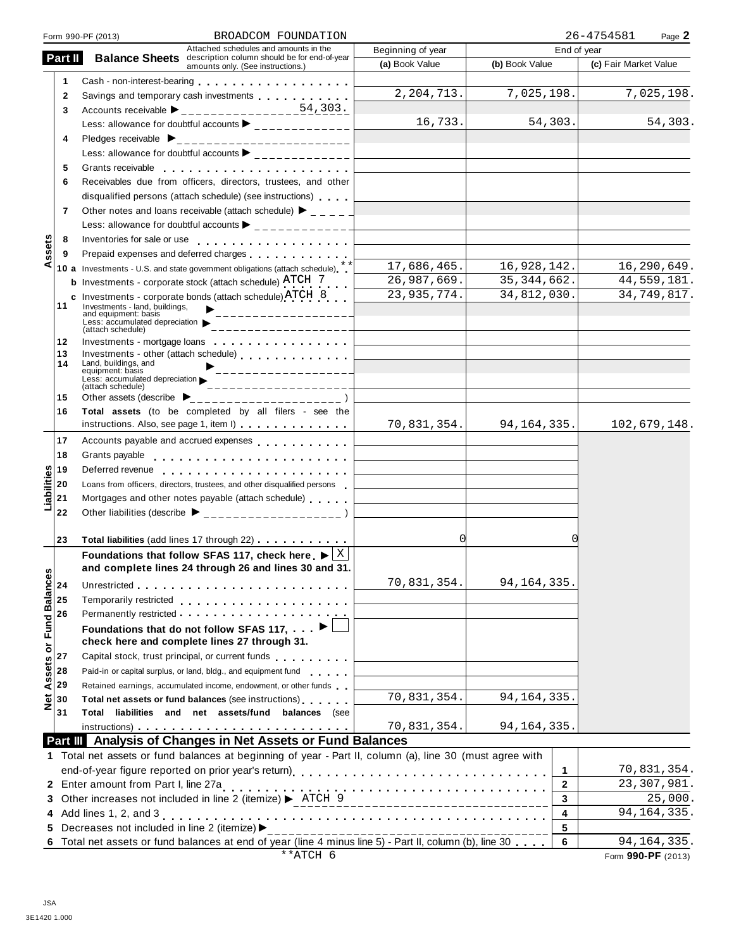|                  |              | BROADCOM FOUNDATION<br>Form 990-PF (2013)                                                                                                                                                                                     |                                                                            |                | 26-4754581<br>Page 2  |
|------------------|--------------|-------------------------------------------------------------------------------------------------------------------------------------------------------------------------------------------------------------------------------|----------------------------------------------------------------------------|----------------|-----------------------|
|                  |              | Attached schedules and amounts in the                                                                                                                                                                                         | Beginning of year                                                          | End of year    |                       |
|                  | Part II      | <b>Balance Sheets</b> description column should be for end-of-year<br>amounts only. (See instructions.)                                                                                                                       | (a) Book Value                                                             | (b) Book Value | (c) Fair Market Value |
|                  | 1            |                                                                                                                                                                                                                               |                                                                            |                |                       |
|                  | $\mathbf{2}$ | Savings and temporary cash investments                                                                                                                                                                                        | 2, 204, 713.                                                               | 7,025,198.     | 7,025,198.            |
|                  | 3            | Accounts receivable $\blacktriangleright$ ________________54,303.                                                                                                                                                             |                                                                            |                |                       |
|                  |              | Less: allowance for doubtful accounts $\blacktriangleright$ _____________                                                                                                                                                     | 16,733.                                                                    | 54,303.        | 54,303.               |
|                  | 4            |                                                                                                                                                                                                                               |                                                                            |                |                       |
|                  |              | Less: allowance for doubtful accounts $\blacktriangleright$ ______________                                                                                                                                                    | <u> 1989 - Johann Stoff, fransk politik (d. 1989)</u>                      |                |                       |
|                  | 5            | Grants receivable entering the state of the state of the state of the state of the state of the state of the state of the state of the state of the state of the state of the state of the state of the state of the state of |                                                                            |                |                       |
|                  | 6            | Receivables due from officers, directors, trustees, and other                                                                                                                                                                 |                                                                            |                |                       |
|                  |              | disqualified persons (attach schedule) (see instructions)                                                                                                                                                                     |                                                                            |                |                       |
|                  | 7            | Other notes and loans receivable (attach schedule) $\blacktriangleright$ _ _ _ _ _                                                                                                                                            |                                                                            |                |                       |
|                  |              |                                                                                                                                                                                                                               |                                                                            |                |                       |
|                  |              |                                                                                                                                                                                                                               |                                                                            |                |                       |
| ssets            | 8            |                                                                                                                                                                                                                               | the control of the control of the control of the control of the control of |                |                       |
| ⋖                | 9            | Prepaid expenses and deferred charges experiences                                                                                                                                                                             | 17,686,465.                                                                | 16,928,142.    | 16,290,649.           |
|                  |              | 10 a Investments - U.S. and state government obligations (attach schedule) **                                                                                                                                                 |                                                                            |                |                       |
|                  |              | <b>b</b> Investments - corporate stock (attach schedule) $\text{ATCH}$ 7                                                                                                                                                      | 26,987,669.                                                                | 35, 344, 662.  | 44,559,181.           |
|                  | 11           | c Investments - corporate bonds (attach schedule) ATCH 8<br>Investments - land, buildings,                                                                                                                                    | 23, 935, 774.                                                              | 34,812,030.    | 34,749,817.           |
|                  |              | ___________________<br>and equipment: basis                                                                                                                                                                                   |                                                                            |                |                       |
|                  |              | Less: accumulated depreciation<br>(attach schedule)                                                                                                                                                                           |                                                                            |                |                       |
|                  | 12           | Investments - mortgage loans                                                                                                                                                                                                  | the control of the control of the control of the control of the control of |                |                       |
|                  | 13           | Investments - other (attach schedule)                                                                                                                                                                                         |                                                                            |                |                       |
|                  | 14           | Land, buildings, and<br>_________________<br>equipment: basis                                                                                                                                                                 |                                                                            |                |                       |
|                  |              | Less: accumulated depreciation<br>___________________<br>(attach schedule)                                                                                                                                                    |                                                                            |                |                       |
|                  | 15           |                                                                                                                                                                                                                               |                                                                            |                |                       |
|                  | 16           | Total assets (to be completed by all filers - see the                                                                                                                                                                         |                                                                            |                |                       |
|                  |              | instructions. Also, see page 1, item I)                                                                                                                                                                                       | 70,831,354.                                                                | 94, 164, 335.  | 102,679,148.          |
|                  | 17           | Accounts payable and accrued expenses                                                                                                                                                                                         |                                                                            |                |                       |
|                  | 18           | Grants payable                                                                                                                                                                                                                | the control of the control of the control of the control of the control of |                |                       |
|                  | 19           |                                                                                                                                                                                                                               |                                                                            |                |                       |
|                  | 20           | Loans from officers, directors, trustees, and other disqualified persons                                                                                                                                                      |                                                                            |                |                       |
| Liabilities      | 21           | Mortgages and other notes payable (attach schedule)                                                                                                                                                                           |                                                                            |                |                       |
|                  | 22           | Other liabilities (describe ▶ ___________________)                                                                                                                                                                            |                                                                            |                |                       |
|                  |              |                                                                                                                                                                                                                               |                                                                            |                |                       |
|                  | 23           | Total liabilities (add lines 17 through 22)                                                                                                                                                                                   | 0                                                                          |                |                       |
|                  |              | Foundations that follow SFAS 117, check here $\blacktriangleright$ $\lfloor \frac{X}{X} \rfloor$                                                                                                                              |                                                                            |                |                       |
|                  |              | and complete lines 24 through 26 and lines 30 and 31.                                                                                                                                                                         |                                                                            |                |                       |
|                  | 24           |                                                                                                                                                                                                                               | 70,831,354.                                                                | 94, 164, 335.  |                       |
|                  | 25           | Temporarily restricted entertainment of the state of the state of the state of the state of the state of the state of the state of the state of the state of the state of the state of the state of the state of the state of |                                                                            |                |                       |
|                  |              |                                                                                                                                                                                                                               |                                                                            |                |                       |
|                  | 26           |                                                                                                                                                                                                                               |                                                                            |                |                       |
| or Fund Balances |              | Foundations that do not follow SFAS 117, $\blacksquare$                                                                                                                                                                       |                                                                            |                |                       |
|                  |              | check here and complete lines 27 through 31.                                                                                                                                                                                  |                                                                            |                |                       |
|                  | 27           | Capital stock, trust principal, or current funds                                                                                                                                                                              |                                                                            |                |                       |
| Assets           | 28           | Paid-in or capital surplus, or land, bldg., and equipment fund                                                                                                                                                                |                                                                            |                |                       |
|                  | 29           | Retained earnings, accumulated income, endowment, or other funds                                                                                                                                                              |                                                                            |                |                       |
| $\frac{1}{2}$    | 30           | Total net assets or fund balances (see instructions)                                                                                                                                                                          | 70,831,354.                                                                | 94, 164, 335.  |                       |
|                  | 31           | Total liabilities and net assets/fund balances (see                                                                                                                                                                           |                                                                            |                |                       |
|                  |              |                                                                                                                                                                                                                               | 70,831,354.                                                                | 94, 164, 335.  |                       |
|                  |              | Part III Analysis of Changes in Net Assets or Fund Balances                                                                                                                                                                   |                                                                            |                |                       |
|                  |              | 1 Total net assets or fund balances at beginning of year - Part II, column (a), line 30 (must agree with                                                                                                                      |                                                                            |                |                       |
|                  |              |                                                                                                                                                                                                                               |                                                                            | 1              | 70,831,354.           |
|                  |              | <b>4</b> Liner amount nom Part I, line 2/a<br>3 Other increases not included in line 2 (itemize) $\triangleright$ ATCH 9                                                                                                      |                                                                            | $\mathbf{2}$   | 23, 307, 981.         |
|                  |              |                                                                                                                                                                                                                               |                                                                            | 3              | 25,000.               |
|                  |              | 4 Add lines 1, 2, and 3                                                                                                                                                                                                       |                                                                            | 4              | 94, 164, 335.         |
|                  |              | 5 Decreases not included in line 2 (itemize) >                                                                                                                                                                                |                                                                            | 5              |                       |
|                  |              | Total net assets or fund balances at end of year (line 4 minus line 5) - Part II, column (b), line 30                                                                                                                         |                                                                            | 6              | 94, 164, 335.         |
|                  |              | **ATCH 6                                                                                                                                                                                                                      |                                                                            |                | Form 990-PF (2013)    |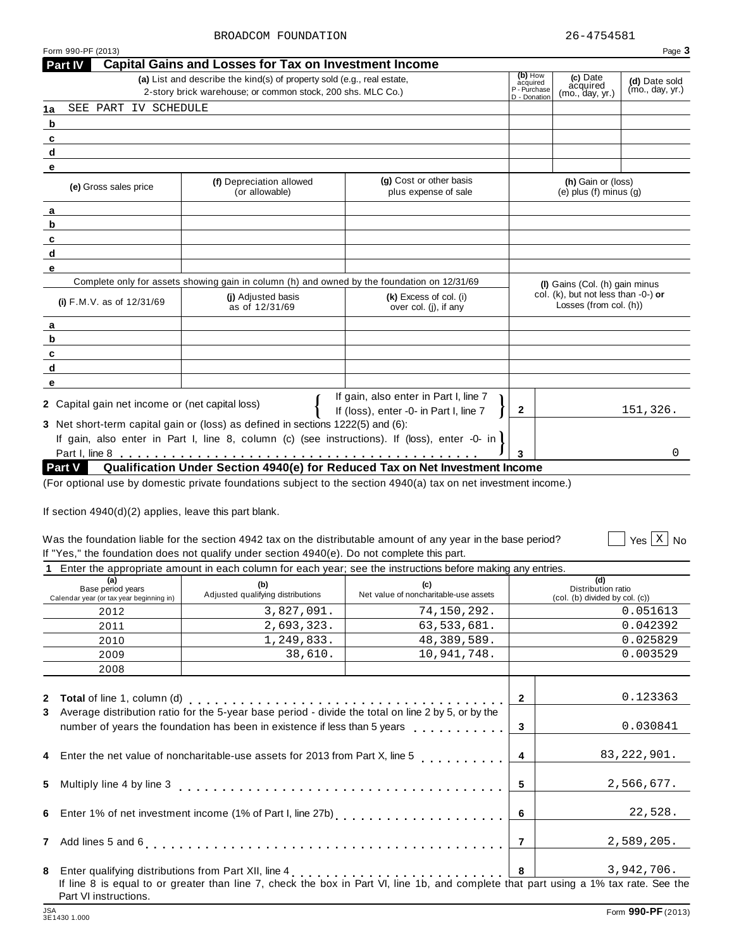**Part IV Capital Gains and Losses for Tax on Investment Income**

|                                                               | (a) List and describe the kind(s) of property sold (e.g., real estate,<br>2-story brick warehouse; or common stock, 200 shs. MLC Co.)                                                           |                                                                                                            |                |                                                               |                  |  |  |  |  |  |
|---------------------------------------------------------------|-------------------------------------------------------------------------------------------------------------------------------------------------------------------------------------------------|------------------------------------------------------------------------------------------------------------|----------------|---------------------------------------------------------------|------------------|--|--|--|--|--|
| SEE PART IV SCHEDULE<br>1a                                    |                                                                                                                                                                                                 |                                                                                                            | D - Donation   | (mo., day, yr.)                                               |                  |  |  |  |  |  |
| b                                                             |                                                                                                                                                                                                 |                                                                                                            |                |                                                               |                  |  |  |  |  |  |
| $\mathbf{c}$                                                  |                                                                                                                                                                                                 |                                                                                                            |                |                                                               |                  |  |  |  |  |  |
| d                                                             |                                                                                                                                                                                                 |                                                                                                            |                |                                                               |                  |  |  |  |  |  |
| е                                                             |                                                                                                                                                                                                 |                                                                                                            |                |                                                               |                  |  |  |  |  |  |
| (e) Gross sales price                                         | (f) Depreciation allowed<br>(or allowable)                                                                                                                                                      | (g) Cost or other basis<br>plus expense of sale                                                            |                | (h) Gain or (loss)<br>(e) plus $(f)$ minus $(g)$              |                  |  |  |  |  |  |
| а                                                             |                                                                                                                                                                                                 |                                                                                                            |                |                                                               |                  |  |  |  |  |  |
| b                                                             |                                                                                                                                                                                                 |                                                                                                            |                |                                                               |                  |  |  |  |  |  |
| $\mathbf{c}$                                                  |                                                                                                                                                                                                 |                                                                                                            |                |                                                               |                  |  |  |  |  |  |
| d                                                             |                                                                                                                                                                                                 |                                                                                                            |                |                                                               |                  |  |  |  |  |  |
| е                                                             |                                                                                                                                                                                                 |                                                                                                            |                |                                                               |                  |  |  |  |  |  |
|                                                               | Complete only for assets showing gain in column (h) and owned by the foundation on 12/31/69                                                                                                     |                                                                                                            |                | (I) Gains (Col. (h) gain minus                                |                  |  |  |  |  |  |
| (i) F.M.V. as of 12/31/69                                     | (i) Adjusted basis<br>as of 12/31/69                                                                                                                                                            | $(k)$ Excess of col. (i)<br>over col. (j), if any                                                          |                | col. (k), but not less than -0-) or<br>Losses (from col. (h)) |                  |  |  |  |  |  |
| a                                                             |                                                                                                                                                                                                 |                                                                                                            |                |                                                               |                  |  |  |  |  |  |
| b                                                             |                                                                                                                                                                                                 |                                                                                                            |                |                                                               |                  |  |  |  |  |  |
| c                                                             |                                                                                                                                                                                                 |                                                                                                            |                |                                                               |                  |  |  |  |  |  |
| d                                                             |                                                                                                                                                                                                 |                                                                                                            |                |                                                               |                  |  |  |  |  |  |
| е                                                             |                                                                                                                                                                                                 |                                                                                                            |                |                                                               |                  |  |  |  |  |  |
| 2 Capital gain net income or (net capital loss)               |                                                                                                                                                                                                 | If gain, also enter in Part I, line 7                                                                      |                |                                                               |                  |  |  |  |  |  |
|                                                               |                                                                                                                                                                                                 | If (loss), enter -0- in Part I, line 7                                                                     | $\mathbf{2}$   |                                                               | 151,326.         |  |  |  |  |  |
|                                                               | 3 Net short-term capital gain or (loss) as defined in sections 1222(5) and (6):                                                                                                                 |                                                                                                            |                |                                                               |                  |  |  |  |  |  |
|                                                               | If gain, also enter in Part I, line 8, column (c) (see instructions). If (loss), enter -0- in                                                                                                   |                                                                                                            |                |                                                               |                  |  |  |  |  |  |
|                                                               |                                                                                                                                                                                                 |                                                                                                            | 3              |                                                               | 0                |  |  |  |  |  |
| <b>Part V</b>                                                 | Qualification Under Section 4940(e) for Reduced Tax on Net Investment Income<br>(For optional use by domestic private foundations subject to the section 4940(a) tax on net investment income.) |                                                                                                            |                |                                                               |                  |  |  |  |  |  |
|                                                               | Was the foundation liable for the section 4942 tax on the distributable amount of any year in the base period?                                                                                  |                                                                                                            |                |                                                               |                  |  |  |  |  |  |
|                                                               |                                                                                                                                                                                                 | If "Yes," the foundation does not qualify under section 4940(e). Do not complete this part.                |                |                                                               |                  |  |  |  |  |  |
| (a)                                                           |                                                                                                                                                                                                 |                                                                                                            |                |                                                               | Yes $X \mid N_0$ |  |  |  |  |  |
| Base period years<br>Calendar year (or tax year beginning in) |                                                                                                                                                                                                 | Enter the appropriate amount in each column for each year; see the instructions before making any entries. |                |                                                               |                  |  |  |  |  |  |
| 2012 2013                                                     | (b)<br>Adjusted qualifying distributions                                                                                                                                                        | (c)<br>Net value of noncharitable-use assets                                                               |                | (d)<br>Distribution ratio                                     |                  |  |  |  |  |  |
|                                                               |                                                                                                                                                                                                 |                                                                                                            |                | (col. (b) divided by col. (c))                                | 0.051613         |  |  |  |  |  |
| 2011                                                          | 3,827,091.<br>2,693,323.                                                                                                                                                                        | 74,150,292.<br>63,533,681.                                                                                 |                |                                                               | 0.042392         |  |  |  |  |  |
| 2010                                                          | 1,249,833.                                                                                                                                                                                      | 48,389,589.                                                                                                |                |                                                               | 0.025829         |  |  |  |  |  |
| 2009                                                          | 38,610.                                                                                                                                                                                         | 10,941,748.                                                                                                |                |                                                               | 0.003529         |  |  |  |  |  |
| 2008                                                          |                                                                                                                                                                                                 |                                                                                                            |                |                                                               |                  |  |  |  |  |  |
|                                                               |                                                                                                                                                                                                 |                                                                                                            |                |                                                               |                  |  |  |  |  |  |
| <b>2</b> Total of line 1, column (d)                          |                                                                                                                                                                                                 |                                                                                                            | $\mathbf{2}$   |                                                               | 0.123363         |  |  |  |  |  |
| 3                                                             | Average distribution ratio for the 5-year base period - divide the total on line 2 by 5, or by the                                                                                              |                                                                                                            |                |                                                               |                  |  |  |  |  |  |
|                                                               | number of years the foundation has been in existence if less than 5 years                                                                                                                       |                                                                                                            | 3              |                                                               | 0.030841         |  |  |  |  |  |
|                                                               |                                                                                                                                                                                                 |                                                                                                            |                |                                                               |                  |  |  |  |  |  |
| 4                                                             | Enter the net value of noncharitable-use assets for 2013 from Part X, line 5                                                                                                                    |                                                                                                            | 4              |                                                               | 83, 222, 901.    |  |  |  |  |  |
|                                                               |                                                                                                                                                                                                 |                                                                                                            |                |                                                               |                  |  |  |  |  |  |
| Multiply line 4 by line 3<br>5.                               |                                                                                                                                                                                                 |                                                                                                            | 5              |                                                               | 2,566,677.       |  |  |  |  |  |
|                                                               |                                                                                                                                                                                                 |                                                                                                            |                |                                                               |                  |  |  |  |  |  |
| 6                                                             | Enter 1% of net investment income (1% of Part I, line 27b)<br>[1970]                                                                                                                            |                                                                                                            | 6              |                                                               | 22,528.          |  |  |  |  |  |
| Add lines 5 and 6<br>$\mathbf{7}$                             |                                                                                                                                                                                                 |                                                                                                            | $\overline{7}$ |                                                               | 2,589,205.       |  |  |  |  |  |
| 8                                                             | Enter qualifying distributions from Part XII, line 4<br>If line 8 is equal to or greater than line 7, check the box in Part VI, line 1b, and complete that part using a 1% tax rate. See the    |                                                                                                            |                |                                                               |                  |  |  |  |  |  |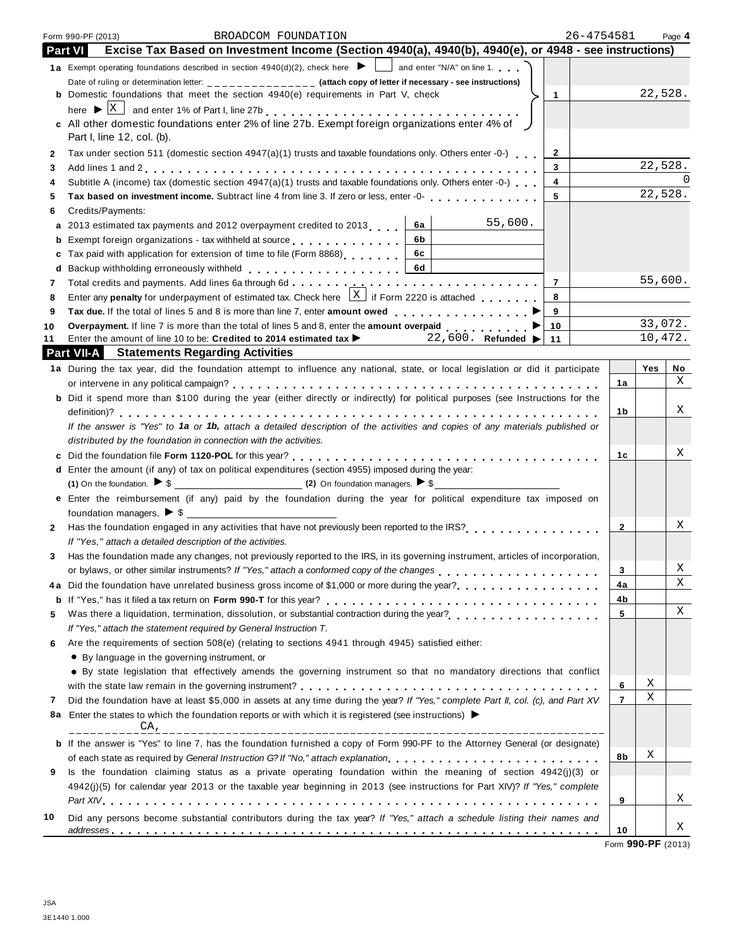|        | 26-4754581<br>BROADCOM FOUNDATION<br>Form 990-PF (2013)                                                                                                                                                                             |              |         | Page 4 |
|--------|-------------------------------------------------------------------------------------------------------------------------------------------------------------------------------------------------------------------------------------|--------------|---------|--------|
|        | Excise Tax Based on Investment Income (Section 4940(a), 4940(b), 4940(e), or 4948 - see instructions)<br><b>Part VI</b>                                                                                                             |              |         |        |
|        | 1a Exempt operating foundations described in section $4940(d)(2)$ , check here $\blacktriangleright$ and enter "N/A" on line 1.                                                                                                     |              |         |        |
|        | Date of ruling or determination letter: ______________ (attach copy of letter if necessary - see instructions)                                                                                                                      |              |         |        |
|        | <b>b</b> Domestic foundations that meet the section $4940(e)$ requirements in Part V, check<br>$\mathbf{1}$                                                                                                                         |              | 22,528. |        |
|        |                                                                                                                                                                                                                                     |              |         |        |
|        | c All other domestic foundations enter 2% of line 27b. Exempt foreign organizations enter 4% of $\bigcup$                                                                                                                           |              |         |        |
|        | Part I, line 12, col. (b).                                                                                                                                                                                                          |              |         |        |
| 2      | Tax under section 511 (domestic section 4947(a)(1) trusts and taxable foundations only. Others enter -0-)<br>2                                                                                                                      |              |         |        |
| 3      | 3                                                                                                                                                                                                                                   |              | 22,528. |        |
| 4      | Subtitle A (income) tax (domestic section 4947(a)(1) trusts and taxable foundations only. Others enter -0-)<br>4                                                                                                                    |              | 22,528. |        |
| 5      | 5                                                                                                                                                                                                                                   |              |         |        |
| 6      | Credits/Payments:<br>55,600.                                                                                                                                                                                                        |              |         |        |
| а      | 2013 estimated tax payments and 2012 overpayment credited to 2013<br>6а<br>6b<br>Exempt foreign organizations - tax withheld at source exercise and the set of the set of                                                           |              |         |        |
| b      | 6c<br>Tax paid with application for extension of time to file (Form 8868)                                                                                                                                                           |              |         |        |
| c<br>d | 6d<br>Backup withholding erroneously withheld entitled and an arrangement of the set of the set of the set of the set of the set of the set of the set of the set of the set of the set of the set of the set of the set of the set |              |         |        |
| 7      | Total credits and payments. Add lines 6a through 6d<br>$\overline{7}$                                                                                                                                                               |              | 55,600. |        |
| 8      | Enter any <b>penalty</b> for underpayment of estimated tax. Check here $\frac{X}{X}$ if Form 2220 is attached<br>8                                                                                                                  |              |         |        |
| 9      | 9<br>Tax due. If the total of lines 5 and 8 is more than line 7, enter amount owed                                                                                                                                                  |              |         |        |
| 10     | Overpayment. If line 7 is more than the total of lines 5 and 8, enter the amount overpaid<br>10                                                                                                                                     |              | 33,072. |        |
| 11     | Enter the amount of line 10 to be: Credited to 2014 estimated tax $\blacktriangleright$ 22,600. Refunded $\blacktriangleright$<br>11                                                                                                |              | 10,472. |        |
|        | <b>Part VII-A</b> Statements Regarding Activities                                                                                                                                                                                   |              |         |        |
|        | 1a During the tax year, did the foundation attempt to influence any national, state, or local legislation or did it participate                                                                                                     |              | Yes     | No     |
|        |                                                                                                                                                                                                                                     | 1a           |         | Χ      |
|        | b Did it spend more than \$100 during the year (either directly or indirectly) for political purposes (see Instructions for the                                                                                                     |              |         |        |
|        |                                                                                                                                                                                                                                     | 1b           |         | Χ      |
|        | If the answer is "Yes" to 1a or 1b, attach a detailed description of the activities and copies of any materials published or                                                                                                        |              |         |        |
|        | distributed by the foundation in connection with the activities.                                                                                                                                                                    |              |         |        |
|        |                                                                                                                                                                                                                                     | 1с           |         | Χ      |
|        | d Enter the amount (if any) of tax on political expenditures (section 4955) imposed during the year:                                                                                                                                |              |         |        |
|        | (1) On the foundation. $\triangleright$ \$                                                                                                                                                                                          |              |         |        |
|        | e Enter the reimbursement (if any) paid by the foundation during the year for political expenditure tax imposed on                                                                                                                  |              |         |        |
|        |                                                                                                                                                                                                                                     |              |         | Χ      |
| 2      |                                                                                                                                                                                                                                     | $\mathbf{2}$ |         |        |
| 3      | If "Yes," attach a detailed description of the activities.<br>Has the foundation made any changes, not previously reported to the IRS, in its governing instrument, articles of incorporation,                                      |              |         |        |
|        | or bylaws, or other similar instruments? If "Yes," attach a conformed copy of the changes entitled with the result of the changes and result of the changes and result of the results of the changes of the changes of the cha      | 3            |         | Χ      |
| 4 a    | Did the foundation have unrelated business gross income of \$1,000 or more during the year?                                                                                                                                         | 4a           |         | Χ      |
| b      |                                                                                                                                                                                                                                     | 4b           |         |        |
| 5      | Was there a liquidation, termination, dissolution, or substantial contraction during the year?<br>                                                                                                                                  | 5            |         | Χ      |
|        | If "Yes," attach the statement required by General Instruction T.                                                                                                                                                                   |              |         |        |
| 6      | Are the requirements of section 508(e) (relating to sections 4941 through 4945) satisfied either:                                                                                                                                   |              |         |        |
|        | • By language in the governing instrument, or                                                                                                                                                                                       |              |         |        |
|        | • By state legislation that effectively amends the governing instrument so that no mandatory directions that conflict                                                                                                               |              |         |        |
|        |                                                                                                                                                                                                                                     | 6            | Χ       |        |
| 7      | Did the foundation have at least \$5,000 in assets at any time during the year? If "Yes," complete Part II, col. (c), and Part XV                                                                                                   | 7            | Χ       |        |
| 8a     | Enter the states to which the foundation reports or with which it is registered (see instructions) $\blacktriangleright$                                                                                                            |              |         |        |
|        | CA,                                                                                                                                                                                                                                 |              |         |        |
|        | <b>b</b> If the answer is "Yes" to line 7, has the foundation furnished a copy of Form 990-PF to the Attorney General (or designate)                                                                                                |              |         |        |
|        | of each state as required by General Instruction G? If "No," attach explanation                                                                                                                                                     | 8b           | Χ       |        |
| 9      | Is the foundation claiming status as a private operating foundation within the meaning of section 4942(j)(3) or                                                                                                                     |              |         |        |
|        | 4942(j)(5) for calendar year 2013 or the taxable year beginning in 2013 (see instructions for Part XIV)? If "Yes," complete                                                                                                         |              |         |        |
|        |                                                                                                                                                                                                                                     | 9            |         | X      |
| 10     | Did any persons become substantial contributors during the tax year? If "Yes," attach a schedule listing their names and                                                                                                            |              |         | Χ      |
|        |                                                                                                                                                                                                                                     | 10           |         |        |

Form **990-PF** (2013)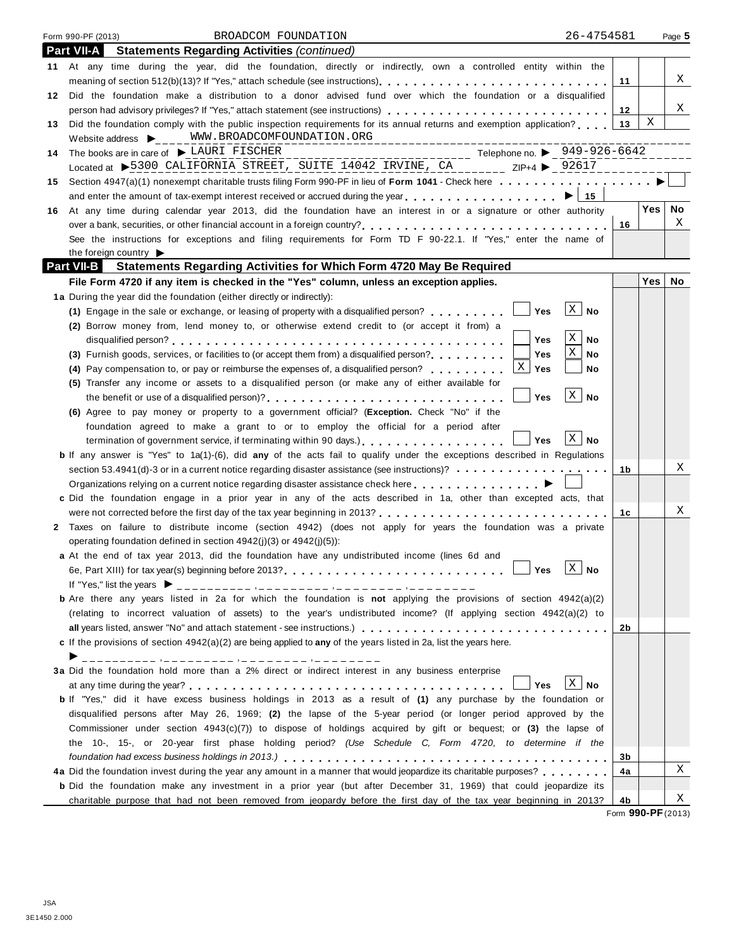|     | 26-4754581<br>BROADCOM FOUNDATION<br>Form 990-PF (2013)                                                                                                                                                                                                                                                                                                                                                                                                        |    |                         | Page 5 |
|-----|----------------------------------------------------------------------------------------------------------------------------------------------------------------------------------------------------------------------------------------------------------------------------------------------------------------------------------------------------------------------------------------------------------------------------------------------------------------|----|-------------------------|--------|
|     | <b>Statements Regarding Activities (continued)</b><br><b>Part VII-A</b>                                                                                                                                                                                                                                                                                                                                                                                        |    |                         |        |
|     | 11 At any time during the year, did the foundation, directly or indirectly, own a controlled entity within the                                                                                                                                                                                                                                                                                                                                                 |    |                         |        |
|     |                                                                                                                                                                                                                                                                                                                                                                                                                                                                | 11 |                         | Χ      |
|     | 12 Did the foundation make a distribution to a donor advised fund over which the foundation or a disqualified                                                                                                                                                                                                                                                                                                                                                  |    |                         |        |
|     | person had advisory privileges? If "Yes," attach statement (see instructions)                                                                                                                                                                                                                                                                                                                                                                                  | 12 |                         | Χ      |
| 13  | Did the foundation comply with the public inspection requirements for its annual returns and exemption application?                                                                                                                                                                                                                                                                                                                                            | 13 | X                       |        |
|     | Website address $\bigtriangledown_{\hspace{-.1em}C\hspace{-.1em}C\hspace{-.1em}C} = \bigtriangledown_{\hspace{-.1em}C\hspace{-.1em}M} \boxtimes \cdots \boxtimes_{\hspace{-.1em}C\hspace{-.1em}C} \boxtimes \cdots \boxtimes_{\hspace{-.1em}C\hspace{-.1em}M} \boxtimes_{\hspace{-.1em}C\hspace{-.1em}M} \boxtimes_{\hspace{-.1em}C\hspace{-.1em}M} \boxtimes_{\hspace{-.1em}C\hspace{-.1em}M} \boxtimes_{\hspace{-.1em}C\hspace{-.$<br>______________________ |    |                         |        |
| 14. | ------------------------- Telephone no. ▶ _ 949-926-6642<br>The books are in care of $\blacktriangleright$ LAURI FISCHER                                                                                                                                                                                                                                                                                                                                       |    |                         |        |
|     | Located at >5300 CALIFORNIA STREET, SUITE 14042 IRVINE, CA<br>$20017$ $ZIP+4$ $92617$                                                                                                                                                                                                                                                                                                                                                                          |    |                         |        |
|     | 15 Section 4947(a)(1) nonexempt charitable trusts filing Form 990-PF in lieu of Form 1041 - Check here                                                                                                                                                                                                                                                                                                                                                         |    |                         |        |
|     | and enter the amount of tax-exempt interest received or accrued during the year $\ldots$ , $\ldots$ , $\ldots$ , $\ldots$                                                                                                                                                                                                                                                                                                                                      |    |                         |        |
|     | 16 At any time during calendar year 2013, did the foundation have an interest in or a signature or other authority                                                                                                                                                                                                                                                                                                                                             |    | Yes                     | No     |
|     |                                                                                                                                                                                                                                                                                                                                                                                                                                                                | 16 |                         | Χ      |
|     | See the instructions for exceptions and filing requirements for Form TD F 90-22.1. If "Yes," enter the name of                                                                                                                                                                                                                                                                                                                                                 |    |                         |        |
|     | the foreign country $\blacktriangleright$                                                                                                                                                                                                                                                                                                                                                                                                                      |    |                         |        |
|     | <b>Part VII-B</b> Statements Regarding Activities for Which Form 4720 May Be Required                                                                                                                                                                                                                                                                                                                                                                          |    | <b>Yes</b>              |        |
|     | File Form 4720 if any item is checked in the "Yes" column, unless an exception applies.                                                                                                                                                                                                                                                                                                                                                                        |    |                         | No     |
|     | 1a During the year did the foundation (either directly or indirectly):<br>$\lfloor x \rfloor$ No<br>$ $ Yes                                                                                                                                                                                                                                                                                                                                                    |    |                         |        |
|     | (1) Engage in the sale or exchange, or leasing of property with a disqualified person?                                                                                                                                                                                                                                                                                                                                                                         |    |                         |        |
|     | (2) Borrow money from, lend money to, or otherwise extend credit to (or accept it from) a<br>$\mathbf{X}$<br>Yes<br>No                                                                                                                                                                                                                                                                                                                                         |    |                         |        |
|     | Χ<br>(3) Furnish goods, services, or facilities to (or accept them from) a disqualified person?<br>Yes<br>No                                                                                                                                                                                                                                                                                                                                                   |    |                         |        |
|     | $\mathbf{x}$<br>Yes<br>(4) Pay compensation to, or pay or reimburse the expenses of, a disqualified person?<br>No                                                                                                                                                                                                                                                                                                                                              |    |                         |        |
|     | (5) Transfer any income or assets to a disqualified person (or make any of either available for                                                                                                                                                                                                                                                                                                                                                                |    |                         |        |
|     | $\ X\ $ No<br><b>Yes</b>                                                                                                                                                                                                                                                                                                                                                                                                                                       |    |                         |        |
|     | (6) Agree to pay money or property to a government official? (Exception. Check "No" if the                                                                                                                                                                                                                                                                                                                                                                     |    |                         |        |
|     | foundation agreed to make a grant to or to employ the official for a period after                                                                                                                                                                                                                                                                                                                                                                              |    |                         |        |
|     | $\vert X \vert$ No<br>Yes                                                                                                                                                                                                                                                                                                                                                                                                                                      |    |                         |        |
|     | <b>b</b> If any answer is "Yes" to 1a(1)-(6), did any of the acts fail to qualify under the exceptions described in Regulations                                                                                                                                                                                                                                                                                                                                |    |                         |        |
|     | section 53.4941(d)-3 or in a current notice regarding disaster assistance (see instructions)?                                                                                                                                                                                                                                                                                                                                                                  | 1b |                         | Χ      |
|     | Organizations relying on a current notice regarding disaster assistance check here $\ldots$ , $\ldots$ , $\ldots$ , $\ldots$                                                                                                                                                                                                                                                                                                                                   |    |                         |        |
|     | c Did the foundation engage in a prior year in any of the acts described in 1a, other than excepted acts, that                                                                                                                                                                                                                                                                                                                                                 |    |                         |        |
|     |                                                                                                                                                                                                                                                                                                                                                                                                                                                                | 1c |                         | Χ      |
|     | 2 Taxes on failure to distribute income (section 4942) (does not apply for years the foundation was a private                                                                                                                                                                                                                                                                                                                                                  |    |                         |        |
|     | operating foundation defined in section 4942(j)(3) or 4942(j)(5)):                                                                                                                                                                                                                                                                                                                                                                                             |    |                         |        |
|     | a At the end of tax year 2013, did the foundation have any undistributed income (lines 6d and                                                                                                                                                                                                                                                                                                                                                                  |    |                         |        |
|     | $\boxed{\text{X}}$ No<br>6e, Part XIII) for tax year(s) beginning before 2013?<br>__l Yes                                                                                                                                                                                                                                                                                                                                                                      |    |                         |        |
|     | If "Yes," list the years $\triangleright$ __________ ,_______ ,_____ ,_____ ,____ ,_____                                                                                                                                                                                                                                                                                                                                                                       |    |                         |        |
|     | <b>b</b> Are there any years listed in 2a for which the foundation is not applying the provisions of section 4942(a)(2)                                                                                                                                                                                                                                                                                                                                        |    |                         |        |
|     | (relating to incorrect valuation of assets) to the year's undistributed income? (If applying section 4942(a)(2) to                                                                                                                                                                                                                                                                                                                                             |    |                         |        |
|     | all years listed, answer "No" and attach statement - see instructions.)                                                                                                                                                                                                                                                                                                                                                                                        | 2b |                         |        |
|     | c If the provisions of section $4942(a)(2)$ are being applied to any of the years listed in 2a, list the years here.                                                                                                                                                                                                                                                                                                                                           |    |                         |        |
|     | ▶                                                                                                                                                                                                                                                                                                                                                                                                                                                              |    |                         |        |
|     | 3a Did the foundation hold more than a 2% direct or indirect interest in any business enterprise<br>$\vert$ $\mathbf{X}$ $\vert$ No                                                                                                                                                                                                                                                                                                                            |    |                         |        |
|     | Yes<br>b If "Yes," did it have excess business holdings in 2013 as a result of (1) any purchase by the foundation or                                                                                                                                                                                                                                                                                                                                           |    |                         |        |
|     |                                                                                                                                                                                                                                                                                                                                                                                                                                                                |    |                         |        |
|     | disqualified persons after May 26, 1969; (2) the lapse of the 5-year period (or longer period approved by the<br>Commissioner under section $4943(c)(7)$ ) to dispose of holdings acquired by gift or bequest; or (3) the lapse of                                                                                                                                                                                                                             |    |                         |        |
|     | the 10-, 15-, or 20-year first phase holding period? (Use Schedule C, Form 4720, to determine if the                                                                                                                                                                                                                                                                                                                                                           |    |                         |        |
|     |                                                                                                                                                                                                                                                                                                                                                                                                                                                                | 3b |                         |        |
|     | 4a Did the foundation invest during the year any amount in a manner that would jeopardize its charitable purposes?                                                                                                                                                                                                                                                                                                                                             | 4a |                         | Χ      |
|     | <b>b</b> Did the foundation make any investment in a prior year (but after December 31, 1969) that could jeopardize its                                                                                                                                                                                                                                                                                                                                        |    |                         |        |
|     | charitable purpose that had not been removed from jeopardy before the first day of the tax year beginning in 2013?                                                                                                                                                                                                                                                                                                                                             | 4b |                         | Χ      |
|     |                                                                                                                                                                                                                                                                                                                                                                                                                                                                |    | $\sim$ 000 DE $(0.012)$ |        |

Form **990-PF**(2013)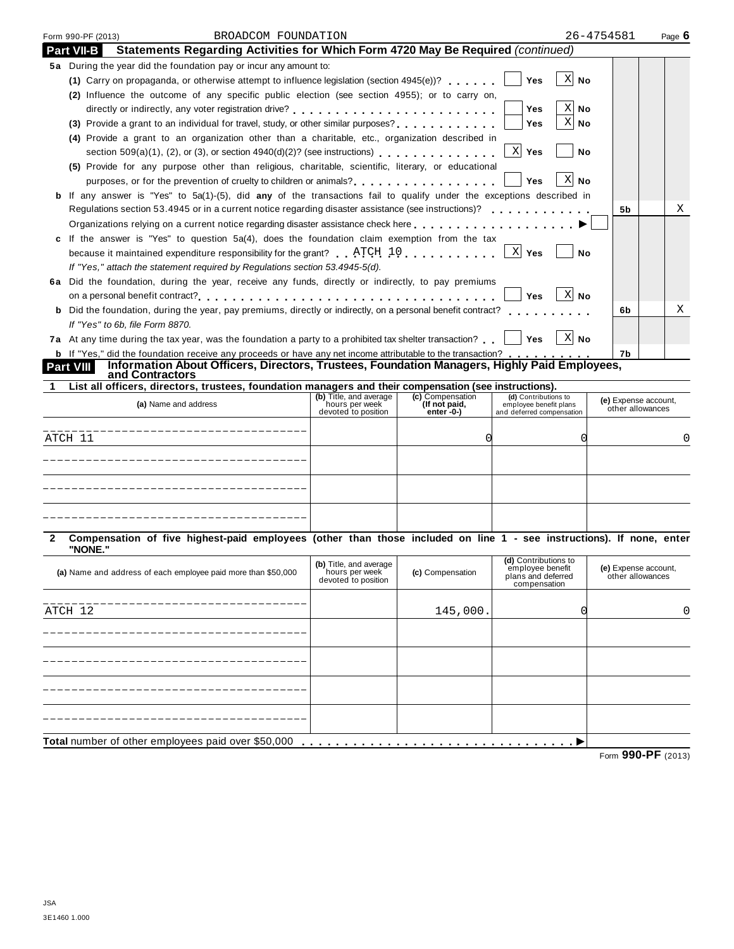|                         | BROADCOM FOUNDATION<br>Form 990-PF (2013)                                                                                                                                          |                                       |                               |                                                     | 26-4754581                               | Page 6 |
|-------------------------|------------------------------------------------------------------------------------------------------------------------------------------------------------------------------------|---------------------------------------|-------------------------------|-----------------------------------------------------|------------------------------------------|--------|
| <b>Part VII-B</b>       | Statements Regarding Activities for Which Form 4720 May Be Required (continued)                                                                                                    |                                       |                               |                                                     |                                          |        |
|                         | 5a During the year did the foundation pay or incur any amount to:                                                                                                                  |                                       |                               |                                                     |                                          |        |
|                         | (1) Carry on propaganda, or otherwise attempt to influence legislation (section 4945(e))?                                                                                          |                                       |                               | $X$ No<br><b>Yes</b>                                |                                          |        |
|                         | (2) Influence the outcome of any specific public election (see section 4955); or to carry on,                                                                                      |                                       |                               |                                                     |                                          |        |
|                         |                                                                                                                                                                                    |                                       |                               | Χ<br>Yes<br>No                                      |                                          |        |
|                         | (3) Provide a grant to an individual for travel, study, or other similar purposes?                                                                                                 |                                       |                               | X<br>Yes<br>No                                      |                                          |        |
|                         | (4) Provide a grant to an organization other than a charitable, etc., organization described in                                                                                    |                                       |                               |                                                     |                                          |        |
|                         | section $509(a)(1)$ , (2), or (3), or section $4940(d)(2)$ ? (see instructions)                                                                                                    |                                       |                               | X Yes<br>No                                         |                                          |        |
|                         | (5) Provide for any purpose other than religious, charitable, scientific, literary, or educational                                                                                 |                                       |                               |                                                     |                                          |        |
|                         |                                                                                                                                                                                    |                                       |                               | ΧI<br>Yes<br>No                                     |                                          |        |
|                         | If any answer is "Yes" to 5a(1)-(5), did any of the transactions fail to qualify under the exceptions described in                                                                 |                                       |                               |                                                     |                                          |        |
|                         | Regulations section 53.4945 or in a current notice regarding disaster assistance (see instructions)?                                                                               |                                       |                               |                                                     | 5b                                       | Χ      |
|                         | Organizations relying on a current notice regarding disaster assistance check here                                                                                                 |                                       |                               |                                                     |                                          |        |
|                         | c If the answer is "Yes" to question $5a(4)$ , does the foundation claim exemption from the tax                                                                                    |                                       |                               |                                                     |                                          |        |
|                         | because it maintained expenditure responsibility for the grant? ATCH 10                                                                                                            |                                       |                               | X Yes<br>No                                         |                                          |        |
|                         | If "Yes," attach the statement required by Regulations section 53.4945-5(d).<br>6a Did the foundation, during the year, receive any funds, directly or indirectly, to pay premiums |                                       |                               |                                                     |                                          |        |
|                         |                                                                                                                                                                                    |                                       |                               | $X$ No<br><b>Yes</b>                                |                                          |        |
|                         | <b>b</b> Did the foundation, during the year, pay premiums, directly or indirectly, on a personal benefit contract?                                                                |                                       |                               |                                                     | 6b                                       | Χ      |
|                         | If "Yes" to 6b, file Form 8870.                                                                                                                                                    |                                       |                               |                                                     |                                          |        |
|                         | 7a At any time during the tax year, was the foundation a party to a prohibited tax shelter transaction?                                                                            |                                       |                               | X No<br><b>Yes</b>                                  |                                          |        |
|                         | <b>b</b> If "Yes," did the foundation receive any proceeds or have any net income attributable to the transaction?                                                                 |                                       |                               |                                                     | 7b                                       |        |
| Part VIII               | Information About Officers, Directors, Trustees, Foundation Managers, Highly Paid Employees,                                                                                       |                                       |                               |                                                     |                                          |        |
| 1                       | and Contractors<br>List all officers, directors, trustees, foundation managers and their compensation (see instructions).                                                          |                                       |                               |                                                     |                                          |        |
|                         |                                                                                                                                                                                    | (b) Title, and average                | (c) Compensation              | (d) Contributions to                                | (e) Expense account,                     |        |
|                         | (a) Name and address                                                                                                                                                               | hours per week                        |                               |                                                     |                                          |        |
|                         |                                                                                                                                                                                    | devoted to position                   | (If not paid,<br>$enter - 0-$ | employee benefit plans<br>and deferred compensation | other allowances                         |        |
|                         |                                                                                                                                                                                    |                                       |                               |                                                     |                                          |        |
|                         |                                                                                                                                                                                    |                                       | Ω                             |                                                     |                                          |        |
|                         |                                                                                                                                                                                    |                                       |                               |                                                     |                                          |        |
|                         |                                                                                                                                                                                    |                                       |                               |                                                     |                                          | 0      |
|                         |                                                                                                                                                                                    |                                       |                               |                                                     |                                          |        |
|                         |                                                                                                                                                                                    |                                       |                               |                                                     |                                          |        |
|                         |                                                                                                                                                                                    |                                       |                               |                                                     |                                          |        |
|                         |                                                                                                                                                                                    |                                       |                               |                                                     |                                          |        |
| "NONE."                 | Compensation of five highest-paid employees (other than those included on line 1 - see instructions). If none, enter                                                               |                                       |                               |                                                     |                                          |        |
|                         |                                                                                                                                                                                    | (b) Title, and average                |                               | (d) Contributions to<br>employee benefit            |                                          |        |
|                         | (a) Name and address of each employee paid more than \$50,000                                                                                                                      | hours per week<br>devoted to position | (c) Compensation              | plans and deferred                                  | (e) Expense account,<br>other allowances |        |
|                         |                                                                                                                                                                                    |                                       |                               | compensation                                        |                                          |        |
|                         |                                                                                                                                                                                    |                                       | 145,000.                      |                                                     |                                          |        |
|                         |                                                                                                                                                                                    |                                       |                               |                                                     |                                          |        |
|                         |                                                                                                                                                                                    |                                       |                               |                                                     |                                          |        |
|                         |                                                                                                                                                                                    |                                       |                               |                                                     |                                          |        |
|                         |                                                                                                                                                                                    |                                       |                               |                                                     |                                          | 0      |
|                         |                                                                                                                                                                                    |                                       |                               |                                                     |                                          |        |
| ATCH 11<br>2<br>ATCH 12 |                                                                                                                                                                                    |                                       |                               |                                                     |                                          |        |
|                         |                                                                                                                                                                                    |                                       |                               |                                                     |                                          |        |
|                         |                                                                                                                                                                                    |                                       |                               |                                                     |                                          |        |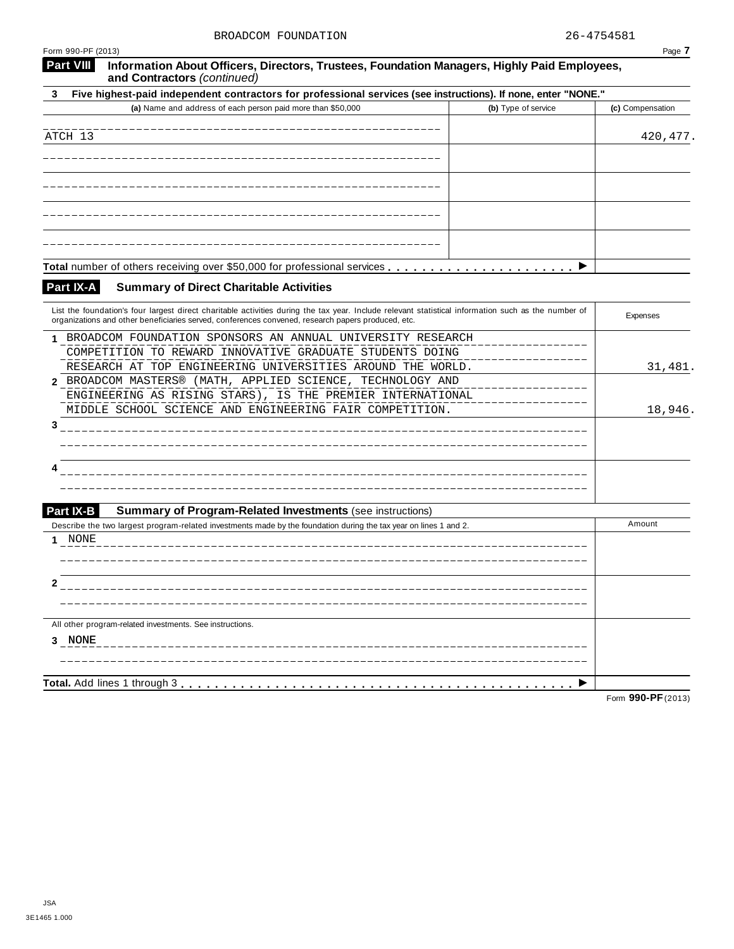| Form 990-PF (2013)                                                                                                                                                                                                                                        |                     | Page 7           |
|-----------------------------------------------------------------------------------------------------------------------------------------------------------------------------------------------------------------------------------------------------------|---------------------|------------------|
| <b>Part VIII</b><br>Information About Officers, Directors, Trustees, Foundation Managers, Highly Paid Employees,<br>and Contractors (continued)                                                                                                           |                     |                  |
| Five highest-paid independent contractors for professional services (see instructions). If none, enter "NONE."<br>3                                                                                                                                       |                     |                  |
| (a) Name and address of each person paid more than \$50,000                                                                                                                                                                                               | (b) Type of service | (c) Compensation |
|                                                                                                                                                                                                                                                           |                     |                  |
| ATCH 13                                                                                                                                                                                                                                                   |                     | 420, 477.        |
|                                                                                                                                                                                                                                                           |                     |                  |
|                                                                                                                                                                                                                                                           |                     |                  |
|                                                                                                                                                                                                                                                           |                     |                  |
|                                                                                                                                                                                                                                                           |                     |                  |
|                                                                                                                                                                                                                                                           |                     |                  |
|                                                                                                                                                                                                                                                           |                     |                  |
|                                                                                                                                                                                                                                                           |                     |                  |
|                                                                                                                                                                                                                                                           |                     |                  |
| Part IX-A<br><b>Summary of Direct Charitable Activities</b>                                                                                                                                                                                               |                     |                  |
|                                                                                                                                                                                                                                                           |                     |                  |
| List the foundation's four largest direct charitable activities during the tax year. Include relevant statistical information such as the number of<br>organizations and other beneficiaries served, conferences convened, research papers produced, etc. |                     | Expenses         |
| 1 BROADCOM FOUNDATION SPONSORS AN ANNUAL UNIVERSITY RESEARCH                                                                                                                                                                                              |                     |                  |
| COMPETITION TO REWARD INNOVATIVE GRADUATE STUDENTS DOING                                                                                                                                                                                                  |                     |                  |
| RESEARCH AT TOP ENGINEERING UNIVERSITIES AROUND THE WORLD.                                                                                                                                                                                                |                     | 31,481.          |
| BROADCOM MASTERS® (MATH, APPLIED SCIENCE, TECHNOLOGY AND<br>2                                                                                                                                                                                             |                     |                  |
| ENGINEERING AS RISING STARS), IS THE PREMIER INTERNATIONAL                                                                                                                                                                                                |                     |                  |
| MIDDLE SCHOOL SCIENCE AND ENGINEERING FAIR COMPETITION.                                                                                                                                                                                                   |                     | 18,946.          |
| 3                                                                                                                                                                                                                                                         |                     |                  |
|                                                                                                                                                                                                                                                           |                     |                  |
|                                                                                                                                                                                                                                                           |                     |                  |
|                                                                                                                                                                                                                                                           |                     |                  |
|                                                                                                                                                                                                                                                           |                     |                  |
| Part IX-B<br><b>Summary of Program-Related Investments (see instructions)</b>                                                                                                                                                                             |                     |                  |
| Describe the two largest program-related investments made by the foundation during the tax year on lines 1 and 2.                                                                                                                                         |                     | Amount           |
| NONE<br>1.                                                                                                                                                                                                                                                |                     |                  |
|                                                                                                                                                                                                                                                           |                     |                  |
|                                                                                                                                                                                                                                                           |                     |                  |
| z                                                                                                                                                                                                                                                         |                     |                  |
|                                                                                                                                                                                                                                                           |                     |                  |
| All other program-related investments. See instructions.                                                                                                                                                                                                  |                     |                  |
| 3 NONE                                                                                                                                                                                                                                                    |                     |                  |
|                                                                                                                                                                                                                                                           |                     |                  |
|                                                                                                                                                                                                                                                           |                     |                  |
| Total. Add lines 1 through 3                                                                                                                                                                                                                              |                     |                  |

Form **990-PF**(2013)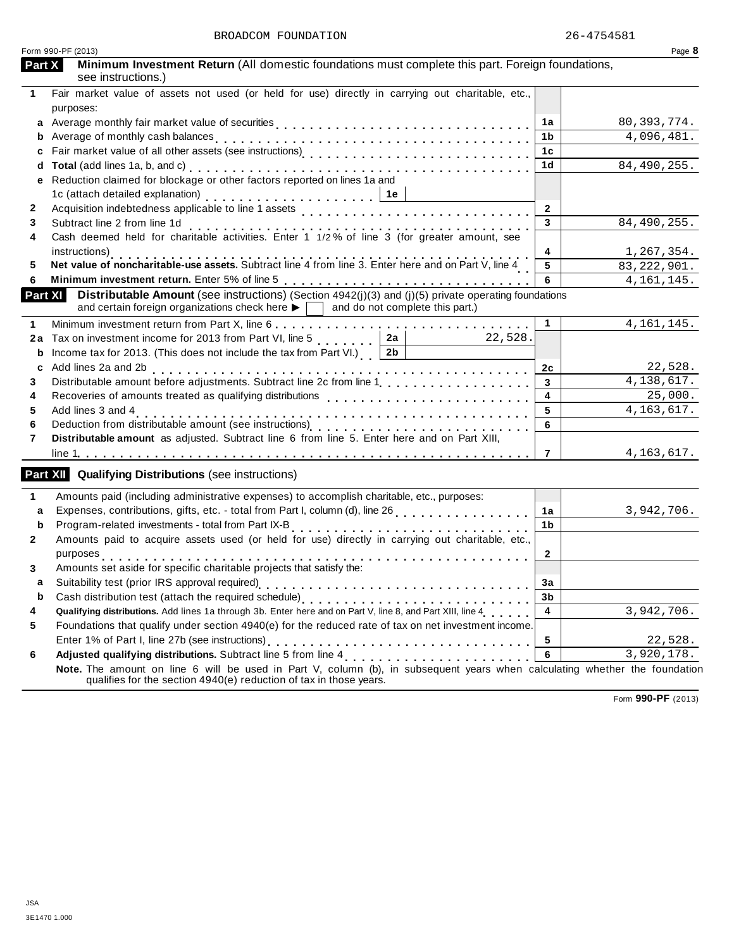| Minimum Investment Return (All domestic foundations must complete this part. Foreign foundations,<br>Part X<br>see instructions.)<br>Fair market value of assets not used (or held for use) directly in carrying out charitable, etc.,<br>1.<br>purposes:<br>a Average monthly fair market value of securities<br>80, 393, 774.<br>1a<br>4,096,481.<br>1b<br>b<br>1c<br>c<br>84,490,255.<br>1 <sub>d</sub><br>d<br>Reduction claimed for blockage or other factors reported on lines 1a and<br>е<br>1c (attach detailed explanation) $\ldots \ldots \ldots \ldots \ldots \ldots$<br>$\overline{2}$<br>2<br>3<br>84,490,255.<br>Subtract line 2 from line 1d<br>3<br>Subtract line z from line To<br>Cash deemed held for charitable activities. Enter 1 1/2% of line 3 (for greater amount, see<br>4<br>4<br>1,267,354.<br>instructions)<br>Net value of noncharitable-use assets. Subtract line 4 from line 3. Enter here and on Part V, line 4<br>5<br>5<br>83, 222, 901.<br>6<br>4, 161, 145.<br>6<br><b>Distributable Amount</b> (see instructions) (Section $4942(j)(3)$ and (j)(5) private operating foundations<br>Part XI<br>and certain foreign organizations check here $\blacktriangleright \Box$ and do not complete this part.)<br>$\mathbf{1}$<br>4, 161, 145.<br>1<br>2a<br>Tax on investment income for 2013 from Part VI, line 5<br>22,528.<br>2a<br>Income tax for 2013. (This does not include the tax from Part VI.) $2b$<br>b<br>22,528.<br>Add lines 2a and 2b<br>2c<br>c<br>4, 138, 617.<br>Distributable amount before adjustments. Subtract line 2c from line 1 [1] [1]<br>$\mathbf{3}$<br>3<br>25,000.<br>$\overline{4}$<br>Recoveries of amounts treated as qualifying distributions<br>4<br>4, 163, 617.<br>Add lines 3 and 4<br>5<br>5<br>6<br>6<br>Distributable amount as adjusted. Subtract line 6 from line 5. Enter here and on Part XIII,<br>7<br>4,163,617.<br>$\overline{7}$<br><b>Part XII</b> Qualifying Distributions (see instructions)<br>Amounts paid (including administrative expenses) to accomplish charitable, etc., purposes:<br>1<br>3,942,706.<br>1a<br>a<br>Program-related investments - total from Part IX-B<br>1b<br>b<br>Amounts paid to acquire assets used (or held for use) directly in carrying out charitable, etc.,<br>$\mathbf{2}$<br>2<br>purposes<br>Amounts set aside for specific charitable projects that satisfy the:<br>3<br>3a<br>3b<br>b<br>Qualifying distributions. Add lines 1a through 3b. Enter here and on Part V, line 8, and Part XIII, line 4<br>$\overline{4}$<br>3,942,706.<br>4<br>Foundations that qualify under section 4940(e) for the reduced rate of tax on net investment income.<br>5<br>5<br>22,528.<br>Adjusted qualifying distributions. Subtract line 5 from line 4 [1] [1] $\alpha$ [1] [1] $\alpha$ [1] $\alpha$ [1] $\alpha$ [1] $\alpha$ [1] $\alpha$ [1] $\alpha$ [1] $\alpha$ [1] $\alpha$ [1] $\alpha$ [1] $\alpha$ [1] $\alpha$ [1] $\alpha$ [1] $\alpha$ [1] $\alpha$ [1] $\alpha$ [1] $\alpha$<br>3,920,178.<br>6<br>6<br>Note. The amount on line 6 will be used in Part V, column (b), in subsequent years when calculating whether the foundation | Form 990-PF (2013)                                                 | Page 8 |
|---------------------------------------------------------------------------------------------------------------------------------------------------------------------------------------------------------------------------------------------------------------------------------------------------------------------------------------------------------------------------------------------------------------------------------------------------------------------------------------------------------------------------------------------------------------------------------------------------------------------------------------------------------------------------------------------------------------------------------------------------------------------------------------------------------------------------------------------------------------------------------------------------------------------------------------------------------------------------------------------------------------------------------------------------------------------------------------------------------------------------------------------------------------------------------------------------------------------------------------------------------------------------------------------------------------------------------------------------------------------------------------------------------------------------------------------------------------------------------------------------------------------------------------------------------------------------------------------------------------------------------------------------------------------------------------------------------------------------------------------------------------------------------------------------------------------------------------------------------------------------------------------------------------------------------------------------------------------------------------------------------------------------------------------------------------------------------------------------------------------------------------------------------------------------------------------------------------------------------------------------------------------------------------------------------------------------------------------------------------------------------------------------------------------------------------------------------------------------------------------------------------------------------------------------------------------------------------------------------------------------------------------------------------------------------------------------------------------------------------------------------------------------------------------------------------------------------------------------------------------------------------------------------------------------------------------------------------------------------------------------------------------------------------------------------------------------------------------------------------------------------------------------------------|--------------------------------------------------------------------|--------|
|                                                                                                                                                                                                                                                                                                                                                                                                                                                                                                                                                                                                                                                                                                                                                                                                                                                                                                                                                                                                                                                                                                                                                                                                                                                                                                                                                                                                                                                                                                                                                                                                                                                                                                                                                                                                                                                                                                                                                                                                                                                                                                                                                                                                                                                                                                                                                                                                                                                                                                                                                                                                                                                                                                                                                                                                                                                                                                                                                                                                                                                                                                                                                               |                                                                    |        |
|                                                                                                                                                                                                                                                                                                                                                                                                                                                                                                                                                                                                                                                                                                                                                                                                                                                                                                                                                                                                                                                                                                                                                                                                                                                                                                                                                                                                                                                                                                                                                                                                                                                                                                                                                                                                                                                                                                                                                                                                                                                                                                                                                                                                                                                                                                                                                                                                                                                                                                                                                                                                                                                                                                                                                                                                                                                                                                                                                                                                                                                                                                                                                               |                                                                    |        |
|                                                                                                                                                                                                                                                                                                                                                                                                                                                                                                                                                                                                                                                                                                                                                                                                                                                                                                                                                                                                                                                                                                                                                                                                                                                                                                                                                                                                                                                                                                                                                                                                                                                                                                                                                                                                                                                                                                                                                                                                                                                                                                                                                                                                                                                                                                                                                                                                                                                                                                                                                                                                                                                                                                                                                                                                                                                                                                                                                                                                                                                                                                                                                               |                                                                    |        |
|                                                                                                                                                                                                                                                                                                                                                                                                                                                                                                                                                                                                                                                                                                                                                                                                                                                                                                                                                                                                                                                                                                                                                                                                                                                                                                                                                                                                                                                                                                                                                                                                                                                                                                                                                                                                                                                                                                                                                                                                                                                                                                                                                                                                                                                                                                                                                                                                                                                                                                                                                                                                                                                                                                                                                                                                                                                                                                                                                                                                                                                                                                                                                               |                                                                    |        |
|                                                                                                                                                                                                                                                                                                                                                                                                                                                                                                                                                                                                                                                                                                                                                                                                                                                                                                                                                                                                                                                                                                                                                                                                                                                                                                                                                                                                                                                                                                                                                                                                                                                                                                                                                                                                                                                                                                                                                                                                                                                                                                                                                                                                                                                                                                                                                                                                                                                                                                                                                                                                                                                                                                                                                                                                                                                                                                                                                                                                                                                                                                                                                               |                                                                    |        |
|                                                                                                                                                                                                                                                                                                                                                                                                                                                                                                                                                                                                                                                                                                                                                                                                                                                                                                                                                                                                                                                                                                                                                                                                                                                                                                                                                                                                                                                                                                                                                                                                                                                                                                                                                                                                                                                                                                                                                                                                                                                                                                                                                                                                                                                                                                                                                                                                                                                                                                                                                                                                                                                                                                                                                                                                                                                                                                                                                                                                                                                                                                                                                               |                                                                    |        |
|                                                                                                                                                                                                                                                                                                                                                                                                                                                                                                                                                                                                                                                                                                                                                                                                                                                                                                                                                                                                                                                                                                                                                                                                                                                                                                                                                                                                                                                                                                                                                                                                                                                                                                                                                                                                                                                                                                                                                                                                                                                                                                                                                                                                                                                                                                                                                                                                                                                                                                                                                                                                                                                                                                                                                                                                                                                                                                                                                                                                                                                                                                                                                               |                                                                    |        |
|                                                                                                                                                                                                                                                                                                                                                                                                                                                                                                                                                                                                                                                                                                                                                                                                                                                                                                                                                                                                                                                                                                                                                                                                                                                                                                                                                                                                                                                                                                                                                                                                                                                                                                                                                                                                                                                                                                                                                                                                                                                                                                                                                                                                                                                                                                                                                                                                                                                                                                                                                                                                                                                                                                                                                                                                                                                                                                                                                                                                                                                                                                                                                               |                                                                    |        |
|                                                                                                                                                                                                                                                                                                                                                                                                                                                                                                                                                                                                                                                                                                                                                                                                                                                                                                                                                                                                                                                                                                                                                                                                                                                                                                                                                                                                                                                                                                                                                                                                                                                                                                                                                                                                                                                                                                                                                                                                                                                                                                                                                                                                                                                                                                                                                                                                                                                                                                                                                                                                                                                                                                                                                                                                                                                                                                                                                                                                                                                                                                                                                               |                                                                    |        |
|                                                                                                                                                                                                                                                                                                                                                                                                                                                                                                                                                                                                                                                                                                                                                                                                                                                                                                                                                                                                                                                                                                                                                                                                                                                                                                                                                                                                                                                                                                                                                                                                                                                                                                                                                                                                                                                                                                                                                                                                                                                                                                                                                                                                                                                                                                                                                                                                                                                                                                                                                                                                                                                                                                                                                                                                                                                                                                                                                                                                                                                                                                                                                               |                                                                    |        |
|                                                                                                                                                                                                                                                                                                                                                                                                                                                                                                                                                                                                                                                                                                                                                                                                                                                                                                                                                                                                                                                                                                                                                                                                                                                                                                                                                                                                                                                                                                                                                                                                                                                                                                                                                                                                                                                                                                                                                                                                                                                                                                                                                                                                                                                                                                                                                                                                                                                                                                                                                                                                                                                                                                                                                                                                                                                                                                                                                                                                                                                                                                                                                               |                                                                    |        |
|                                                                                                                                                                                                                                                                                                                                                                                                                                                                                                                                                                                                                                                                                                                                                                                                                                                                                                                                                                                                                                                                                                                                                                                                                                                                                                                                                                                                                                                                                                                                                                                                                                                                                                                                                                                                                                                                                                                                                                                                                                                                                                                                                                                                                                                                                                                                                                                                                                                                                                                                                                                                                                                                                                                                                                                                                                                                                                                                                                                                                                                                                                                                                               |                                                                    |        |
|                                                                                                                                                                                                                                                                                                                                                                                                                                                                                                                                                                                                                                                                                                                                                                                                                                                                                                                                                                                                                                                                                                                                                                                                                                                                                                                                                                                                                                                                                                                                                                                                                                                                                                                                                                                                                                                                                                                                                                                                                                                                                                                                                                                                                                                                                                                                                                                                                                                                                                                                                                                                                                                                                                                                                                                                                                                                                                                                                                                                                                                                                                                                                               |                                                                    |        |
|                                                                                                                                                                                                                                                                                                                                                                                                                                                                                                                                                                                                                                                                                                                                                                                                                                                                                                                                                                                                                                                                                                                                                                                                                                                                                                                                                                                                                                                                                                                                                                                                                                                                                                                                                                                                                                                                                                                                                                                                                                                                                                                                                                                                                                                                                                                                                                                                                                                                                                                                                                                                                                                                                                                                                                                                                                                                                                                                                                                                                                                                                                                                                               |                                                                    |        |
|                                                                                                                                                                                                                                                                                                                                                                                                                                                                                                                                                                                                                                                                                                                                                                                                                                                                                                                                                                                                                                                                                                                                                                                                                                                                                                                                                                                                                                                                                                                                                                                                                                                                                                                                                                                                                                                                                                                                                                                                                                                                                                                                                                                                                                                                                                                                                                                                                                                                                                                                                                                                                                                                                                                                                                                                                                                                                                                                                                                                                                                                                                                                                               |                                                                    |        |
|                                                                                                                                                                                                                                                                                                                                                                                                                                                                                                                                                                                                                                                                                                                                                                                                                                                                                                                                                                                                                                                                                                                                                                                                                                                                                                                                                                                                                                                                                                                                                                                                                                                                                                                                                                                                                                                                                                                                                                                                                                                                                                                                                                                                                                                                                                                                                                                                                                                                                                                                                                                                                                                                                                                                                                                                                                                                                                                                                                                                                                                                                                                                                               |                                                                    |        |
|                                                                                                                                                                                                                                                                                                                                                                                                                                                                                                                                                                                                                                                                                                                                                                                                                                                                                                                                                                                                                                                                                                                                                                                                                                                                                                                                                                                                                                                                                                                                                                                                                                                                                                                                                                                                                                                                                                                                                                                                                                                                                                                                                                                                                                                                                                                                                                                                                                                                                                                                                                                                                                                                                                                                                                                                                                                                                                                                                                                                                                                                                                                                                               |                                                                    |        |
|                                                                                                                                                                                                                                                                                                                                                                                                                                                                                                                                                                                                                                                                                                                                                                                                                                                                                                                                                                                                                                                                                                                                                                                                                                                                                                                                                                                                                                                                                                                                                                                                                                                                                                                                                                                                                                                                                                                                                                                                                                                                                                                                                                                                                                                                                                                                                                                                                                                                                                                                                                                                                                                                                                                                                                                                                                                                                                                                                                                                                                                                                                                                                               |                                                                    |        |
|                                                                                                                                                                                                                                                                                                                                                                                                                                                                                                                                                                                                                                                                                                                                                                                                                                                                                                                                                                                                                                                                                                                                                                                                                                                                                                                                                                                                                                                                                                                                                                                                                                                                                                                                                                                                                                                                                                                                                                                                                                                                                                                                                                                                                                                                                                                                                                                                                                                                                                                                                                                                                                                                                                                                                                                                                                                                                                                                                                                                                                                                                                                                                               |                                                                    |        |
|                                                                                                                                                                                                                                                                                                                                                                                                                                                                                                                                                                                                                                                                                                                                                                                                                                                                                                                                                                                                                                                                                                                                                                                                                                                                                                                                                                                                                                                                                                                                                                                                                                                                                                                                                                                                                                                                                                                                                                                                                                                                                                                                                                                                                                                                                                                                                                                                                                                                                                                                                                                                                                                                                                                                                                                                                                                                                                                                                                                                                                                                                                                                                               |                                                                    |        |
|                                                                                                                                                                                                                                                                                                                                                                                                                                                                                                                                                                                                                                                                                                                                                                                                                                                                                                                                                                                                                                                                                                                                                                                                                                                                                                                                                                                                                                                                                                                                                                                                                                                                                                                                                                                                                                                                                                                                                                                                                                                                                                                                                                                                                                                                                                                                                                                                                                                                                                                                                                                                                                                                                                                                                                                                                                                                                                                                                                                                                                                                                                                                                               |                                                                    |        |
|                                                                                                                                                                                                                                                                                                                                                                                                                                                                                                                                                                                                                                                                                                                                                                                                                                                                                                                                                                                                                                                                                                                                                                                                                                                                                                                                                                                                                                                                                                                                                                                                                                                                                                                                                                                                                                                                                                                                                                                                                                                                                                                                                                                                                                                                                                                                                                                                                                                                                                                                                                                                                                                                                                                                                                                                                                                                                                                                                                                                                                                                                                                                                               |                                                                    |        |
|                                                                                                                                                                                                                                                                                                                                                                                                                                                                                                                                                                                                                                                                                                                                                                                                                                                                                                                                                                                                                                                                                                                                                                                                                                                                                                                                                                                                                                                                                                                                                                                                                                                                                                                                                                                                                                                                                                                                                                                                                                                                                                                                                                                                                                                                                                                                                                                                                                                                                                                                                                                                                                                                                                                                                                                                                                                                                                                                                                                                                                                                                                                                                               |                                                                    |        |
|                                                                                                                                                                                                                                                                                                                                                                                                                                                                                                                                                                                                                                                                                                                                                                                                                                                                                                                                                                                                                                                                                                                                                                                                                                                                                                                                                                                                                                                                                                                                                                                                                                                                                                                                                                                                                                                                                                                                                                                                                                                                                                                                                                                                                                                                                                                                                                                                                                                                                                                                                                                                                                                                                                                                                                                                                                                                                                                                                                                                                                                                                                                                                               |                                                                    |        |
|                                                                                                                                                                                                                                                                                                                                                                                                                                                                                                                                                                                                                                                                                                                                                                                                                                                                                                                                                                                                                                                                                                                                                                                                                                                                                                                                                                                                                                                                                                                                                                                                                                                                                                                                                                                                                                                                                                                                                                                                                                                                                                                                                                                                                                                                                                                                                                                                                                                                                                                                                                                                                                                                                                                                                                                                                                                                                                                                                                                                                                                                                                                                                               |                                                                    |        |
|                                                                                                                                                                                                                                                                                                                                                                                                                                                                                                                                                                                                                                                                                                                                                                                                                                                                                                                                                                                                                                                                                                                                                                                                                                                                                                                                                                                                                                                                                                                                                                                                                                                                                                                                                                                                                                                                                                                                                                                                                                                                                                                                                                                                                                                                                                                                                                                                                                                                                                                                                                                                                                                                                                                                                                                                                                                                                                                                                                                                                                                                                                                                                               |                                                                    |        |
|                                                                                                                                                                                                                                                                                                                                                                                                                                                                                                                                                                                                                                                                                                                                                                                                                                                                                                                                                                                                                                                                                                                                                                                                                                                                                                                                                                                                                                                                                                                                                                                                                                                                                                                                                                                                                                                                                                                                                                                                                                                                                                                                                                                                                                                                                                                                                                                                                                                                                                                                                                                                                                                                                                                                                                                                                                                                                                                                                                                                                                                                                                                                                               |                                                                    |        |
|                                                                                                                                                                                                                                                                                                                                                                                                                                                                                                                                                                                                                                                                                                                                                                                                                                                                                                                                                                                                                                                                                                                                                                                                                                                                                                                                                                                                                                                                                                                                                                                                                                                                                                                                                                                                                                                                                                                                                                                                                                                                                                                                                                                                                                                                                                                                                                                                                                                                                                                                                                                                                                                                                                                                                                                                                                                                                                                                                                                                                                                                                                                                                               |                                                                    |        |
|                                                                                                                                                                                                                                                                                                                                                                                                                                                                                                                                                                                                                                                                                                                                                                                                                                                                                                                                                                                                                                                                                                                                                                                                                                                                                                                                                                                                                                                                                                                                                                                                                                                                                                                                                                                                                                                                                                                                                                                                                                                                                                                                                                                                                                                                                                                                                                                                                                                                                                                                                                                                                                                                                                                                                                                                                                                                                                                                                                                                                                                                                                                                                               |                                                                    |        |
|                                                                                                                                                                                                                                                                                                                                                                                                                                                                                                                                                                                                                                                                                                                                                                                                                                                                                                                                                                                                                                                                                                                                                                                                                                                                                                                                                                                                                                                                                                                                                                                                                                                                                                                                                                                                                                                                                                                                                                                                                                                                                                                                                                                                                                                                                                                                                                                                                                                                                                                                                                                                                                                                                                                                                                                                                                                                                                                                                                                                                                                                                                                                                               |                                                                    |        |
|                                                                                                                                                                                                                                                                                                                                                                                                                                                                                                                                                                                                                                                                                                                                                                                                                                                                                                                                                                                                                                                                                                                                                                                                                                                                                                                                                                                                                                                                                                                                                                                                                                                                                                                                                                                                                                                                                                                                                                                                                                                                                                                                                                                                                                                                                                                                                                                                                                                                                                                                                                                                                                                                                                                                                                                                                                                                                                                                                                                                                                                                                                                                                               |                                                                    |        |
|                                                                                                                                                                                                                                                                                                                                                                                                                                                                                                                                                                                                                                                                                                                                                                                                                                                                                                                                                                                                                                                                                                                                                                                                                                                                                                                                                                                                                                                                                                                                                                                                                                                                                                                                                                                                                                                                                                                                                                                                                                                                                                                                                                                                                                                                                                                                                                                                                                                                                                                                                                                                                                                                                                                                                                                                                                                                                                                                                                                                                                                                                                                                                               |                                                                    |        |
|                                                                                                                                                                                                                                                                                                                                                                                                                                                                                                                                                                                                                                                                                                                                                                                                                                                                                                                                                                                                                                                                                                                                                                                                                                                                                                                                                                                                                                                                                                                                                                                                                                                                                                                                                                                                                                                                                                                                                                                                                                                                                                                                                                                                                                                                                                                                                                                                                                                                                                                                                                                                                                                                                                                                                                                                                                                                                                                                                                                                                                                                                                                                                               |                                                                    |        |
|                                                                                                                                                                                                                                                                                                                                                                                                                                                                                                                                                                                                                                                                                                                                                                                                                                                                                                                                                                                                                                                                                                                                                                                                                                                                                                                                                                                                                                                                                                                                                                                                                                                                                                                                                                                                                                                                                                                                                                                                                                                                                                                                                                                                                                                                                                                                                                                                                                                                                                                                                                                                                                                                                                                                                                                                                                                                                                                                                                                                                                                                                                                                                               |                                                                    |        |
|                                                                                                                                                                                                                                                                                                                                                                                                                                                                                                                                                                                                                                                                                                                                                                                                                                                                                                                                                                                                                                                                                                                                                                                                                                                                                                                                                                                                                                                                                                                                                                                                                                                                                                                                                                                                                                                                                                                                                                                                                                                                                                                                                                                                                                                                                                                                                                                                                                                                                                                                                                                                                                                                                                                                                                                                                                                                                                                                                                                                                                                                                                                                                               |                                                                    |        |
|                                                                                                                                                                                                                                                                                                                                                                                                                                                                                                                                                                                                                                                                                                                                                                                                                                                                                                                                                                                                                                                                                                                                                                                                                                                                                                                                                                                                                                                                                                                                                                                                                                                                                                                                                                                                                                                                                                                                                                                                                                                                                                                                                                                                                                                                                                                                                                                                                                                                                                                                                                                                                                                                                                                                                                                                                                                                                                                                                                                                                                                                                                                                                               |                                                                    |        |
|                                                                                                                                                                                                                                                                                                                                                                                                                                                                                                                                                                                                                                                                                                                                                                                                                                                                                                                                                                                                                                                                                                                                                                                                                                                                                                                                                                                                                                                                                                                                                                                                                                                                                                                                                                                                                                                                                                                                                                                                                                                                                                                                                                                                                                                                                                                                                                                                                                                                                                                                                                                                                                                                                                                                                                                                                                                                                                                                                                                                                                                                                                                                                               |                                                                    |        |
|                                                                                                                                                                                                                                                                                                                                                                                                                                                                                                                                                                                                                                                                                                                                                                                                                                                                                                                                                                                                                                                                                                                                                                                                                                                                                                                                                                                                                                                                                                                                                                                                                                                                                                                                                                                                                                                                                                                                                                                                                                                                                                                                                                                                                                                                                                                                                                                                                                                                                                                                                                                                                                                                                                                                                                                                                                                                                                                                                                                                                                                                                                                                                               |                                                                    |        |
|                                                                                                                                                                                                                                                                                                                                                                                                                                                                                                                                                                                                                                                                                                                                                                                                                                                                                                                                                                                                                                                                                                                                                                                                                                                                                                                                                                                                                                                                                                                                                                                                                                                                                                                                                                                                                                                                                                                                                                                                                                                                                                                                                                                                                                                                                                                                                                                                                                                                                                                                                                                                                                                                                                                                                                                                                                                                                                                                                                                                                                                                                                                                                               | qualifies for the section 4940(e) reduction of tax in those years. |        |

Form **990-PF** (2013)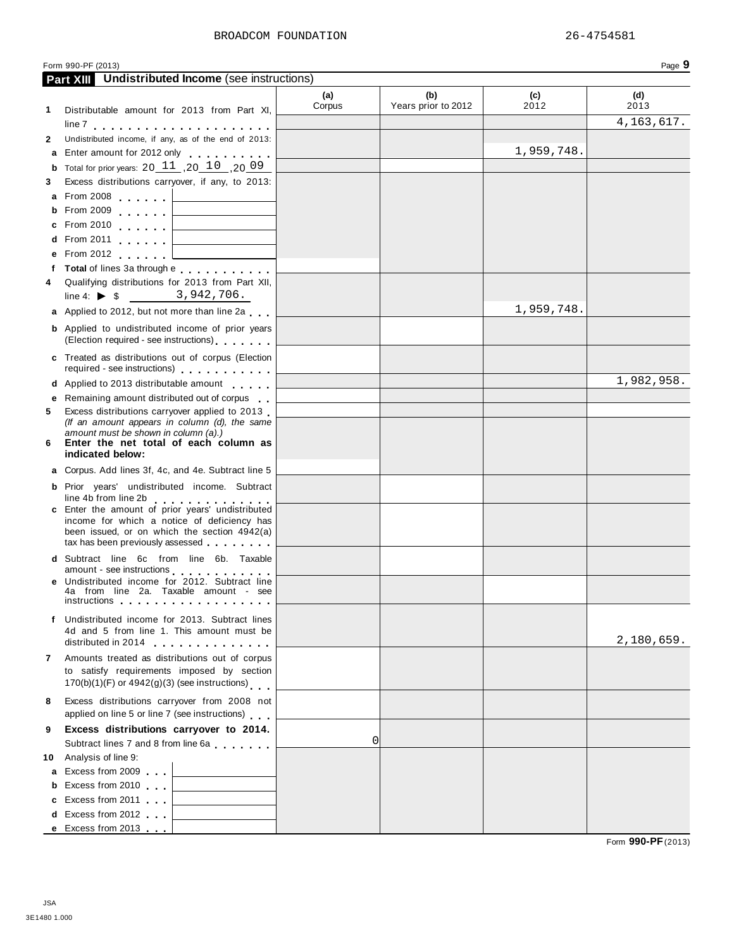| JSA          |  |
|--------------|--|
| 3E1480 1.000 |  |

| Form 990-PF (2013) | u<br>Page<br>- 7 |
|--------------------|------------------|
|                    |                  |

|              | <b>Part XIII</b> Undistributed Income (see instructions)                                                                                                                                                                                                                             |               |                            |             |              |
|--------------|--------------------------------------------------------------------------------------------------------------------------------------------------------------------------------------------------------------------------------------------------------------------------------------|---------------|----------------------------|-------------|--------------|
| 1            | Distributable amount for 2013 from Part XI,                                                                                                                                                                                                                                          | (a)<br>Corpus | (b)<br>Years prior to 2012 | (c)<br>2012 | (d)<br>2013  |
|              |                                                                                                                                                                                                                                                                                      |               |                            |             | 4, 163, 617. |
| $\mathbf{2}$ | Undistributed income, if any, as of the end of 2013:                                                                                                                                                                                                                                 |               |                            |             |              |
|              | a Enter amount for 2012 only                                                                                                                                                                                                                                                         |               |                            | 1,959,748.  |              |
|              | <b>b</b> Total for prior years: $20 \, 11 \, 0.20 \, 10 \, 0.20 \, 0.9$                                                                                                                                                                                                              |               |                            |             |              |
| 3            | Excess distributions carryover, if any, to 2013:                                                                                                                                                                                                                                     |               |                            |             |              |
|              | a From 2008                                                                                                                                                                                                                                                                          |               |                            |             |              |
|              | <b>b</b> From 2009                                                                                                                                                                                                                                                                   |               |                            |             |              |
|              | <u> 1980 - John Stein, mars and de Branch and de Branch and de Branch and de Branch and de Branch and de Branch an</u><br>From 2010 $\qquad \qquad$ $\qquad$                                                                                                                         |               |                            |             |              |
|              | d From 2011 $\qquad \qquad \qquad$                                                                                                                                                                                                                                                   |               |                            |             |              |
|              | e From 2012<br>the control of the control of the control of                                                                                                                                                                                                                          |               |                            |             |              |
|              | f Total of lines 3a through e                                                                                                                                                                                                                                                        |               |                            |             |              |
| 4            | Qualifying distributions for 2013 from Part XII,                                                                                                                                                                                                                                     |               |                            |             |              |
|              | line 4: $\triangleright$ \$ 3,942,706.                                                                                                                                                                                                                                               |               |                            |             |              |
|              | a Applied to 2012, but not more than line 2a                                                                                                                                                                                                                                         |               |                            | 1,959,748.  |              |
|              | <b>b</b> Applied to undistributed income of prior years                                                                                                                                                                                                                              |               |                            |             |              |
|              | (Election required - see instructions)                                                                                                                                                                                                                                               |               |                            |             |              |
|              | c Treated as distributions out of corpus (Election<br>required - see instructions) examples a series and set of the set of the set of the set of the set of the set of the set of the set of the set of the set of the set of the set of the set of the set of the set of the set of |               |                            |             |              |
|              | d Applied to 2013 distributable amount                                                                                                                                                                                                                                               |               |                            |             | 1,982,958.   |
|              | Remaining amount distributed out of corpus                                                                                                                                                                                                                                           |               |                            |             |              |
| 5            | Excess distributions carryover applied to 2013                                                                                                                                                                                                                                       |               |                            |             |              |
|              | (If an amount appears in column (d), the same                                                                                                                                                                                                                                        |               |                            |             |              |
| 6            | amount must be shown in column (a).)<br>Enter the net total of each column as                                                                                                                                                                                                        |               |                            |             |              |
|              | indicated below:                                                                                                                                                                                                                                                                     |               |                            |             |              |
|              | Corpus. Add lines 3f, 4c, and 4e. Subtract line 5                                                                                                                                                                                                                                    |               |                            |             |              |
|              | <b>b</b> Prior years' undistributed income. Subtract                                                                                                                                                                                                                                 |               |                            |             |              |
|              | line 4b from line 2b<br>the second contract of the second                                                                                                                                                                                                                            |               |                            |             |              |
|              | c Enter the amount of prior years' undistributed                                                                                                                                                                                                                                     |               |                            |             |              |
|              | income for which a notice of deficiency has<br>been issued, or on which the section 4942(a)                                                                                                                                                                                          |               |                            |             |              |
|              | tax has been previously assessed                                                                                                                                                                                                                                                     |               |                            |             |              |
|              | d Subtract line 6c from line 6b. Taxable                                                                                                                                                                                                                                             |               |                            |             |              |
|              | amount - see instructions <b>with a state of the set of the state of the state of the state of the state of the state of the state of the state of the state of the state of the state of the state of the state of the state of</b>                                                 |               |                            |             |              |
|              | e Undistributed income for 2012. Subtract line<br>4a from line 2a. Taxable amount - see                                                                                                                                                                                              |               |                            |             |              |
|              |                                                                                                                                                                                                                                                                                      |               |                            |             |              |
|              | Undistributed income for 2013. Subtract lines                                                                                                                                                                                                                                        |               |                            |             |              |
|              | 4d and 5 from line 1. This amount must be                                                                                                                                                                                                                                            |               |                            |             |              |
|              | distributed in 2014                                                                                                                                                                                                                                                                  |               |                            |             | 2,180,659.   |
| 7            | Amounts treated as distributions out of corpus                                                                                                                                                                                                                                       |               |                            |             |              |
|              | to satisfy requirements imposed by section                                                                                                                                                                                                                                           |               |                            |             |              |
|              | $170(b)(1)(F)$ or $4942(g)(3)$ (see instructions)                                                                                                                                                                                                                                    |               |                            |             |              |
| 8            | Excess distributions carryover from 2008 not<br>applied on line 5 or line 7 (see instructions)                                                                                                                                                                                       |               |                            |             |              |
| 9            | Excess distributions carryover to 2014.                                                                                                                                                                                                                                              |               |                            |             |              |
|              | Subtract lines 7 and 8 from line 6a                                                                                                                                                                                                                                                  | 0             |                            |             |              |
|              | 10 Analysis of line 9:                                                                                                                                                                                                                                                               |               |                            |             |              |
|              | a Excess from 2009<br><u> 1989 - Johann Barbara, martin a</u>                                                                                                                                                                                                                        |               |                            |             |              |
|              | <b>b</b> Excess from 2010<br>the control of the control of the control of                                                                                                                                                                                                            |               |                            |             |              |
|              | c Excess from 2011<br>the control of the control of the control of                                                                                                                                                                                                                   |               |                            |             |              |
|              | d Excess from 2012<br>the control of the control of the control of                                                                                                                                                                                                                   |               |                            |             |              |
|              | e Excess from 2013                                                                                                                                                                                                                                                                   |               |                            |             |              |

Form **990-PF**(2013)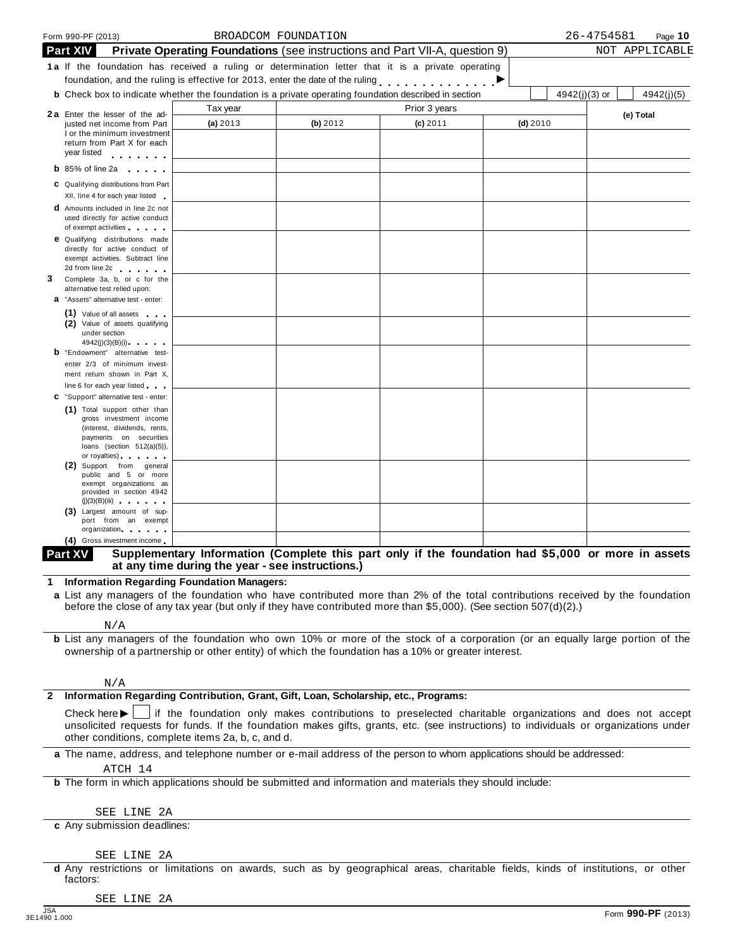|              | Form 990-PF (2013)                                                                                                                                                                                                                                                                                                                                   |                                                  | BROADCOM FOUNDATION |                                                                                                                                                                                                                                                |            | 26-4754581<br>Page $10$       |
|--------------|------------------------------------------------------------------------------------------------------------------------------------------------------------------------------------------------------------------------------------------------------------------------------------------------------------------------------------------------------|--------------------------------------------------|---------------------|------------------------------------------------------------------------------------------------------------------------------------------------------------------------------------------------------------------------------------------------|------------|-------------------------------|
|              | <b>Part XIV</b>                                                                                                                                                                                                                                                                                                                                      |                                                  |                     | <b>Private Operating Foundations</b> (see instructions and Part VII-A, question 9)                                                                                                                                                             |            | NOT APPLICABLE                |
|              | <b>1a</b> If the foundation has received a ruling or determination letter that it is a private operating                                                                                                                                                                                                                                             |                                                  |                     | foundation, and the ruling is effective for 2013, enter the date of the ruling <b>Fall and the ruling</b>                                                                                                                                      |            |                               |
|              | <b>b</b> Check box to indicate whether the foundation is a private operating foundation described in section                                                                                                                                                                                                                                         |                                                  |                     |                                                                                                                                                                                                                                                |            | $4942(j)(3)$ or<br>4942(j)(5) |
|              |                                                                                                                                                                                                                                                                                                                                                      | Tax year                                         |                     | Prior 3 years                                                                                                                                                                                                                                  |            |                               |
|              | 2a Enter the lesser of the ad-<br>justed net income from Part                                                                                                                                                                                                                                                                                        | (a) 2013                                         | (b) 2012            | $(c)$ 2011                                                                                                                                                                                                                                     | $(d)$ 2010 | (e) Total                     |
|              | I or the minimum investment<br>return from Part X for each<br>year listed experience and the set of the set of the set of the set of the set of the set of the set of the set of the set of the set of the set of the set of the set of the set of the set of the set of the set of the set                                                          |                                                  |                     |                                                                                                                                                                                                                                                |            |                               |
|              | <b>b</b> 85% of line 2a<br>and a state of the                                                                                                                                                                                                                                                                                                        |                                                  |                     |                                                                                                                                                                                                                                                |            |                               |
|              | C Qualifying distributions from Part<br>XII, line 4 for each year listed                                                                                                                                                                                                                                                                             |                                                  |                     |                                                                                                                                                                                                                                                |            |                               |
|              | <b>d</b> Amounts included in line 2c not<br>used directly for active conduct<br>of exempt activities and the state of                                                                                                                                                                                                                                |                                                  |                     |                                                                                                                                                                                                                                                |            |                               |
|              | <b>e</b> Qualifying distributions made<br>directly for active conduct of<br>exempt activities. Subtract line<br>2d from line 2c <b>can be a set of the set of the set of the set of the set of the set of the set of the set of the set of the set of the set of the set of the set of the set of the set of the set of the set of the set of th</b> |                                                  |                     |                                                                                                                                                                                                                                                |            |                               |
| 3            | Complete 3a, b, or c for the<br>alternative test relied upon:<br>a "Assets" alternative test - enter:                                                                                                                                                                                                                                                |                                                  |                     |                                                                                                                                                                                                                                                |            |                               |
|              | (1) Value of all assets<br>(2) Value of assets qualifying<br>under section<br>4942(i)(3)(B)(i)                                                                                                                                                                                                                                                       |                                                  |                     |                                                                                                                                                                                                                                                |            |                               |
|              | <b>b</b> "Endowment" alternative test-<br>enter 2/3 of minimum invest-<br>ment return shown in Part X,                                                                                                                                                                                                                                               |                                                  |                     |                                                                                                                                                                                                                                                |            |                               |
|              | line 6 for each year listed                                                                                                                                                                                                                                                                                                                          |                                                  |                     |                                                                                                                                                                                                                                                |            |                               |
|              | C "Support" alternative test - enter:<br>(1) Total support other than<br>gross investment income<br>(interest, dividends, rents,<br>payments on securities<br>loans (section $512(a)(5)$ ),<br>or royalties) and the control of                                                                                                                      |                                                  |                     |                                                                                                                                                                                                                                                |            |                               |
|              | (2) Support from general<br>public and 5 or more<br>exempt organizations as<br>provided in section 4942<br>(j)(3)(B)(iii)<br>(3) Largest amount of sup-                                                                                                                                                                                              |                                                  |                     |                                                                                                                                                                                                                                                |            |                               |
|              | port from an exempt                                                                                                                                                                                                                                                                                                                                  |                                                  |                     |                                                                                                                                                                                                                                                |            |                               |
|              | organization.<br>(4) Gross investment income                                                                                                                                                                                                                                                                                                         |                                                  |                     |                                                                                                                                                                                                                                                |            |                               |
|              | Part XV                                                                                                                                                                                                                                                                                                                                              | at any time during the year - see instructions.) |                     | Supplementary Information (Complete this part only if the foundation had \$5,000 or more in assets                                                                                                                                             |            |                               |
|              | <b>Information Regarding Foundation Managers:</b>                                                                                                                                                                                                                                                                                                    |                                                  |                     |                                                                                                                                                                                                                                                |            |                               |
|              | a List any managers of the foundation who have contributed more than 2% of the total contributions received by the foundation                                                                                                                                                                                                                        |                                                  |                     | before the close of any tax year (but only if they have contributed more than \$5,000). (See section 507(d)(2).)                                                                                                                               |            |                               |
|              | N/A                                                                                                                                                                                                                                                                                                                                                  |                                                  |                     |                                                                                                                                                                                                                                                |            |                               |
|              | <b>b</b> List any managers of the foundation who own 10% or more of the stock of a corporation (or an equally large portion of the                                                                                                                                                                                                                   |                                                  |                     | ownership of a partnership or other entity) of which the foundation has a 10% or greater interest.                                                                                                                                             |            |                               |
| $\mathbf{2}$ | N/A<br>Information Regarding Contribution, Grant, Gift, Loan, Scholarship, etc., Programs:                                                                                                                                                                                                                                                           |                                                  |                     |                                                                                                                                                                                                                                                |            |                               |
|              | Check here $\blacktriangleright$  <br>other conditions, complete items 2a, b, c, and d.                                                                                                                                                                                                                                                              |                                                  |                     | If the foundation only makes contributions to preselected charitable organizations and does not accept<br>unsolicited requests for funds. If the foundation makes gifts, grants, etc. (see instructions) to individuals or organizations under |            |                               |
|              | a The name, address, and telephone number or e-mail address of the person to whom applications should be addressed:                                                                                                                                                                                                                                  |                                                  |                     |                                                                                                                                                                                                                                                |            |                               |

[ATCH 14](#page-43-0)

**b** The form in which applications should be submitted and information and materials they should include:

SEE LINE 2A

**c** Any submission deadlines:

#### SEE LINE 2A

**d** Any restrictions or limitations on awards, such as by geographical areas, charitable fields, kinds of institutions, or other factors:

SEE LINE 2A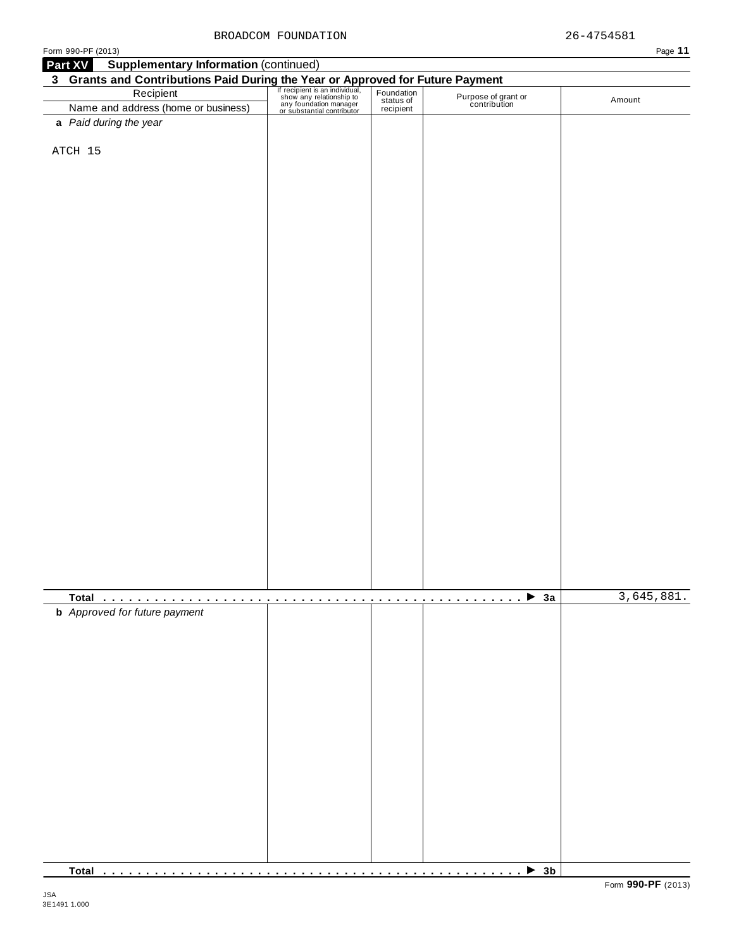| Form 990-PF (2013)                                                                                                                                                                                                                   |  |                                     | Page 11    |
|--------------------------------------------------------------------------------------------------------------------------------------------------------------------------------------------------------------------------------------|--|-------------------------------------|------------|
| <b>Supplementary Information (continued)</b><br>Part XV                                                                                                                                                                              |  |                                     |            |
|                                                                                                                                                                                                                                      |  |                                     |            |
| 3 Grants and Contributions Paid During the Year or Approved for Future Payment<br>Recipient San individual, Foundation<br>Name and address (home or business) any foundation manager<br>or substantial contributor expression and ad |  | Purpose of grant or<br>contribution | Amount     |
|                                                                                                                                                                                                                                      |  |                                     |            |
| a Paid during the year                                                                                                                                                                                                               |  |                                     |            |
|                                                                                                                                                                                                                                      |  |                                     |            |
| ATCH 15                                                                                                                                                                                                                              |  |                                     |            |
|                                                                                                                                                                                                                                      |  |                                     |            |
|                                                                                                                                                                                                                                      |  |                                     |            |
|                                                                                                                                                                                                                                      |  |                                     |            |
|                                                                                                                                                                                                                                      |  |                                     |            |
|                                                                                                                                                                                                                                      |  |                                     |            |
|                                                                                                                                                                                                                                      |  |                                     |            |
|                                                                                                                                                                                                                                      |  |                                     |            |
|                                                                                                                                                                                                                                      |  |                                     |            |
|                                                                                                                                                                                                                                      |  |                                     |            |
|                                                                                                                                                                                                                                      |  |                                     |            |
|                                                                                                                                                                                                                                      |  |                                     |            |
|                                                                                                                                                                                                                                      |  |                                     |            |
|                                                                                                                                                                                                                                      |  |                                     |            |
|                                                                                                                                                                                                                                      |  |                                     |            |
|                                                                                                                                                                                                                                      |  |                                     |            |
|                                                                                                                                                                                                                                      |  |                                     |            |
|                                                                                                                                                                                                                                      |  |                                     |            |
|                                                                                                                                                                                                                                      |  |                                     |            |
|                                                                                                                                                                                                                                      |  |                                     |            |
|                                                                                                                                                                                                                                      |  |                                     |            |
|                                                                                                                                                                                                                                      |  |                                     |            |
|                                                                                                                                                                                                                                      |  |                                     |            |
|                                                                                                                                                                                                                                      |  |                                     |            |
|                                                                                                                                                                                                                                      |  |                                     |            |
|                                                                                                                                                                                                                                      |  |                                     |            |
|                                                                                                                                                                                                                                      |  |                                     |            |
|                                                                                                                                                                                                                                      |  |                                     |            |
|                                                                                                                                                                                                                                      |  |                                     |            |
|                                                                                                                                                                                                                                      |  |                                     |            |
|                                                                                                                                                                                                                                      |  |                                     |            |
|                                                                                                                                                                                                                                      |  |                                     |            |
| <b>b</b> Approved for future payment                                                                                                                                                                                                 |  |                                     | 3,645,881. |
|                                                                                                                                                                                                                                      |  |                                     |            |
|                                                                                                                                                                                                                                      |  |                                     |            |
|                                                                                                                                                                                                                                      |  |                                     |            |
|                                                                                                                                                                                                                                      |  |                                     |            |
|                                                                                                                                                                                                                                      |  |                                     |            |
|                                                                                                                                                                                                                                      |  |                                     |            |
|                                                                                                                                                                                                                                      |  |                                     |            |
|                                                                                                                                                                                                                                      |  |                                     |            |
|                                                                                                                                                                                                                                      |  |                                     |            |
|                                                                                                                                                                                                                                      |  |                                     |            |
|                                                                                                                                                                                                                                      |  |                                     |            |
|                                                                                                                                                                                                                                      |  |                                     |            |
|                                                                                                                                                                                                                                      |  |                                     |            |
|                                                                                                                                                                                                                                      |  |                                     |            |
|                                                                                                                                                                                                                                      |  |                                     |            |

**Total** m m m m m m m m m m m m m m m m m m m m m m m m m m m m m m m m m m m m m m m m m m m m m m m m m I **3b**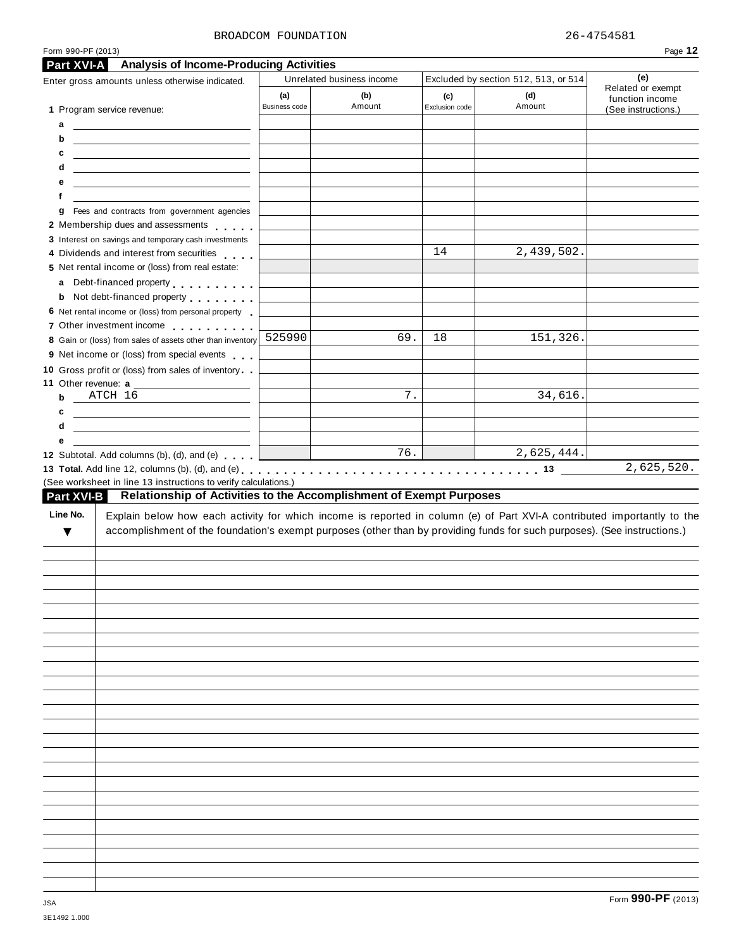#### BROADCOM FOUNDATION 26-4754581

| Form 990-PF (2013)                                                                                                                                                                                                                        |               |                                                                            |                |                                                                                                                                                                                                                                                      | Page 12                              |
|-------------------------------------------------------------------------------------------------------------------------------------------------------------------------------------------------------------------------------------------|---------------|----------------------------------------------------------------------------|----------------|------------------------------------------------------------------------------------------------------------------------------------------------------------------------------------------------------------------------------------------------------|--------------------------------------|
| <b>Analysis of Income-Producing Activities</b><br>Part XVI-A                                                                                                                                                                              |               |                                                                            |                |                                                                                                                                                                                                                                                      | (e)                                  |
| Enter gross amounts unless otherwise indicated.                                                                                                                                                                                           | (a)           | Unrelated business income<br>(b)                                           | (c)            | Excluded by section 512, 513, or 514<br>(d)                                                                                                                                                                                                          | Related or exempt<br>function income |
| 1 Program service revenue:                                                                                                                                                                                                                | Business code | Amount                                                                     | Exclusion code | Amount                                                                                                                                                                                                                                               | (See instructions.)                  |
| а<br><u> 1999 - Johann Barn, mars ann an t-</u>                                                                                                                                                                                           |               |                                                                            |                |                                                                                                                                                                                                                                                      |                                      |
| b<br><u> 1990 - Johann Barbara, martin amerikan basar dan berasal dan berasal dalam basar dalam basar dalam basar dala</u>                                                                                                                |               |                                                                            |                |                                                                                                                                                                                                                                                      |                                      |
| c<br><u>and the state of the state of the state of the state of the state of the state of the state of the state of the state of the state of the state of the state of the state of the state of the state of the state of the state</u> |               |                                                                            |                |                                                                                                                                                                                                                                                      |                                      |
| d                                                                                                                                                                                                                                         |               |                                                                            |                |                                                                                                                                                                                                                                                      |                                      |
| е<br>the control of the control of the control of the control of the control of the control of                                                                                                                                            |               |                                                                            |                |                                                                                                                                                                                                                                                      |                                      |
| f                                                                                                                                                                                                                                         |               |                                                                            |                |                                                                                                                                                                                                                                                      |                                      |
| Fees and contracts from government agencies<br>g<br>2 Membership dues and assessments                                                                                                                                                     |               |                                                                            |                |                                                                                                                                                                                                                                                      |                                      |
| 3 Interest on savings and temporary cash investments                                                                                                                                                                                      |               |                                                                            |                |                                                                                                                                                                                                                                                      |                                      |
| 4 Dividends and interest from securities                                                                                                                                                                                                  |               |                                                                            | 14             | 2,439,502.                                                                                                                                                                                                                                           |                                      |
| 5 Net rental income or (loss) from real estate:                                                                                                                                                                                           |               |                                                                            |                |                                                                                                                                                                                                                                                      |                                      |
| Debt-financed property<br>a                                                                                                                                                                                                               |               |                                                                            |                |                                                                                                                                                                                                                                                      |                                      |
| Not debt-financed property entitled to the state of<br>b                                                                                                                                                                                  |               |                                                                            |                |                                                                                                                                                                                                                                                      |                                      |
| 6 Net rental income or (loss) from personal property                                                                                                                                                                                      |               |                                                                            |                |                                                                                                                                                                                                                                                      |                                      |
| 7 Other investment income                                                                                                                                                                                                                 |               |                                                                            |                |                                                                                                                                                                                                                                                      |                                      |
| 8 Gain or (loss) from sales of assets other than inventory 525990                                                                                                                                                                         |               | 69.                                                                        | 18             | 151,326.                                                                                                                                                                                                                                             |                                      |
| 9 Net income or (loss) from special events                                                                                                                                                                                                |               |                                                                            |                |                                                                                                                                                                                                                                                      |                                      |
| 10 Gross profit or (loss) from sales of inventory                                                                                                                                                                                         |               |                                                                            |                |                                                                                                                                                                                                                                                      |                                      |
| 11 Other revenue: a                                                                                                                                                                                                                       |               |                                                                            |                |                                                                                                                                                                                                                                                      |                                      |
| ATCH 16<br>$\mathbf b$                                                                                                                                                                                                                    |               | 7.                                                                         |                | 34,616.                                                                                                                                                                                                                                              |                                      |
| c                                                                                                                                                                                                                                         |               |                                                                            |                |                                                                                                                                                                                                                                                      |                                      |
| d                                                                                                                                                                                                                                         |               |                                                                            |                |                                                                                                                                                                                                                                                      |                                      |
|                                                                                                                                                                                                                                           |               |                                                                            |                |                                                                                                                                                                                                                                                      |                                      |
| е                                                                                                                                                                                                                                         |               |                                                                            |                |                                                                                                                                                                                                                                                      |                                      |
| 12 Subtotal. Add columns (b), (d), and (e)<br>(See worksheet in line 13 instructions to verify calculations.)<br><b>Part XVI-B</b>                                                                                                        |               | 76.<br>Relationship of Activities to the Accomplishment of Exempt Purposes |                | 2,625,444.                                                                                                                                                                                                                                           |                                      |
| Line No.<br>▼                                                                                                                                                                                                                             |               |                                                                            |                | Explain below how each activity for which income is reported in column (e) of Part XVI-A contributed importantly to the<br>accomplishment of the foundation's exempt purposes (other than by providing funds for such purposes). (See instructions.) |                                      |
|                                                                                                                                                                                                                                           |               |                                                                            |                |                                                                                                                                                                                                                                                      | 2,625,520.                           |
|                                                                                                                                                                                                                                           |               |                                                                            |                |                                                                                                                                                                                                                                                      |                                      |
|                                                                                                                                                                                                                                           |               |                                                                            |                |                                                                                                                                                                                                                                                      |                                      |
|                                                                                                                                                                                                                                           |               |                                                                            |                |                                                                                                                                                                                                                                                      |                                      |
|                                                                                                                                                                                                                                           |               |                                                                            |                |                                                                                                                                                                                                                                                      |                                      |
|                                                                                                                                                                                                                                           |               |                                                                            |                |                                                                                                                                                                                                                                                      |                                      |
|                                                                                                                                                                                                                                           |               |                                                                            |                |                                                                                                                                                                                                                                                      |                                      |
|                                                                                                                                                                                                                                           |               |                                                                            |                |                                                                                                                                                                                                                                                      |                                      |
|                                                                                                                                                                                                                                           |               |                                                                            |                |                                                                                                                                                                                                                                                      |                                      |
|                                                                                                                                                                                                                                           |               |                                                                            |                |                                                                                                                                                                                                                                                      |                                      |
|                                                                                                                                                                                                                                           |               |                                                                            |                |                                                                                                                                                                                                                                                      |                                      |
|                                                                                                                                                                                                                                           |               |                                                                            |                |                                                                                                                                                                                                                                                      |                                      |
|                                                                                                                                                                                                                                           |               |                                                                            |                |                                                                                                                                                                                                                                                      |                                      |
|                                                                                                                                                                                                                                           |               |                                                                            |                |                                                                                                                                                                                                                                                      |                                      |
|                                                                                                                                                                                                                                           |               |                                                                            |                |                                                                                                                                                                                                                                                      |                                      |
|                                                                                                                                                                                                                                           |               |                                                                            |                |                                                                                                                                                                                                                                                      |                                      |
|                                                                                                                                                                                                                                           |               |                                                                            |                |                                                                                                                                                                                                                                                      |                                      |
|                                                                                                                                                                                                                                           |               |                                                                            |                |                                                                                                                                                                                                                                                      |                                      |
|                                                                                                                                                                                                                                           |               |                                                                            |                |                                                                                                                                                                                                                                                      |                                      |
|                                                                                                                                                                                                                                           |               |                                                                            |                |                                                                                                                                                                                                                                                      |                                      |
|                                                                                                                                                                                                                                           |               |                                                                            |                |                                                                                                                                                                                                                                                      |                                      |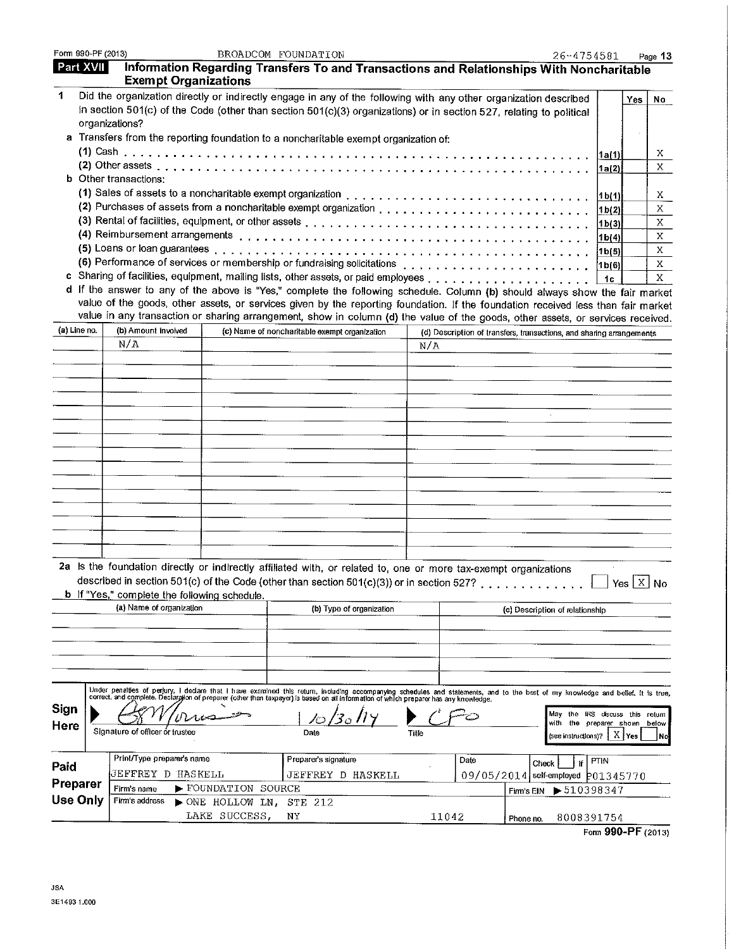| Form 990-PF (2013) |                                 |                                              | BROADCOM FOUNDATION                                                                                                                                                                                                                                                  |       |                                                                      | 26-4754581                                              |                                  |     | Page 13      |
|--------------------|---------------------------------|----------------------------------------------|----------------------------------------------------------------------------------------------------------------------------------------------------------------------------------------------------------------------------------------------------------------------|-------|----------------------------------------------------------------------|---------------------------------------------------------|----------------------------------|-----|--------------|
| Part XVII          |                                 | <b>Exempt Organizations</b>                  | Information Regarding Transfers To and Transactions and Relationships With Noncharitable                                                                                                                                                                             |       |                                                                      |                                                         |                                  |     |              |
| 1                  |                                 |                                              | Did the organization directly or indirectly engage in any of the following with any other organization described<br>in section 501(c) of the Code (other than section 501(c)(3) organizations) or in section 527, relating to political                              |       |                                                                      |                                                         |                                  | Yes | No           |
|                    | organizations?                  |                                              | a Transfers from the reporting foundation to a noncharitable exempt organization of:                                                                                                                                                                                 |       |                                                                      |                                                         |                                  |     |              |
|                    |                                 |                                              |                                                                                                                                                                                                                                                                      |       |                                                                      |                                                         | 1a(1)                            |     | Χ            |
|                    |                                 |                                              |                                                                                                                                                                                                                                                                      |       |                                                                      |                                                         | 1a(2)                            |     | X            |
|                    | <b>b</b> Other transactions:    |                                              |                                                                                                                                                                                                                                                                      |       |                                                                      |                                                         |                                  |     |              |
|                    |                                 |                                              |                                                                                                                                                                                                                                                                      |       |                                                                      |                                                         | 1 b(1)                           |     | X.<br>X      |
|                    |                                 |                                              |                                                                                                                                                                                                                                                                      |       |                                                                      |                                                         | 1b(2) <br> 1b(3)                 |     | Χ            |
|                    |                                 |                                              |                                                                                                                                                                                                                                                                      |       |                                                                      |                                                         | 1b(4)                            |     | X            |
|                    |                                 |                                              |                                                                                                                                                                                                                                                                      |       |                                                                      |                                                         | 1b(5)                            |     | X            |
|                    |                                 |                                              |                                                                                                                                                                                                                                                                      |       |                                                                      |                                                         | [1b(6)                           |     | X            |
|                    |                                 |                                              |                                                                                                                                                                                                                                                                      |       |                                                                      |                                                         | 1c                               |     | X            |
|                    |                                 |                                              | d If the answer to any of the above is "Yes," complete the following schedule. Column (b) should always show the fair market                                                                                                                                         |       |                                                                      |                                                         |                                  |     |              |
|                    |                                 |                                              | value of the goods, other assets, or services given by the reporting foundation. If the foundation received less than fair market<br>value in any transaction or sharing arrangement, show in column (d) the value of the goods, other assets, or services received. |       |                                                                      |                                                         |                                  |     |              |
| (a) Line no.       | (b) Amount involved             |                                              | (c) Name of noncharitable exempt organization                                                                                                                                                                                                                        |       | (d) Description of transfers, transactions, and sharing arrangements |                                                         |                                  |     |              |
|                    | N/A                             |                                              |                                                                                                                                                                                                                                                                      | N/A   |                                                                      |                                                         |                                  |     |              |
|                    |                                 |                                              |                                                                                                                                                                                                                                                                      |       |                                                                      |                                                         |                                  |     |              |
|                    |                                 |                                              |                                                                                                                                                                                                                                                                      |       |                                                                      |                                                         |                                  |     |              |
|                    |                                 |                                              |                                                                                                                                                                                                                                                                      |       |                                                                      |                                                         |                                  |     |              |
|                    |                                 |                                              |                                                                                                                                                                                                                                                                      |       |                                                                      |                                                         |                                  |     |              |
|                    |                                 |                                              |                                                                                                                                                                                                                                                                      |       |                                                                      |                                                         |                                  |     |              |
|                    |                                 |                                              |                                                                                                                                                                                                                                                                      |       |                                                                      |                                                         |                                  |     |              |
|                    |                                 |                                              |                                                                                                                                                                                                                                                                      |       |                                                                      |                                                         |                                  |     |              |
|                    |                                 |                                              |                                                                                                                                                                                                                                                                      |       |                                                                      |                                                         |                                  |     |              |
|                    |                                 |                                              |                                                                                                                                                                                                                                                                      |       |                                                                      |                                                         |                                  |     |              |
|                    |                                 |                                              |                                                                                                                                                                                                                                                                      |       |                                                                      |                                                         |                                  |     |              |
|                    |                                 |                                              |                                                                                                                                                                                                                                                                      |       |                                                                      |                                                         |                                  |     |              |
|                    |                                 |                                              |                                                                                                                                                                                                                                                                      |       |                                                                      |                                                         |                                  |     |              |
|                    |                                 |                                              |                                                                                                                                                                                                                                                                      |       |                                                                      |                                                         |                                  |     |              |
|                    |                                 | b If "Yes," complete the following schedule. | 2a Is the foundation directly or indirectly affiliated with, or related to, one or more tax-exempt organizations<br>described in section 501(c) of the Code (other than section 501(c)(3)) or in section 527?                                                        |       |                                                                      |                                                         | $\Box$ Yes $\boxed{\text{x}}$ No |     |              |
|                    | (a) Name of organization        |                                              | (b) Type of organization                                                                                                                                                                                                                                             |       |                                                                      | (c) Description of relationship                         |                                  |     |              |
|                    |                                 |                                              |                                                                                                                                                                                                                                                                      |       |                                                                      |                                                         |                                  |     |              |
|                    |                                 |                                              |                                                                                                                                                                                                                                                                      |       |                                                                      |                                                         |                                  |     |              |
|                    |                                 |                                              |                                                                                                                                                                                                                                                                      |       |                                                                      |                                                         |                                  |     |              |
|                    |                                 |                                              |                                                                                                                                                                                                                                                                      |       |                                                                      |                                                         |                                  |     |              |
|                    |                                 |                                              | Under penalties of perjury, I dedare that I have examined this retum, including accompanying schedules and statements, and to the best of my knowledge and belief, it is true,<br>correct, and complete. Declargion of preparer (                                    |       |                                                                      |                                                         |                                  |     |              |
| Sign               |                                 |                                              |                                                                                                                                                                                                                                                                      |       |                                                                      | May the IRS discuss this return                         |                                  |     |              |
| Here               | Signature of officer or trustee |                                              | Date                                                                                                                                                                                                                                                                 | Title |                                                                      | the preparer shown<br>with<br>(see instructions)? X Yes |                                  |     | below<br>No. |
|                    | Print/Type preparer's name      |                                              | Preparer's signature                                                                                                                                                                                                                                                 |       | Date                                                                 |                                                         | PTIN                             |     |              |
| Paid               | JEFFREY D HASKELL               |                                              | JEFFREY D HASKELL                                                                                                                                                                                                                                                    |       |                                                                      | Check<br>if<br>09/05/2014 self-employed p01345770       |                                  |     |              |
| Preparer           | Firm's name                     | FOUNDATION SOURCE                            |                                                                                                                                                                                                                                                                      |       |                                                                      | $\blacktriangleright$ 510398347<br>Firm's EIN           |                                  |     |              |
| <b>Use Only</b>    | Firm's address                  | NONE HOLLOW LN, STE 212                      |                                                                                                                                                                                                                                                                      |       |                                                                      |                                                         |                                  |     |              |
|                    |                                 | LAKE SUCCESS,                                | NΥ                                                                                                                                                                                                                                                                   |       | 11042                                                                | 8008391754<br>Phone no.                                 |                                  |     |              |

Form 990-PF  $(2013)$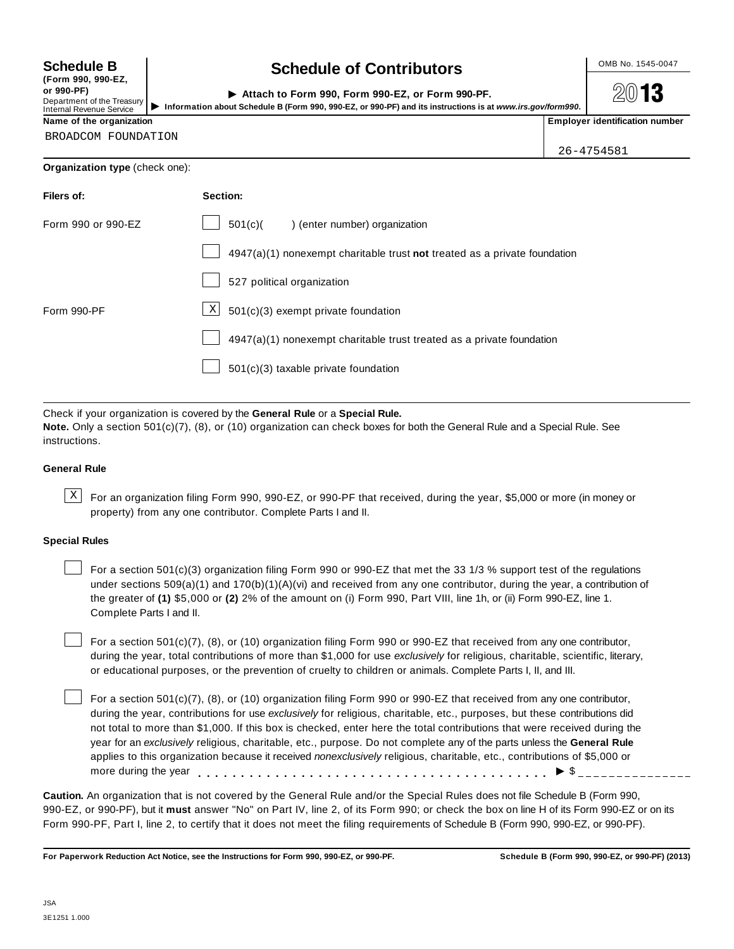**(Form 990, 990-EZ, or 990-PF)** Department of the Treasury<br>Internal Revenue Service

# **Schedule B chedule of Contributors**

| Attach to Form 990. Form 990-EZ, or Form 990-PF.                                                           | 2013                                  |
|------------------------------------------------------------------------------------------------------------|---------------------------------------|
| Information about Schedule B (Form 990, 990-EZ, or 990-PF) and its instructions is at www.irs.gov/form990. |                                       |
|                                                                                                            | <b>Employer identification number</b> |

**2013** 

| Name of the organization |  |
|--------------------------|--|
|--------------------------|--|

BROADCOM FOUNDATION

26-4754581

#### **Organization type** (check one):

| Filers of:         | Section:                                                                  |
|--------------------|---------------------------------------------------------------------------|
| Form 990 or 990-EZ | 501(c)<br>enter number) organization                                      |
|                    | 4947(a)(1) nonexempt charitable trust not treated as a private foundation |
|                    | 527 political organization                                                |
| Form 990-PF        | $\boxed{\text{X}}$ 501(c)(3) exempt private foundation                    |
|                    | 4947(a)(1) nonexempt charitable trust treated as a private foundation     |
|                    | 501(c)(3) taxable private foundation                                      |

Check if your organization is covered by the **General Rule** or a **Special Rule. Note.** Only a section 501(c)(7), (8), or (10) organization can check boxes for both the General Rule and a Special Rule. See instructions.

#### **General Rule**

 $\text{X}$  For an organization filing Form 990, 990-EZ, or 990-PF that received, during the year, \$5,000 or more (in money or property) from any one contributor. Complete Parts I and II.

#### **Special Rules**

For a section 501(c)(3) organization filing Form 990 or 990-EZ that met the 33 1/3 % support test of the regulations under sections 509(a)(1) and 170(b)(1)(A)(vi) and received from any one contributor, during the year, a contribution of the greater of **(1)** \$5,000 or **(2)** 2% of the amount on (i) Form 990, Part VIII, line 1h, or (ii) Form 990-EZ, line 1. Complete Parts I and II.

For a section 501(c)(7), (8), or (10) organization filing Form 990 or 990-EZ that received from any one contributor, during the year, total contributions of more than \$1,000 for use *exclusively* for religious, charitable, scientific, literary, or educational purposes, or the prevention of cruelty to children or animals. Complete Parts I, II, and III.

For a section 501(c)(7), (8), or (10) organization filing Form 990 or 990-EZ that received from any one contributor, during the year, contributions for use *exclusively* for religious, charitable, etc., purposes, but these contributions did not total to more than \$1,000. If this box is checked, enter here the total contributions that were received during the year for an *exclusively* religious, charitable, etc., purpose. Do not complete any of the parts unless the **General Rule** applies to this organization because it received *nonexclusively* religious, charitable, etc., contributions of \$5,000 or applies to this organization because it received *nonexclusively* religious, charitable, etc., contributions or \$5<br>more during the year<br>

**Caution.** An organization that is not covered by the General Rule and/or the Special Rules does not file Schedule B (Form 990, 990-EZ, or 990-PF), but it **must** answer "No" on Part IV, line 2, of its Form 990; or check the box on line H of its Form 990-EZ or on its Form 990-PF, Part I, line 2, to certify that it does not meet the filing requirements of Schedule B (Form 990, 990-EZ, or 990-PF).

For Paperwork Reduction Act Notice, see the Instructions for Form 990, 990-EZ, or 990-PF. Schedule B (Form 990, 990-EZ, or 990-PF) (2013)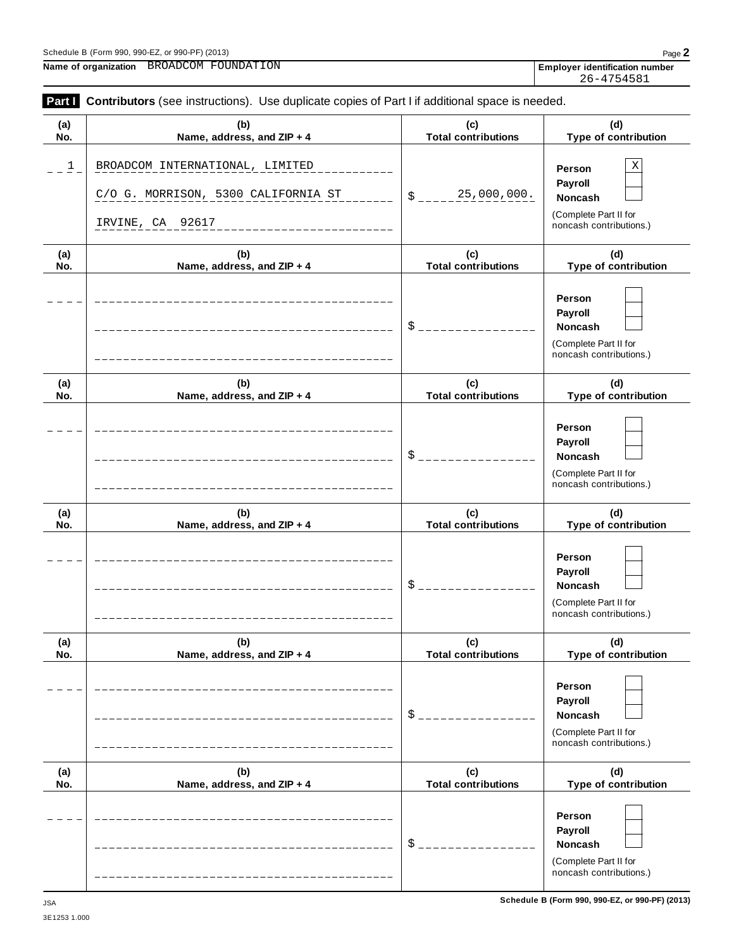#### Schedule <sup>B</sup> (Form 990, 990-EZ, or 990-PF) (2013) Page **2**

**Name of organization Employer identification number** BROADCOM FOUNDATION

26-4754581

| Part I                  | Contributors (see instructions). Use duplicate copies of Part I if additional space is needed. |                                   |                                                                                       |
|-------------------------|------------------------------------------------------------------------------------------------|-----------------------------------|---------------------------------------------------------------------------------------|
| (a)<br>No.              | (b)<br>Name, address, and ZIP + 4                                                              | (c)<br><b>Total contributions</b> | (d)<br>Type of contribution                                                           |
| $\overline{\mathsf{I}}$ | BROADCOM INTERNATIONAL, LIMITED<br>C/O G. MORRISON, 5300 CALIFORNIA ST<br>IRVINE, CA 92617     | 25,000,000.<br>\$                 | Χ<br>Person<br>Payroll<br>Noncash<br>(Complete Part II for<br>noncash contributions.) |
| (a)<br>No.              | (b)<br>Name, address, and ZIP + 4                                                              | (c)<br><b>Total contributions</b> | (d)<br>Type of contribution                                                           |
|                         |                                                                                                | $\frac{1}{2}$                     | Person<br>Payroll<br>Noncash<br>(Complete Part II for<br>noncash contributions.)      |
| (a)<br>No.              | (b)<br>Name, address, and ZIP + 4                                                              | (c)<br><b>Total contributions</b> | (d)<br>Type of contribution                                                           |
|                         |                                                                                                | $S_{---}$                         | Person<br>Payroll<br>Noncash<br>(Complete Part II for<br>noncash contributions.)      |
| (a)<br>No.              | (b)<br>Name, address, and ZIP + 4                                                              | (c)<br><b>Total contributions</b> | (d)<br>Type of contribution                                                           |
|                         |                                                                                                | $\frac{1}{2}$                     | Person<br>Payroll<br>Noncash<br>(Complete Part II for<br>noncash contributions.)      |
| (a)<br>No.              | (b)<br>Name, address, and ZIP + 4                                                              | (c)<br><b>Total contributions</b> | (d)<br>Type of contribution                                                           |
|                         |                                                                                                | $$^{\circ}$                       | Person<br>Payroll<br>Noncash<br>(Complete Part II for<br>noncash contributions.)      |
| (a)<br>No.              | (b)<br>Name, address, and ZIP + 4                                                              | (c)<br><b>Total contributions</b> | (d)<br>Type of contribution                                                           |
|                         |                                                                                                | $$^{\circ}$                       | Person<br>Payroll<br>Noncash<br>(Complete Part II for<br>noncash contributions.)      |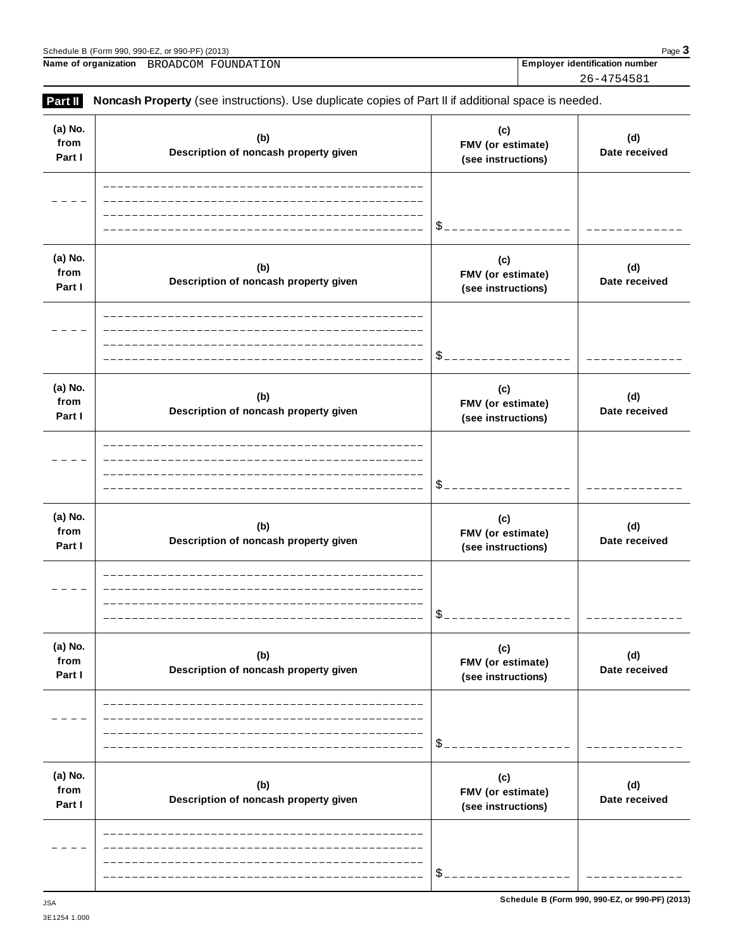| FMV (or estimate)<br>Description of noncash property given<br>(see instructions)        | (w)<br>Date received                                  |
|-----------------------------------------------------------------------------------------|-------------------------------------------------------|
| \$                                                                                      |                                                       |
| (c)<br>FMV (or estimate)<br>Description of noncash property given<br>(see instructions) | (d)<br>Date received                                  |
| \$                                                                                      |                                                       |
| (c)<br>FMV (or estimate)<br>Description of noncash property given<br>(see instructions) | (d)<br>Date received                                  |
| \$                                                                                      |                                                       |
| (c)<br>FMV (or estimate)<br>Description of noncash property given<br>(see instructions) | (d)<br>Date received                                  |
| \$                                                                                      |                                                       |
| (c)<br>FMV (or estimate)<br>Description of noncash property given<br>(see instructions) | (d)<br>Date received                                  |
|                                                                                         |                                                       |
|                                                                                         | \$<br>Schedule B (Form 990, 990-EZ, or 990-PF) (2013) |

**(b) Description of noncash property given**

**(b)**

<u>\_\_\_\_\_\_\_\_\_</u>

**(d) Date received**

**(d)**

<u>\_\_\_\_\_\_\_\_\_\_\_\_\_</u>

**(c) FMV (or estimate) (see instructions)**

**(c)**

 $= -$ 

 $S_{--}$ 

 $-$ 

 $\overline{a}$ 

# **Part II** Noncash Property (see instructions). Use duplicate copies of Part II if additional space is needed.

**(a) No. from Part I**

**(a) No.**

 $\frac{1}{2}$ 

3E1254 1.000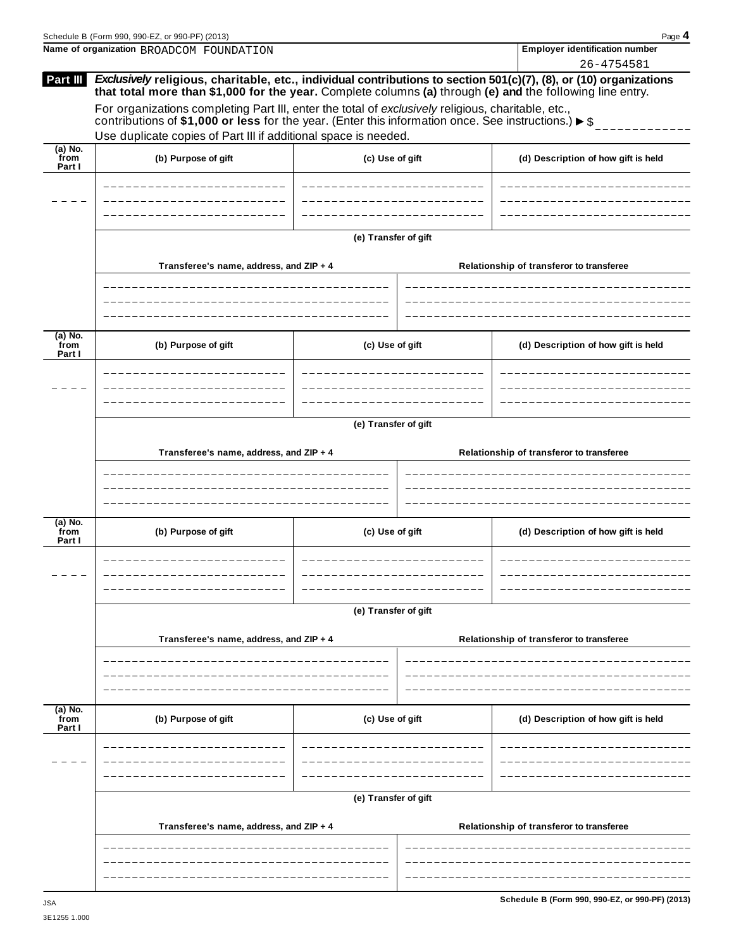|                             | Schedule B (Form 990, 990-EZ, or 990-PF) (2013)                                                                                                                                                                                 |                      |  | Page 4                                   |  |  |
|-----------------------------|---------------------------------------------------------------------------------------------------------------------------------------------------------------------------------------------------------------------------------|----------------------|--|------------------------------------------|--|--|
|                             | Name of organization BROADCOM FOUNDATION                                                                                                                                                                                        |                      |  | <b>Employer identification number</b>    |  |  |
| Part III                    | Exclusively religious, charitable, etc., individual contributions to section 501(c)(7), (8), or (10) organizations<br>that total more than \$1,000 for the year. Complete columns (a) through (e) and the following line entry. |                      |  | 26-4754581                               |  |  |
|                             | For organizations completing Part III, enter the total of exclusively religious, charitable, etc.,<br>contributions of \$1,000 or less for the year. (Enter this information once. See instructions.) $\triangleright$ \$       |                      |  |                                          |  |  |
|                             | Use duplicate copies of Part III if additional space is needed.                                                                                                                                                                 |                      |  |                                          |  |  |
| $(a)$ No.<br>from<br>Part I | (b) Purpose of gift                                                                                                                                                                                                             | (c) Use of gift      |  | (d) Description of how gift is held      |  |  |
|                             |                                                                                                                                                                                                                                 |                      |  |                                          |  |  |
|                             |                                                                                                                                                                                                                                 | (e) Transfer of gift |  |                                          |  |  |
|                             | Transferee's name, address, and ZIP + 4                                                                                                                                                                                         |                      |  | Relationship of transferor to transferee |  |  |
|                             |                                                                                                                                                                                                                                 |                      |  |                                          |  |  |
| (a) No.<br>from<br>Part I   | (b) Purpose of gift                                                                                                                                                                                                             | (c) Use of gift      |  | (d) Description of how gift is held      |  |  |
|                             |                                                                                                                                                                                                                                 |                      |  |                                          |  |  |
|                             | (e) Transfer of gift                                                                                                                                                                                                            |                      |  |                                          |  |  |
|                             | Transferee's name, address, and ZIP + 4                                                                                                                                                                                         |                      |  | Relationship of transferor to transferee |  |  |
| (a) No.<br>from<br>Part I   | (b) Purpose of gift                                                                                                                                                                                                             | (c) Use of gift      |  | (d) Description of how gift is held      |  |  |
|                             |                                                                                                                                                                                                                                 |                      |  |                                          |  |  |
|                             |                                                                                                                                                                                                                                 | (e) Transfer of gift |  |                                          |  |  |
|                             | Transferee's name, address, and ZIP + 4                                                                                                                                                                                         |                      |  | Relationship of transferor to transferee |  |  |
|                             |                                                                                                                                                                                                                                 |                      |  |                                          |  |  |
| $(a)$ No.<br>from<br>Part I | (b) Purpose of gift                                                                                                                                                                                                             | (c) Use of gift      |  | (d) Description of how gift is held      |  |  |
|                             |                                                                                                                                                                                                                                 |                      |  |                                          |  |  |
|                             |                                                                                                                                                                                                                                 | (e) Transfer of gift |  |                                          |  |  |
|                             | Transferee's name, address, and ZIP + 4                                                                                                                                                                                         |                      |  | Relationship of transferor to transferee |  |  |
|                             |                                                                                                                                                                                                                                 |                      |  |                                          |  |  |
|                             |                                                                                                                                                                                                                                 |                      |  |                                          |  |  |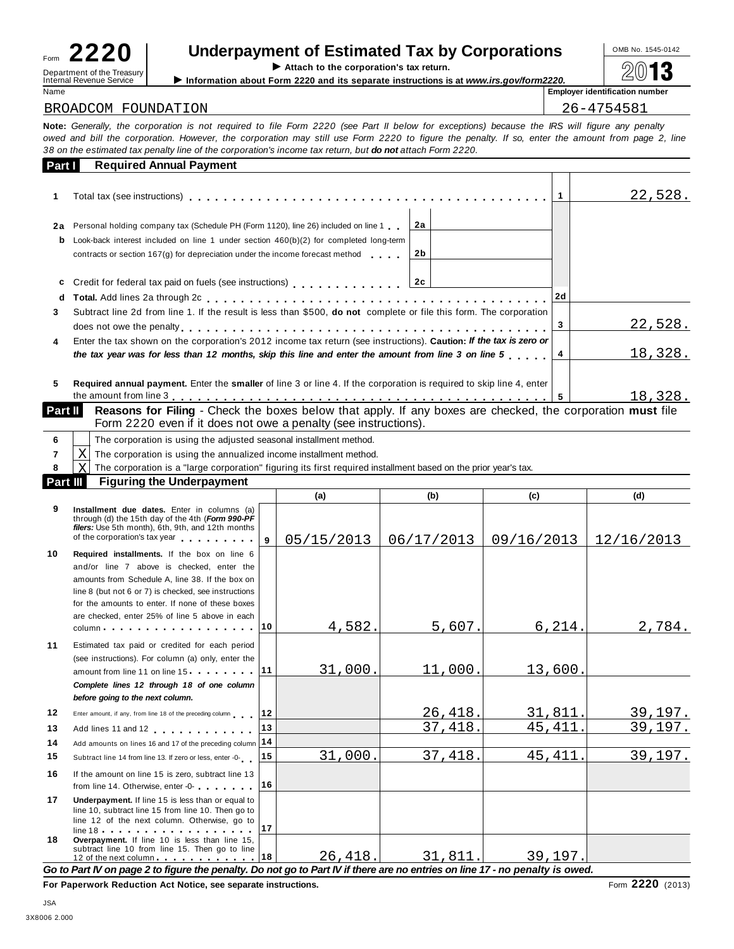| Form                     |  |                            |  |
|--------------------------|--|----------------------------|--|
| Internal Revenue Service |  | Department of the Treasury |  |

# Underpayment of Estimated Tax by Corporations  $\frac{100\text{dB No. }1545-0142}{20}$

 $\blacktriangleright$  Attach to the corporation's tax return.

Internal Revenue Service III information about Form 2220 and its separate instructions is at *www.irs.gov/form2220.*<br>Name Internal Revenue Service III information about Form 2220 and its separate instructions is at *www.i* 

**Employer identification number** 

#### BROADCOM FOUNDATION 26-4754581

Note: Generally, the corporation is not required to file Form 2220 (see Part II below for exceptions) because the IRS will figure any penalty owed and bill the corporation. However, the corporation may still use Form 2220 to figure the penalty. If so, enter the amount from page 2, line 38 on the estimated tax penalty line of the corporation's income tax return, but do not attach Form 2220.

| Part I  | <b>Required Annual Payment</b>                                                                                                                                                                                                                                  |          |         |    |         |
|---------|-----------------------------------------------------------------------------------------------------------------------------------------------------------------------------------------------------------------------------------------------------------------|----------|---------|----|---------|
|         |                                                                                                                                                                                                                                                                 |          |         |    | 22,528. |
| 2a<br>b | Personal holding company tax (Schedule PH (Form 1120), line 26) included on line 1.<br>Look-back interest included on line 1 under section $460(b)(2)$ for completed long-term<br>contracts or section 167(g) for depreciation under the income forecast method | 2a<br>2b |         |    |         |
| C<br>d  | Credit for federal tax paid on fuels (see instructions)<br>2c                                                                                                                                                                                                   |          |         | 2d |         |
| 3.      | Subtract line 2d from line 1. If the result is less than \$500, <b>do not</b> complete or file this form. The corporation                                                                                                                                       |          |         | 3  | 22,528. |
| 4       | Enter the tax shown on the corporation's 2012 income tax return (see instructions). Caution: If the tax is zero or<br>the tax year was for less than 12 months, skip this line and enter the amount from line 3 on line 5                                       |          | 18,328. |    |         |
| 5       | Required annual payment. Enter the smaller of line 3 or line 4. If the corporation is required to skip line 4, enter                                                                                                                                            |          |         |    | 18,328. |
|         | Part II<br><b>Reasons for Filing</b> - Check the boxes below that apply. If any boxes are checked, the corporation must file                                                                                                                                    |          |         |    |         |

|                                                                 | . |  |
|-----------------------------------------------------------------|---|--|
| Form 2220 even if it does not owe a penalty (see instructions). |   |  |

|          |     | The corporation is using the adjusted seasonal installment method.                                              |        |              |  |                |  |
|----------|-----|-----------------------------------------------------------------------------------------------------------------|--------|--------------|--|----------------|--|
|          | X I | The corporation is using the annualized income installment method.                                              |        |              |  |                |  |
|          | ΧI  | The corporation is a "large corporation" figuring its first required installment based on the prior year's tax. |        |              |  |                |  |
| Part III |     | <b>Figuring the Underpayment</b>                                                                                |        |              |  |                |  |
|          |     |                                                                                                                 | $\sim$ | $\mathbf{f}$ |  | $\overline{A}$ |  |

|                     |                                                                                                                                                                                                                                                                                                           |              | (a)               | (b)                 | (c)                           | (d)        |
|---------------------|-----------------------------------------------------------------------------------------------------------------------------------------------------------------------------------------------------------------------------------------------------------------------------------------------------------|--------------|-------------------|---------------------|-------------------------------|------------|
| 9                   | Installment due dates. Enter in columns (a)<br>through (d) the 15th day of the 4th (Form 990-PF<br>filers: Use 5th month), 6th, 9th, and 12th months<br>of the corporation's tax year and the corporation's tax year                                                                                      | $\mathbf{g}$ | 05/15/2013        | 06/17/2013          | 09/16/2013                    | 12/16/2013 |
| 10                  | Required installments. If the box on line 6<br>and/or line 7 above is checked, enter the<br>amounts from Schedule A, line 38. If the box on<br>line 8 (but not 6 or 7) is checked, see instructions<br>for the amounts to enter. If none of these boxes<br>are checked, enter 25% of line 5 above in each | $ 10\rangle$ | 4,582.            | 5,607.              | 6, 214.                       | 2,784.     |
| 11                  | Estimated tax paid or credited for each period<br>(see instructions). For column (a) only, enter the<br>amount from line 11 on line $15 \cdot \cdot \cdot \cdot \cdot \cdot \cdot$   11<br>Complete lines 12 through 18 of one column<br>before going to the next column.                                 |              | 31,000.           | $11,000$ .          | 13,600.                       |            |
| 12                  | Enter amount, if any, from line 18 of the preceding column                                                                                                                                                                                                                                                | 12           |                   | 26,418.             | 31,811.                       | 39,197.    |
| 13<br>14            | Add lines 11 and 12<br>Add amounts on lines 16 and 17 of the preceding column 14                                                                                                                                                                                                                          | 13           |                   | 37,418.             | 45, 411.                      | 39,197.    |
| 15                  | Subtract line 14 from line 13. If zero or less, enter -0-                                                                                                                                                                                                                                                 | 15           | 31,000.           | 37,418.             | 45, 411.                      | 39,197.    |
| 16                  | If the amount on line 15 is zero, subtract line 13<br>from line 14. Otherwise, enter -0-                                                                                                                                                                                                                  | 16           |                   |                     |                               |            |
| 17                  | Underpayment. If line 15 is less than or equal to<br>line 10, subtract line 15 from line 10. Then go to<br>line 12 of the next column. Otherwise, go to<br>$line 18$                                                                                                                                      | 17           |                   |                     |                               |            |
| 18<br>$\sim$ $\sim$ | Overpayment. If line 10 is less than line 15,<br>subtract line 10 from line 15. Then go to line<br>12 of the next column 18<br>Dout Bloom money O to flow we the monethy. Dr                                                                                                                              |              | 26,418.<br>n-<br> | 31,811.<br>$t = -1$ | 39,197.<br>المستنبط المقارحين |            |

Go to Part IV on page 2 to figure the penalty. Do not go to Part IV if there are no entries on line 17 - no penalty is owed.

**For Paperwork Reduction Act Notice, see separate instructions.** Form 2220 (2013)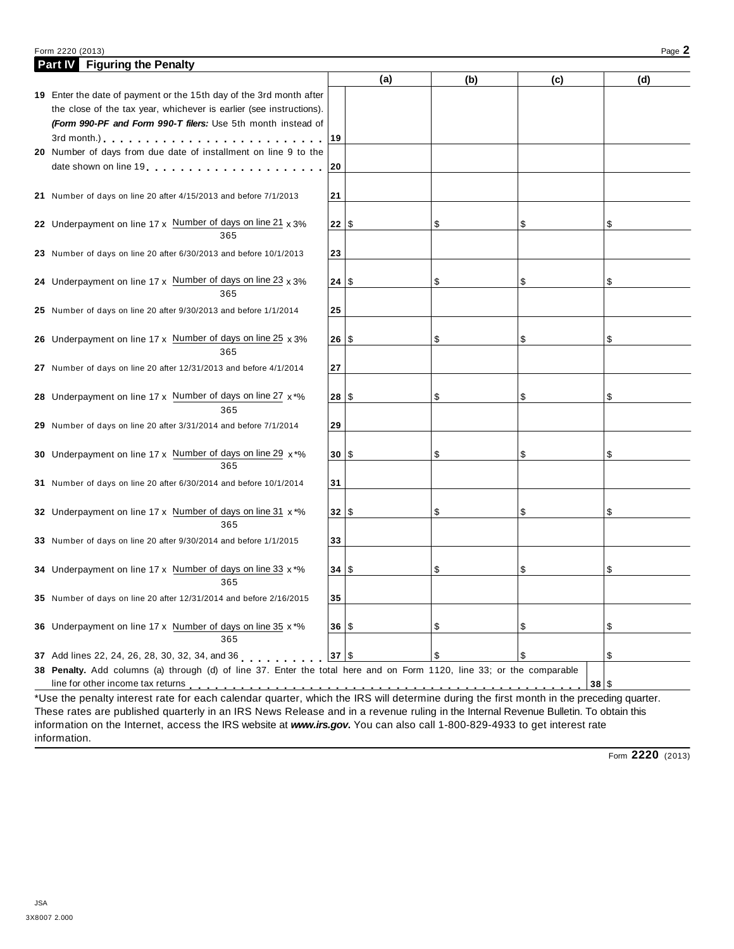#### Form <sup>2220</sup> (2013) Page **2**

| <b>Part IV</b> Figuring the Penalty                                                                                                     |           |     |     |      |     |
|-----------------------------------------------------------------------------------------------------------------------------------------|-----------|-----|-----|------|-----|
|                                                                                                                                         |           | (a) | (b) | (c)  | (d) |
| 19 Enter the date of payment or the 15th day of the 3rd month after                                                                     |           |     |     |      |     |
| the close of the tax year, whichever is earlier (see instructions).                                                                     |           |     |     |      |     |
| (Form 990-PF and Form 990-T filers: Use 5th month instead of                                                                            |           |     |     |      |     |
| $3$ rd month.)<br>$\ldots$                                                                                                              | 19        |     |     |      |     |
| 20 Number of days from due date of installment on line 9 to the                                                                         |           |     |     |      |     |
|                                                                                                                                         | 20        |     |     |      |     |
|                                                                                                                                         |           |     |     |      |     |
| 21 Number of days on line 20 after 4/15/2013 and before 7/1/2013                                                                        | 21        |     |     |      |     |
|                                                                                                                                         |           |     |     |      |     |
| 22 Underpayment on line $17 \times$ Number of days on line $21 \times 3\%$                                                              | $22  $ \$ |     | \$  | \$   | \$  |
| 365                                                                                                                                     |           |     |     |      |     |
| 23 Number of days on line 20 after 6/30/2013 and before 10/1/2013                                                                       | 23        |     |     |      |     |
|                                                                                                                                         |           |     |     |      |     |
| 24 Underpayment on line $17 \times$ Number of days on line 23 $\times$ 3%                                                               | 24 S      |     | \$  | \$   | \$  |
| 365                                                                                                                                     |           |     |     |      |     |
| 25 Number of days on line 20 after 9/30/2013 and before 1/1/2014                                                                        | 25        |     |     |      |     |
|                                                                                                                                         |           |     |     |      |     |
| 26 Underpayment on line 17 x Number of days on line 25 x 3%                                                                             | 26 S      |     | \$  | \$   | \$  |
| 365                                                                                                                                     |           |     |     |      |     |
| 27 Number of days on line 20 after 12/31/2013 and before 4/1/2014                                                                       | 27        |     |     |      |     |
|                                                                                                                                         |           |     |     |      |     |
| 28 Underpayment on line 17 x Number of days on line 27 $x^*$ %<br>365                                                                   | 28 S      |     | \$  | \$   | \$  |
|                                                                                                                                         |           |     |     |      |     |
| 29 Number of days on line 20 after 3/31/2014 and before 7/1/2014                                                                        | 29        |     |     |      |     |
| 30 Underpayment on line 17 x Number of days on line 29 x*%                                                                              | 30 S      |     | \$  | \$   | \$  |
| 365                                                                                                                                     |           |     |     |      |     |
| 31 Number of days on line 20 after 6/30/2014 and before 10/1/2014                                                                       | 31        |     |     |      |     |
|                                                                                                                                         |           |     |     |      |     |
| 32 Underpayment on line 17 x Number of days on line 31 x *%                                                                             | 32 S      |     | \$  | \$   | \$  |
| 365                                                                                                                                     |           |     |     |      |     |
| 33 Number of days on line 20 after 9/30/2014 and before 1/1/2015                                                                        | 33        |     |     |      |     |
|                                                                                                                                         |           |     |     |      |     |
| 34 Underpayment on line 17 x Number of days on line 33 x *%                                                                             | 34 S      |     | \$  | \$   | \$  |
| 365                                                                                                                                     |           |     |     |      |     |
| 35 Number of days on line 20 after 12/31/2014 and before 2/16/2015                                                                      | 35        |     |     |      |     |
|                                                                                                                                         |           |     |     |      |     |
| 36 Underpayment on line 17 x Number of days on line 35 x *%                                                                             | 36 S      |     | \$  | \$   | \$  |
| 365                                                                                                                                     |           |     |     |      |     |
| 37 Add lines 22, 24, 26, 28, 30, 32, 34, and 36                                                                                         | $37$ \\$  |     | \$  | \$   | \$  |
| 38 Penalty. Add columns (a) through (d) of line 37. Enter the total here and on Form 1120, line 33; or the comparable                   |           |     |     |      |     |
| line for other income tax returns                                                                                                       |           |     |     | 38 S |     |
| *Use the penalty interest rate for each calendar quarter, which the IRS will determine during the first month in the preceding quarter. |           |     |     |      |     |

\*Use the penalty interest rate for each calendar quarter, which the IRS will determine during the first month in the preceding quarter. These rates are published quarterly in an IRS News Release and in a revenue ruling in the Internal Revenue Bulletin. To obtain this information on the Internet, access the IRS website at *www.irs.gov***.** You can also call 1-800-829-4933 to get interest rate information.

Form **2220** (2013)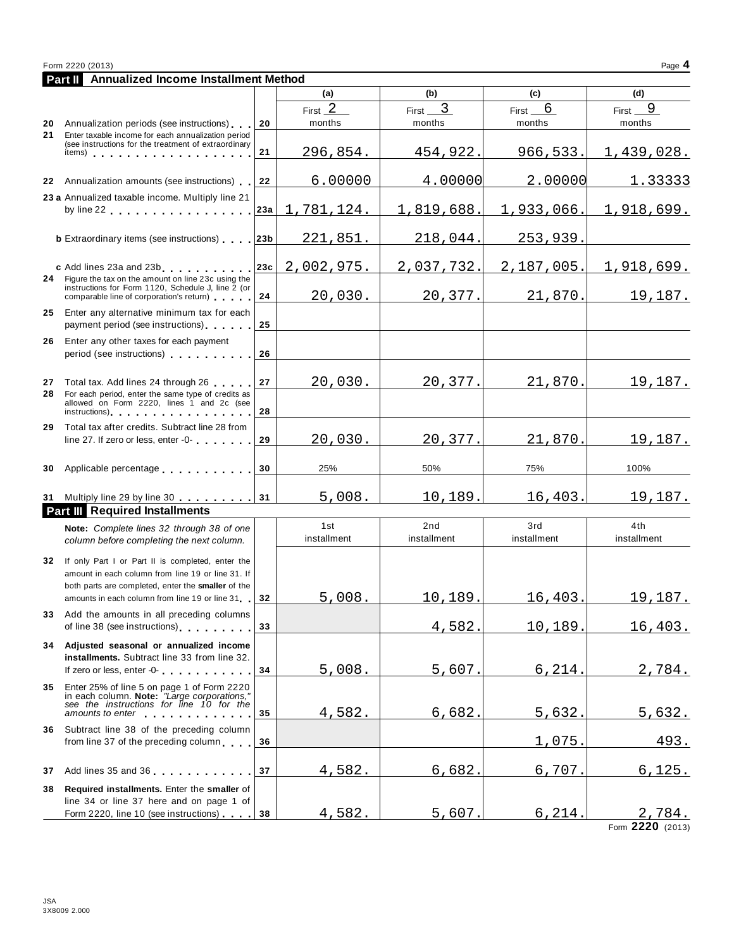|          | Form 2220 (2013)<br>Page 4                                                                                                                                                                                                                                                       |          |                     |                        |                     |                     |  |
|----------|----------------------------------------------------------------------------------------------------------------------------------------------------------------------------------------------------------------------------------------------------------------------------------|----------|---------------------|------------------------|---------------------|---------------------|--|
|          | <b>Part II</b> Annualized Income Installment Method                                                                                                                                                                                                                              |          |                     |                        |                     |                     |  |
|          |                                                                                                                                                                                                                                                                                  |          | (a)                 | (b)                    | (c)                 | (d)                 |  |
|          | 20 Annualization periods (see instructions)                                                                                                                                                                                                                                      | 20       | First $2$<br>months | First $\_\_$<br>months | $First_6$<br>months | First $9$<br>months |  |
| 21       | Enter taxable income for each annualization period<br>(see instructions for the treatment of extraordinary<br>items) $\cdots$ $\cdots$ $\cdots$ $\cdots$ $\cdots$                                                                                                                | 21       | 296,854.            | 454,922.               | 966,533.            | 1,439,028.          |  |
|          | 22 Annualization amounts (see instructions)                                                                                                                                                                                                                                      | 22       | 6.00000             | 4.00000                | 2.00000             | 1.33333             |  |
|          | 23 a Annualized taxable income. Multiply line 21<br>by line 22 and the state of the state of the state of the state of the state of the state of the state of the                                                                                                                | 23a      | 1,781,124.          | 1,819,688.             | 1,933,066.          | 1,918,699.          |  |
|          | <b>b</b> Extraordinary items (see instructions) 23b                                                                                                                                                                                                                              |          | 221,851.            | 218,044.               | 253,939.            |                     |  |
|          | c Add lines 23a and 23b<br>24 Figure the tax on the amount on line 23c using the<br>instructions for Form 1120, Schedule J, line 2 (or                                                                                                                                           | 23c      | 2,002,975.          | 2,037,732.             | 2,187,005.          | 1,918,699.          |  |
| 25       | comparable line of corporation's return)<br>Enter any alternative minimum tax for each                                                                                                                                                                                           | 24<br>25 | 20,030.             | 20,377.                | 21,870.             | 19,187.             |  |
| 26       | payment period (see instructions)<br>Enter any other taxes for each payment<br>period (see instructions)                                                                                                                                                                         | 26       |                     |                        |                     |                     |  |
| 27<br>28 | Total tax. Add lines 24 through 26<br>For each period, enter the same type of credits as<br>allowed on Form 2220, lines 1 and 2c (see                                                                                                                                            | 27       | 20,030.             | 20,377.                | 21,870.             | 19,187.             |  |
| 29       | instructions) and the contract of the contract of the contract of the contract of the contract of the contract of the contract of the contract of the contract of the contract of the contract of the contract of the contract<br>Total tax after credits. Subtract line 28 from | 28       |                     |                        |                     |                     |  |
|          | line 27. If zero or less, enter -0-                                                                                                                                                                                                                                              | 29       | 20,030.             | 20,377.                | 21,870.             | 19,187.             |  |
| 30       | Applicable percentage experience and a series of the series of the series of the series of the series of the s                                                                                                                                                                   | 30       | 25%                 | 50%                    | 75%                 | 100%                |  |
|          | 31 Multiply line 29 by line 30<br><b>Part III</b> Required Installments                                                                                                                                                                                                          | 31       | 5,008.              | 10,189                 | 16,403              | 19,187.             |  |
|          | Note: Complete lines 32 through 38 of one<br>column before completing the next column.                                                                                                                                                                                           |          | 1st<br>installment  | 2nd<br>installment     | 3rd<br>installment  | 4th<br>installment  |  |
|          | 32 If only Part I or Part II is completed, enter the<br>amount in each column from line 19 or line 31. If<br>both parts are completed, enter the smaller of the<br>amounts in each column from line 19 or line 31                                                                | 32       | 5,008.              | 10,189.                | 16,403.             | <u>19,187.</u>      |  |
| 33       | Add the amounts in all preceding columns<br>of line 38 (see instructions)                                                                                                                                                                                                        | 33       |                     | 4,582                  | 10,189              | 16,403.             |  |
| 34       | Adjusted seasonal or annualized income<br>installments. Subtract line 33 from line 32.<br>If zero or less, enter -0-                                                                                                                                                             | 34       | 5,008.              | 5,607                  | 6,214               | 2,784.              |  |
| 35       | Enter 25% of line 5 on page 1 of Form 2220<br>in each column. Note: "Large corporations,"<br>see the instructions for line 10 for the<br>amounts to enter                                                                                                                        | 35       | 4,582.              | 6,682                  | 5,632               | <u>5,632.</u>       |  |
| 36       | Subtract line 38 of the preceding column<br>from line 37 of the preceding column                                                                                                                                                                                                 | 36       |                     |                        | 1,075               | 493.                |  |
| 37       | Add lines 35 and 36                                                                                                                                                                                                                                                              | 37       | 4,582.              | 6,682                  | 6,707               | 6, 125.             |  |
| 38       | Required installments. Enter the smaller of<br>line 34 or line 37 here and on page 1 of                                                                                                                                                                                          |          |                     |                        |                     |                     |  |
|          | Form 2220, line 10 (see instructions)                                                                                                                                                                                                                                            | 38       | 4,582.              | 5,607                  | 6, 214.             | 2,784.              |  |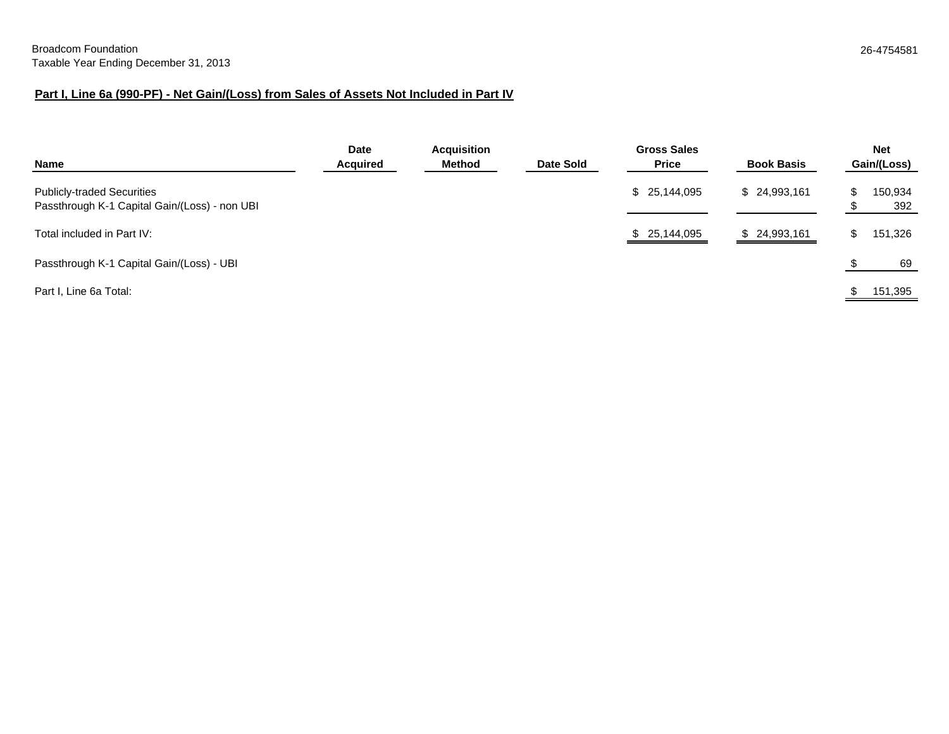# **Part I, Line 6a (990-PF) - Net Gain/(Loss) from Sales of Assets Not Included in Part IV**

| Name                                                                               | <b>Date</b><br><b>Acquired</b> | <b>Acquisition</b><br>Method | Date Sold | <b>Gross Sales</b><br><b>Price</b> | <b>Book Basis</b> | <b>Net</b><br>Gain/(Loss) |
|------------------------------------------------------------------------------------|--------------------------------|------------------------------|-----------|------------------------------------|-------------------|---------------------------|
| <b>Publicly-traded Securities</b><br>Passthrough K-1 Capital Gain/(Loss) - non UBI |                                |                              |           | \$ 25,144,095                      | \$24,993,161      | 150,934<br>392            |
| Total included in Part IV:                                                         |                                |                              |           | \$25,144,095                       | \$24,993,161      | \$<br>151,326             |
| Passthrough K-1 Capital Gain/(Loss) - UBI                                          |                                |                              |           |                                    |                   | 69                        |
| Part I, Line 6a Total:                                                             |                                |                              |           |                                    |                   | 151,395                   |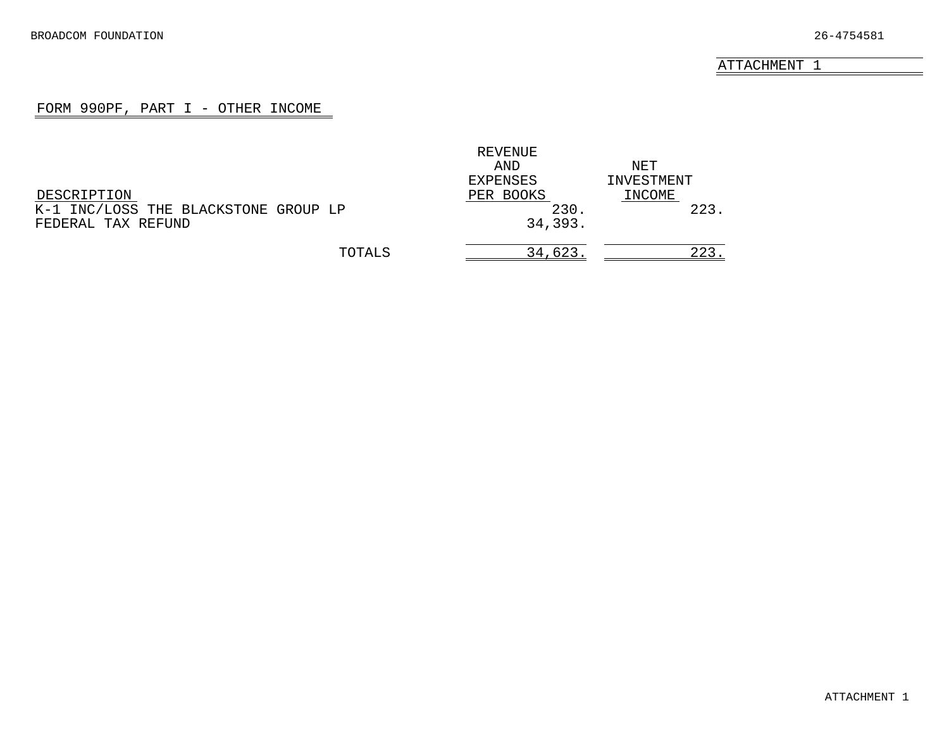#### FORM 990PF, PART I - OTHER INCOME

<span id="page-21-0"></span>

|                                      | REVENUE   |            |
|--------------------------------------|-----------|------------|
|                                      | AND       | NET        |
|                                      | EXPENSES  | INVESTMENT |
| DESCRIPTION                          | PER BOOKS | INCOME     |
| K-1 INC/LOSS THE BLACKSTONE GROUP LP | 230.      | 223        |
| FEDERAL TAX REFUND                   | 34,393.   |            |
| TOTALS                               | 34,623.   | 223        |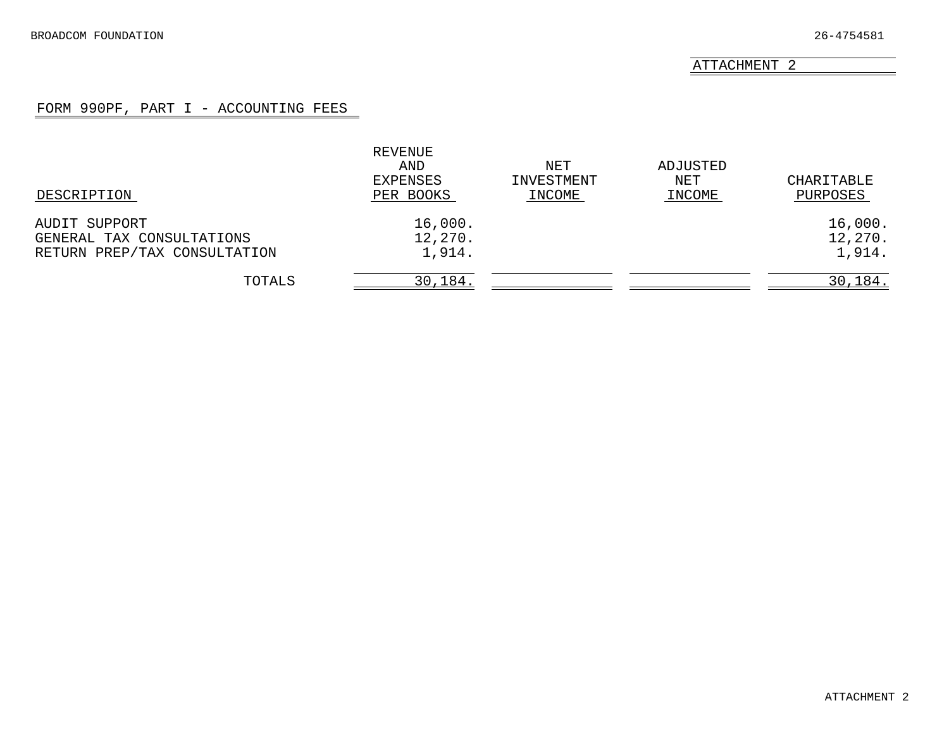### FORM 990PF, PART I - ACCOUNTING FEES

<span id="page-22-0"></span>

| DESCRIPTION                  | REVENUE<br>AND<br>EXPENSES<br>PER BOOKS | NET<br>INVESTMENT<br>INCOME | ADJUSTED<br>NET<br>INCOME | CHARITABLE<br>PURPOSES |
|------------------------------|-----------------------------------------|-----------------------------|---------------------------|------------------------|
| AUDIT SUPPORT                | 16,000.                                 |                             |                           | 16,000.                |
| GENERAL TAX CONSULTATIONS    | 12,270.                                 |                             |                           | 12,270.                |
| RETURN PREP/TAX CONSULTATION | 1,914.                                  |                             |                           | 1,914.                 |
| TOTALS                       | 30,184.                                 |                             |                           | 30, 184.               |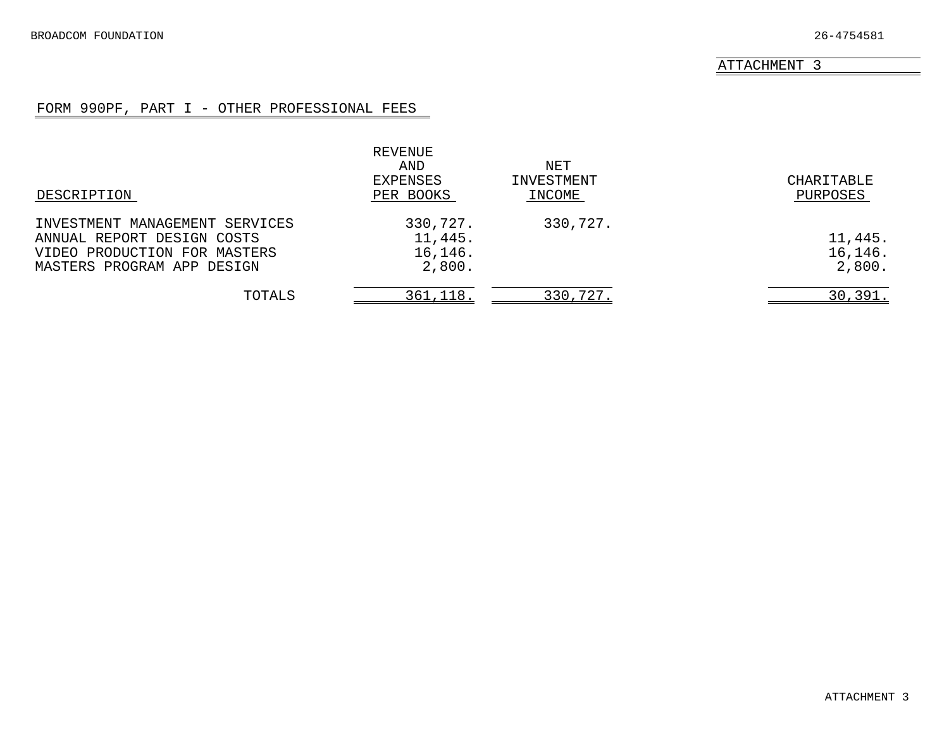# FORM 990PF, PART I - OTHER PROFESSIONAL FEES

<span id="page-23-0"></span>

|                                | REVENUE<br>AND<br>EXPENSES | NET<br>INVESTMENT | CHARITABLE |
|--------------------------------|----------------------------|-------------------|------------|
| DESCRIPTION                    | PER BOOKS                  | INCOME            | PURPOSES   |
| INVESTMENT MANAGEMENT SERVICES | 330,727.                   | 330,727.          |            |
| ANNUAL REPORT DESIGN COSTS     | 11,445.                    |                   | 11,445.    |
| VIDEO PRODUCTION FOR MASTERS   | 16, 146.                   |                   | 16, 146.   |
| MASTERS PROGRAM APP DESIGN     | 2,800.                     |                   | 2,800.     |
| TOTALS                         | 361,118.                   | 330,727.          | 30,391.    |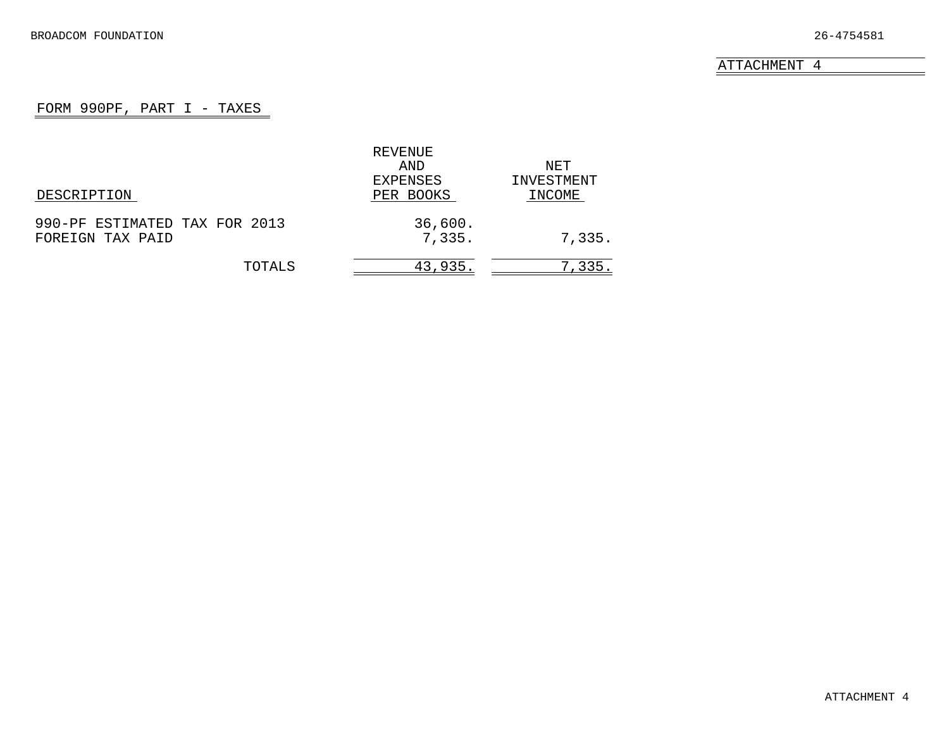# FORM 990PF, PART I - TAXES

<span id="page-24-0"></span>

|                               | REVENUE   |            |
|-------------------------------|-----------|------------|
|                               | AND       | NET        |
|                               | EXPENSES  | INVESTMENT |
| DESCRIPTION                   | PER BOOKS | INCOME     |
| 990-PF ESTIMATED TAX FOR 2013 | 36,600.   |            |
| FOREIGN TAX PAID              | 7,335.    | 7,335.     |
| TOTALS                        | 43,935.   | 7,335.     |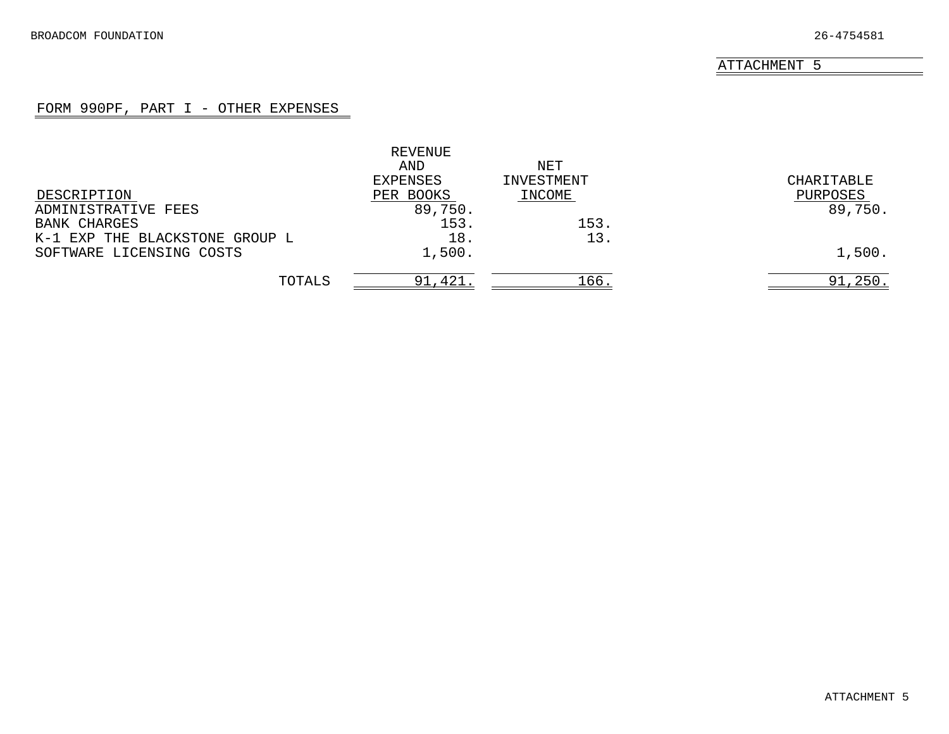### FORM 990PF, PART I - OTHER EXPENSES

<span id="page-25-0"></span>

|                                | REVENUE   |            |            |
|--------------------------------|-----------|------------|------------|
|                                | AND       | NET        |            |
|                                | EXPENSES  | INVESTMENT | CHARITABLE |
| DESCRIPTION                    | PER BOOKS | INCOME     | PURPOSES   |
| ADMINISTRATIVE FEES            | 89,750.   |            | 89,750.    |
| <b>BANK CHARGES</b>            | 153.      | 153.       |            |
| K-1 EXP THE BLACKSTONE GROUP L | 18.       | 13.        |            |
| SOFTWARE LICENSING COSTS       | 1,500.    |            | 1,500.     |
| TOTALS                         | 91,421    | 166.       | 91,250.    |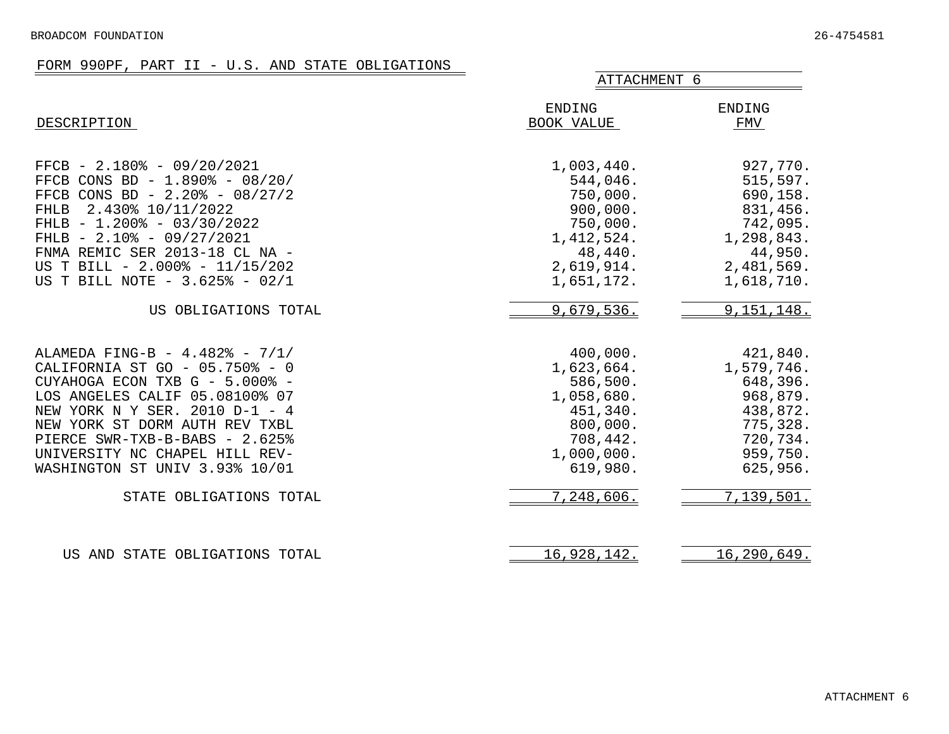# FORM 990PF, PART II - U.S. AND STATE OBLIGATIONS

<span id="page-26-0"></span>

|                                                                                                                                                                                                                                                                                                                                           | ATTACHMENT 6                                                                                                                 |                                                                                                                          |  |  |
|-------------------------------------------------------------------------------------------------------------------------------------------------------------------------------------------------------------------------------------------------------------------------------------------------------------------------------------------|------------------------------------------------------------------------------------------------------------------------------|--------------------------------------------------------------------------------------------------------------------------|--|--|
| DESCRIPTION                                                                                                                                                                                                                                                                                                                               | ENDING<br>BOOK VALUE                                                                                                         | <b>ENDING</b><br>FMV                                                                                                     |  |  |
| $FFCB - 2.180$ - 09/20/2021<br>FFCB CONS BD - 1.890% - 08/20/<br>FFCB CONS BD - $2.20\%$ - 08/27/2<br>2.430% 10/11/2022<br><b>FHLB</b><br>FHLB $- 1.200$ $- 03/30/2022$<br>FHLB - $2.10$ - $09/27/2021$<br>FNMA REMIC SER 2013-18 CL NA -<br>US T BILL - 2.000% - 11/15/202<br>US T BILL NOTE - 3.625% - 02/1                             | 1,003,440.<br>544,046.<br>750,000.<br>900,000.<br>750,000.<br>1,412,524.<br>48,440.<br>2,619,914.<br>1,651,172.              | 927,770.<br>515,597.<br>690,158.<br>831,456.<br>742,095.<br>1,298,843.<br>44,950.<br>2,481,569.<br>1,618,710.            |  |  |
| US OBLIGATIONS TOTAL                                                                                                                                                                                                                                                                                                                      | 9,679,536.                                                                                                                   | 9,151,148.                                                                                                               |  |  |
| ALAMEDA FING-B - 4.482% - 7/1/<br>CALIFORNIA ST GO - 05.750% - 0<br>CUYAHOGA ECON TXB G - 5.000% -<br>LOS ANGELES CALIF 05.08100% 07<br>NEW YORK N Y SER. 2010 D-1 - 4<br>NEW YORK ST DORM AUTH REV TXBL<br>PIERCE SWR-TXB-B-BABS - 2.625%<br>UNIVERSITY NC CHAPEL HILL REV-<br>WASHINGTON ST UNIV 3.93% 10/01<br>STATE OBLIGATIONS TOTAL | 400,000.<br>1,623,664.<br>586,500.<br>1,058,680.<br>451,340.<br>800,000.<br>708,442.<br>1,000,000.<br>619,980.<br>7,248,606. | 421,840.<br>1,579,746.<br>648,396.<br>968,879.<br>438,872.<br>775,328.<br>720,734.<br>959,750.<br>625,956.<br>7,139,501. |  |  |
| US AND STATE OBLIGATIONS TOTAL                                                                                                                                                                                                                                                                                                            | 16,928,142.                                                                                                                  | 16,290,649.                                                                                                              |  |  |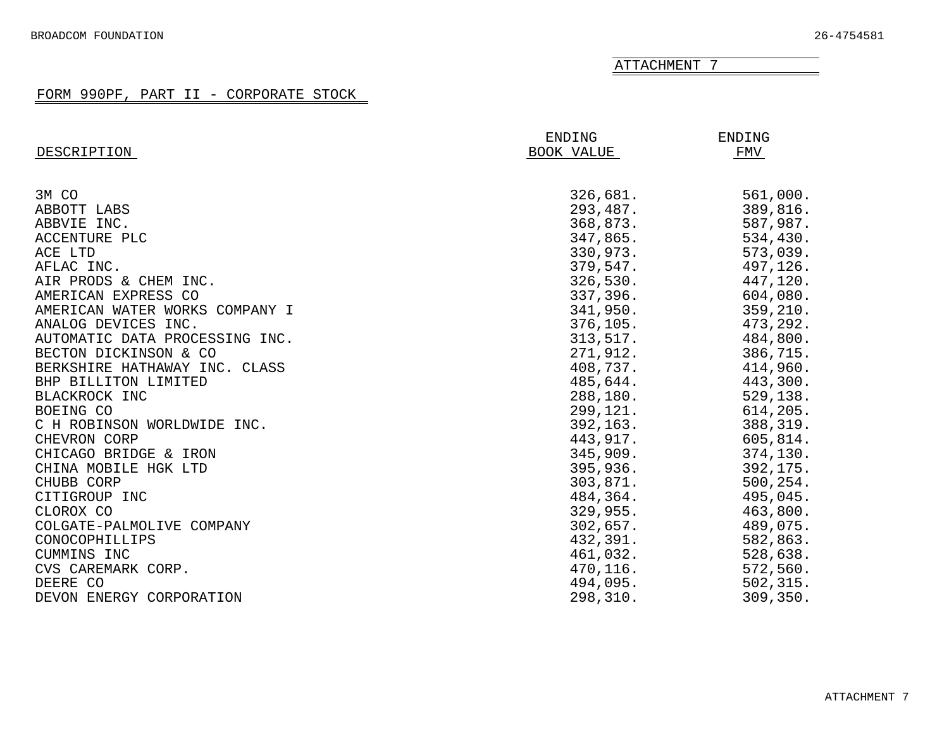<span id="page-27-0"></span>

|                                | ENDING     | ENDING    |
|--------------------------------|------------|-----------|
| DESCRIPTION                    | BOOK VALUE | FMV       |
|                                |            |           |
| 3M CO                          | 326,681.   | 561,000.  |
| ABBOTT LABS                    | 293,487.   | 389,816.  |
| ABBVIE INC.                    | 368,873.   | 587,987.  |
| ACCENTURE PLC                  | 347,865.   | 534,430.  |
| ACE LTD                        | 330,973.   | 573,039.  |
| AFLAC INC.                     | 379,547.   | 497,126.  |
| AIR PRODS & CHEM INC.          | 326,530.   | 447,120.  |
| AMERICAN EXPRESS CO            | 337,396.   | 604,080.  |
| AMERICAN WATER WORKS COMPANY I | 341,950.   | 359,210.  |
| ANALOG DEVICES INC.            | 376, 105.  | 473,292.  |
| AUTOMATIC DATA PROCESSING INC. | 313,517.   | 484,800.  |
| BECTON DICKINSON & CO          | 271,912.   | 386,715.  |
| BERKSHIRE HATHAWAY INC. CLASS  | 408,737.   | 414,960.  |
| BHP BILLITON LIMITED           | 485,644.   | 443,300.  |
| BLACKROCK INC                  | 288,180.   | 529,138.  |
| BOEING CO                      | 299,121.   | 614,205.  |
| C H ROBINSON WORLDWIDE INC.    | 392, 163.  | 388,319.  |
| CHEVRON CORP                   | 443,917.   | 605,814.  |
| CHICAGO BRIDGE & IRON          | 345,909.   | 374,130.  |
| CHINA MOBILE HGK LTD           | 395,936.   | 392,175.  |
| CHUBB CORP                     | 303,871.   | 500, 254. |
| CITIGROUP INC                  | 484,364.   | 495,045.  |
| CLOROX CO                      | 329,955.   | 463,800.  |
| COLGATE-PALMOLIVE COMPANY      | 302,657.   | 489,075.  |
| CONOCOPHILLIPS                 | 432,391.   | 582,863.  |
| CUMMINS INC                    | 461,032.   | 528,638.  |
| CVS CAREMARK CORP.             | 470,116.   | 572,560.  |
| DEERE CO                       | 494,095.   | 502, 315. |
| DEVON ENERGY CORPORATION       | 298,310.   | 309,350.  |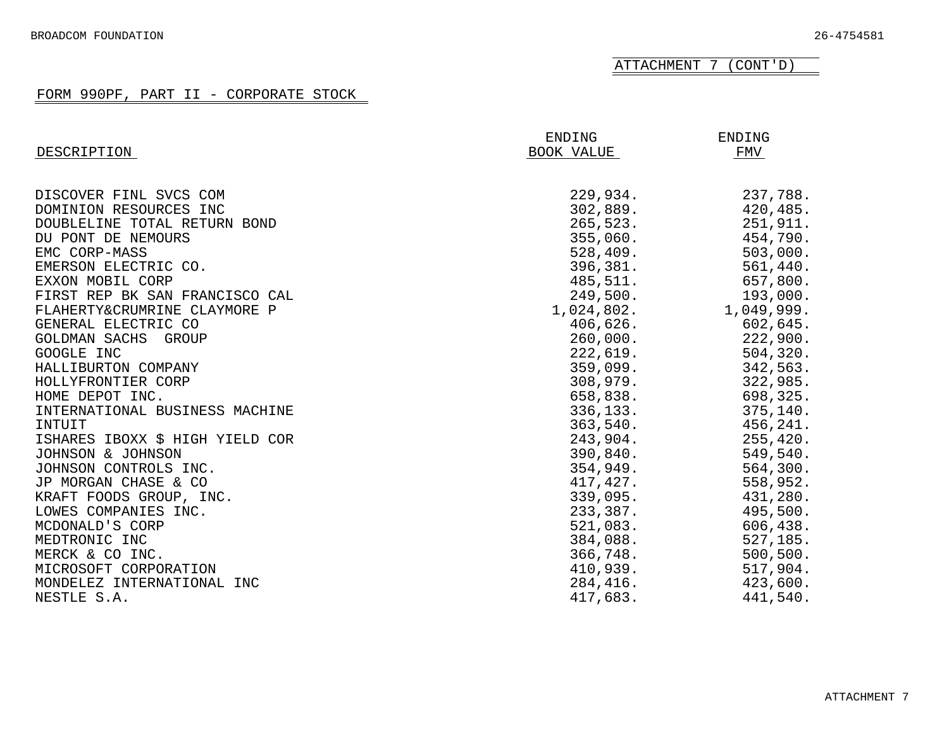ATTACHMENT 7 (CONT'D)

| DESCRIPTION                     | ENDING<br>BOOK VALUE | ENDING<br>FMV |
|---------------------------------|----------------------|---------------|
|                                 |                      |               |
| DISCOVER FINL SVCS COM          | 229,934.             | 237,788.      |
| DOMINION RESOURCES INC          | 302,889.             | 420,485.      |
| DOUBLELINE TOTAL RETURN BOND    | 265,523.             | 251,911.      |
| DU PONT DE NEMOURS              | 355,060.             | 454,790.      |
| EMC CORP-MASS                   | 528,409.             | 503,000.      |
| EMERSON ELECTRIC CO.            | 396,381.             | 561,440.      |
| EXXON MOBIL CORP                | 485,511.             | 657,800.      |
| FIRST REP BK SAN FRANCISCO CAL  | 249,500.             | 193,000.      |
| FLAHERTY&CRUMRINE CLAYMORE P    | 1,024,802.           | 1,049,999.    |
| GENERAL ELECTRIC CO             | 406,626.             | 602,645.      |
| GOLDMAN SACHS<br>GROUP          | 260,000.             | 222,900.      |
| GOOGLE INC                      | 222,619.             | 504, 320.     |
| HALLIBURTON COMPANY             | 359,099.             | 342,563.      |
| HOLLYFRONTIER CORP              | 308,979.             | 322,985.      |
| HOME DEPOT INC.                 | 658,838.             | 698,325.      |
| INTERNATIONAL BUSINESS MACHINE  | 336,133.             | 375, 140.     |
| INTUIT                          | 363,540.             | 456,241.      |
| ISHARES IBOXX \$ HIGH YIELD COR | 243,904.             | 255, 420.     |
| JOHNSON & JOHNSON               | 390,840.             | 549,540.      |
| JOHNSON CONTROLS INC.           | 354,949.             | 564,300.      |
| JP MORGAN CHASE & CO            | 417,427.             | 558,952.      |
| KRAFT FOODS GROUP, INC.         | 339,095.             | 431,280.      |
| LOWES COMPANIES INC.            | 233,387.             | 495,500.      |
| MCDONALD'S CORP                 | 521,083.             | 606,438.      |
| MEDTRONIC INC                   | 384,088.             | 527,185.      |
| MERCK & CO INC.                 | 366,748.             | 500, 500.     |
| MICROSOFT CORPORATION           | 410,939.             | 517,904.      |
| MONDELEZ INTERNATIONAL INC      | 284,416.             | 423,600.      |
| NESTLE S.A.                     | 417,683.             | 441,540.      |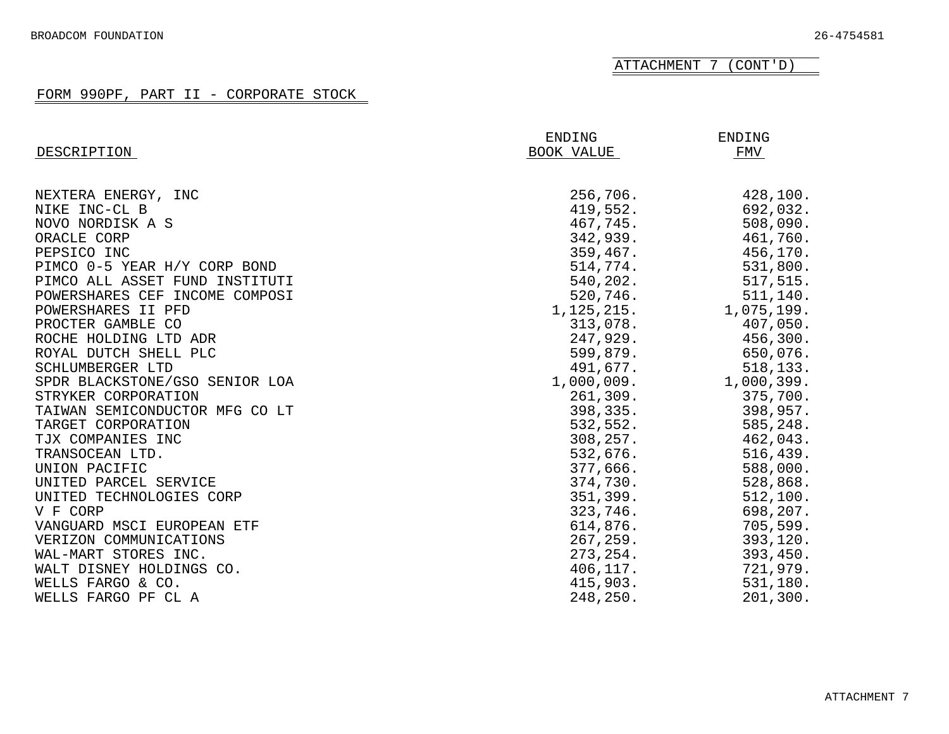ATTACHMENT 7 (CONT'D)

|                                | ENDING       | ENDING     |
|--------------------------------|--------------|------------|
| DESCRIPTION                    | BOOK VALUE   | FMV        |
|                                |              |            |
| NEXTERA ENERGY, INC            | 256,706.     | 428,100.   |
| NIKE INC-CL B                  | 419,552.     | 692,032.   |
| NOVO NORDISK A S               | 467,745.     | 508,090.   |
| ORACLE CORP                    | 342,939.     | 461,760.   |
| PEPSICO INC                    | 359,467.     | 456,170.   |
| PIMCO 0-5 YEAR H/Y CORP BOND   | 514,774.     | 531,800.   |
| PIMCO ALL ASSET FUND INSTITUTI | 540,202.     | 517,515.   |
| POWERSHARES CEF INCOME COMPOSI | 520,746.     | 511,140.   |
| POWERSHARES II PFD             | 1, 125, 215. | 1,075,199. |
| PROCTER GAMBLE CO              | 313,078.     | 407,050.   |
| ROCHE HOLDING LTD ADR          | 247,929.     | 456,300.   |
| ROYAL DUTCH SHELL PLC          | 599,879.     | 650,076.   |
| SCHLUMBERGER LTD               | 491,677.     | 518,133.   |
| SPDR BLACKSTONE/GSO SENIOR LOA | 1,000,009.   | 1,000,399. |
| STRYKER CORPORATION            | 261,309.     | 375,700.   |
| TAIWAN SEMICONDUCTOR MFG CO LT | 398, 335.    | 398,957.   |
| TARGET CORPORATION             | 532,552.     | 585,248.   |
| TJX COMPANIES INC              | 308, 257.    | 462,043.   |
| TRANSOCEAN LTD.                | 532,676.     | 516, 439.  |
| UNION PACIFIC                  | 377,666.     | 588,000.   |
| UNITED PARCEL SERVICE          | 374,730.     | 528,868.   |
| UNITED TECHNOLOGIES CORP       | 351,399.     | 512, 100.  |
| V F CORP                       | 323,746.     | 698,207.   |
| VANGUARD MSCI EUROPEAN ETF     | 614,876.     | 705,599.   |
| VERIZON COMMUNICATIONS         | 267, 259.    | 393,120.   |
| WAL-MART STORES INC.           | 273, 254.    | 393,450.   |
| WALT DISNEY HOLDINGS CO.       | 406,117.     | 721,979.   |
| WELLS FARGO & CO.              | 415,903.     | 531,180.   |
| WELLS FARGO PF CL A            | 248,250.     | 201, 300.  |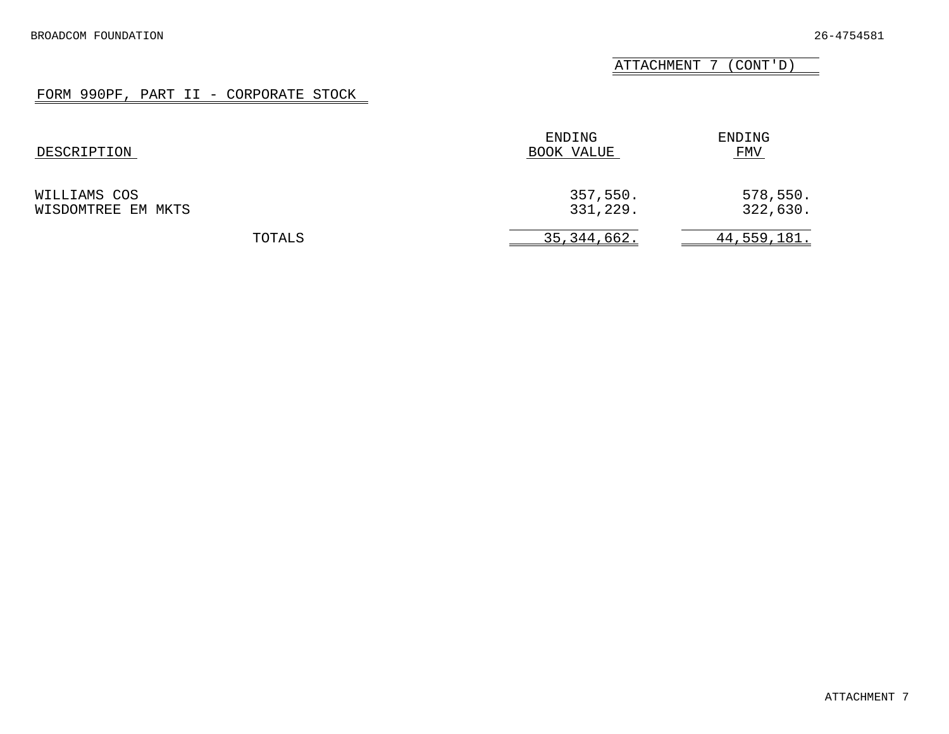ATTACHMENT 7 (CONT'D)

| DESCRIPTION                        | ENDING<br>BOOK VALUE | ENDING<br>FMV        |
|------------------------------------|----------------------|----------------------|
| WILLIAMS COS<br>WISDOMTREE EM MKTS | 357,550.<br>331,229. | 578,550.<br>322,630. |
| TOTALS                             | 35, 344, 662.        | <u>44,559,181.</u>   |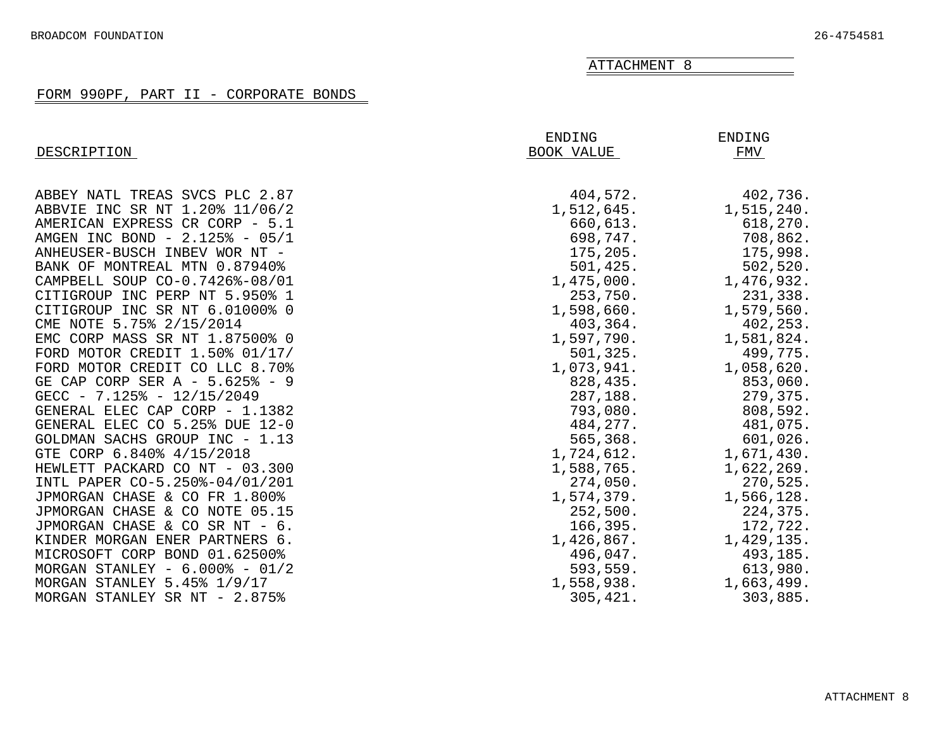# FORM 990PF, PART II - CORPORATE BONDS

<span id="page-31-0"></span>

| DESCRIPTION                       | ENDING<br>BOOK VALUE | ENDING<br>FMV |
|-----------------------------------|----------------------|---------------|
| ABBEY NATL TREAS SVCS PLC 2.87    | 404,572.             | 402,736.      |
| ABBVIE INC SR NT 1.20% 11/06/2    | 1,512,645.           | 1,515,240.    |
| AMERICAN EXPRESS CR CORP - 5.1    | 660,613.             | 618,270.      |
| AMGEN INC BOND - 2.125% - 05/1    | 698,747.             | 708,862.      |
| ANHEUSER-BUSCH INBEV WOR NT -     | 175,205.             | 175,998.      |
| BANK OF MONTREAL MTN 0.87940%     | 501,425.             | 502, 520.     |
| CAMPBELL SOUP CO-0.7426%-08/01    | 1,475,000.           | 1,476,932.    |
| CITIGROUP INC PERP NT 5.950% 1    | 253,750.             | 231,338.      |
| CITIGROUP INC SR NT 6.01000% 0    | 1,598,660.           | 1,579,560.    |
| CME NOTE 5.75% 2/15/2014          | 403,364.             | 402,253.      |
| EMC CORP MASS SR NT 1.87500% 0    | 1,597,790.           | 1,581,824.    |
| FORD MOTOR CREDIT 1.50% 01/17/    | 501, 325.            | 499,775.      |
| FORD MOTOR CREDIT CO LLC 8.70%    | 1,073,941.           | 1,058,620.    |
| GE CAP CORP SER A - 5.625% - 9    | 828,435.             | 853,060.      |
| GECC - $7.125\%$ - $12/15/2049$   | 287,188.             | 279,375.      |
| GENERAL ELEC CAP CORP - 1.1382    | 793,080.             | 808,592.      |
| GENERAL ELEC CO 5.25% DUE 12-0    | 484, 277.            | 481,075.      |
| GOLDMAN SACHS GROUP INC - 1.13    | 565,368.             | 601,026.      |
| GTE CORP 6.840% 4/15/2018         | 1,724,612.           | 1,671,430.    |
| HEWLETT PACKARD CO NT - 03.300    | 1,588,765.           | 1,622,269.    |
| INTL PAPER CO-5.250%-04/01/201    | 274,050.             | 270,525.      |
| JPMORGAN CHASE & CO FR 1.800%     | 1,574,379.           | 1,566,128.    |
| JPMORGAN CHASE & CO NOTE 05.15    | 252,500.             | 224,375.      |
| JPMORGAN CHASE & CO SR NT - 6.    | 166, 395.            | 172,722.      |
| KINDER MORGAN ENER PARTNERS 6.    | 1,426,867.           | 1,429,135.    |
| MICROSOFT CORP BOND 01.62500%     | 496,047.             | 493,185.      |
| MORGAN STANLEY - $6.000\%$ - 01/2 | 593,559.             | 613,980.      |
| MORGAN STANLEY 5.45% 1/9/17       | 1,558,938.           | 1,663,499.    |
| MORGAN STANLEY SR NT - 2.875%     | 305,421.             | 303,885.      |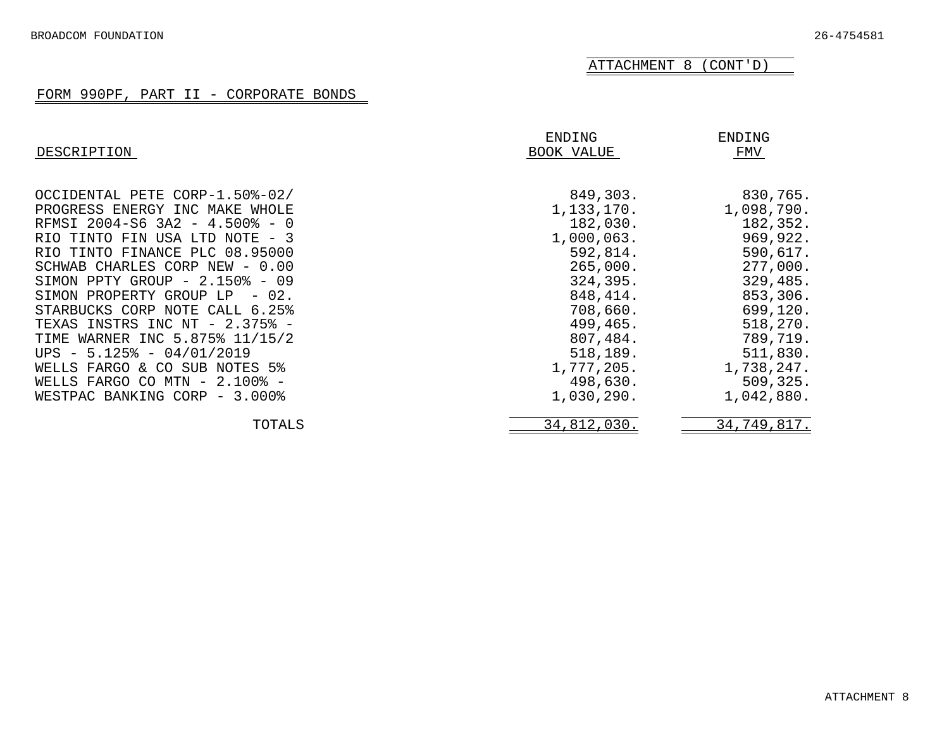# ATTACHMENT 8 (CONT'D)

# FORM 990PF, PART II - CORPORATE BONDS

| DESCRIPTION                                                                                                                                                                                                                                                                                                                                                                                                                                                                                                                         | ENDING<br>BOOK VALUE                                                                                                                                                                      | ENDING<br>FMV                                                                                                                                                                          |
|-------------------------------------------------------------------------------------------------------------------------------------------------------------------------------------------------------------------------------------------------------------------------------------------------------------------------------------------------------------------------------------------------------------------------------------------------------------------------------------------------------------------------------------|-------------------------------------------------------------------------------------------------------------------------------------------------------------------------------------------|----------------------------------------------------------------------------------------------------------------------------------------------------------------------------------------|
| OCCIDENTAL PETE CORP-1.50%-02/<br>PROGRESS ENERGY INC MAKE WHOLE<br>RFMSI 2004-S6 3A2 - 4.500% - 0<br>RIO TINTO FIN USA LTD NOTE - 3<br>RIO TINTO FINANCE PLC 08.95000<br>SCHWAB CHARLES CORP NEW -<br>0.00<br>SIMON PPTY GROUP $-2.150\% - 09$<br>SIMON PROPERTY GROUP LP<br>$-02.$<br>STARBUCKS CORP NOTE CALL 6.25%<br>TEXAS INSTRS INC NT - 2.375% -<br>TIME WARNER INC 5.875% 11/15/2<br>UPS $-5.125\% - 04/01/2019$<br>WELLS FARGO & CO SUB NOTES 5%<br>WELLS FARGO CO MTN $-2.100\%$ -<br>WESTPAC BANKING CORP<br>$-3.000\%$ | 849,303.<br>1,133,170.<br>182,030.<br>1,000,063.<br>592,814.<br>265,000.<br>324,395.<br>848, 414.<br>708,660.<br>499,465.<br>807,484.<br>518,189.<br>1,777,205.<br>498,630.<br>1,030,290. | 830,765.<br>1,098,790.<br>182,352.<br>969,922.<br>590,617.<br>277,000.<br>329,485.<br>853,306.<br>699,120.<br>518,270.<br>789,719.<br>511,830.<br>1,738,247.<br>509,325.<br>1,042,880. |
| TOTALS                                                                                                                                                                                                                                                                                                                                                                                                                                                                                                                              | 34,812,030.                                                                                                                                                                               | 34,749,817.                                                                                                                                                                            |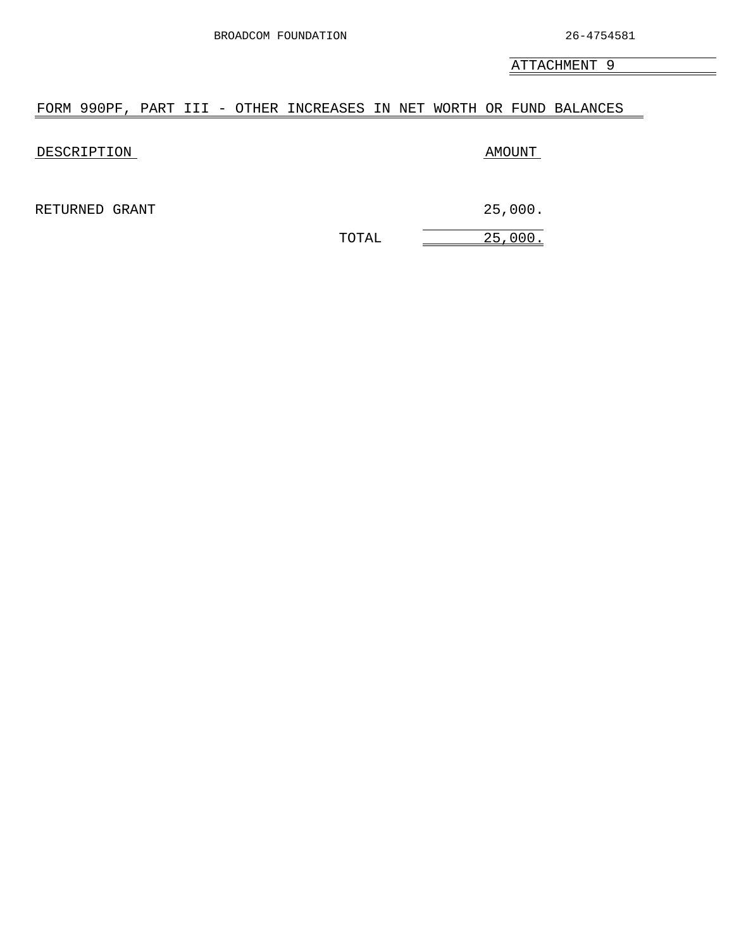### <span id="page-33-0"></span>FORM 990PF, PART III - OTHER INCREASES IN NET WORTH OR FUND BALANCES

DESCRIPTION AMOUNT

RETURNED GRANT 25,000.

TOTAL 25,000.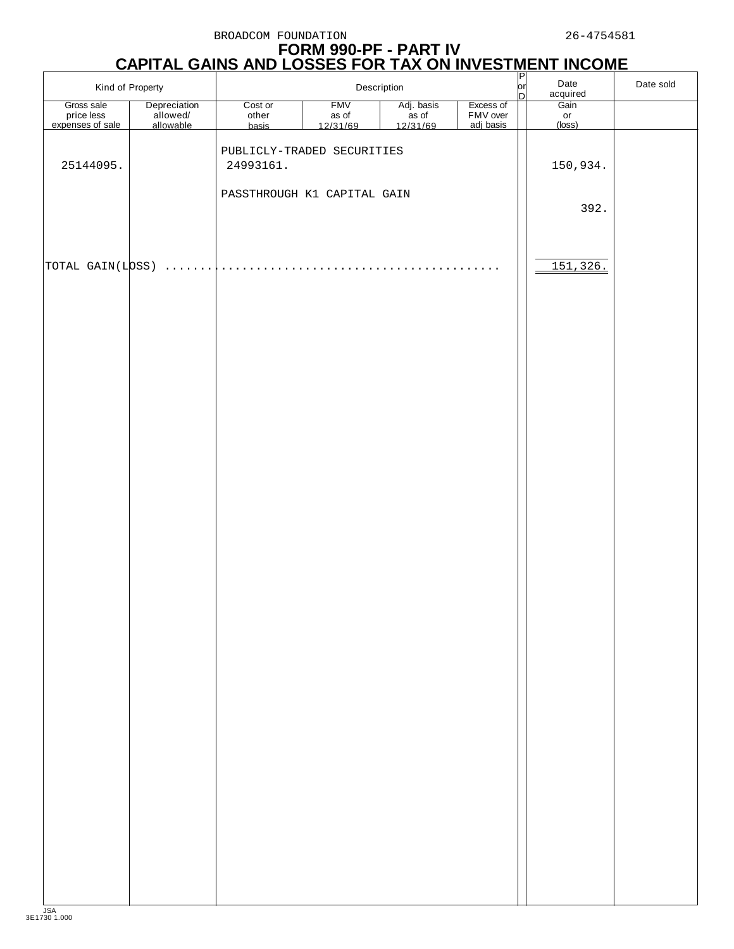# **FORM 990-PF - PART IV CAPITAL GAINS AND LOSSES FOR TAX ON INVESTMENT INCOME**

| Kind of Property               |                       | Description                 |                     |                                 |                       | $\frac{1}{2}$ | Date<br>acquired | Date sold |
|--------------------------------|-----------------------|-----------------------------|---------------------|---------------------------------|-----------------------|---------------|------------------|-----------|
| Gross sale                     | Depreciation          | Cost or<br>other            | <b>FMV</b>          | Adj. basis<br>as of<br>12/31/69 | Excess of             |               | Gain             |           |
| price less<br>expenses of sale | allowed/<br>allowable | basis                       | as of<br>$12/31/69$ |                                 | FMV over<br>adj basis |               | or<br>(loss)     |           |
|                                |                       |                             |                     |                                 |                       |               |                  |           |
| 25144095.                      |                       | PUBLICLY-TRADED SECURITIES  |                     |                                 |                       |               |                  |           |
|                                |                       | 24993161.                   |                     |                                 |                       |               | 150,934.         |           |
|                                |                       | PASSTHROUGH K1 CAPITAL GAIN |                     |                                 |                       |               |                  |           |
|                                |                       |                             |                     |                                 |                       |               | 392.             |           |
|                                |                       |                             |                     |                                 |                       |               |                  |           |
|                                |                       |                             |                     |                                 |                       |               |                  |           |
|                                |                       |                             |                     |                                 |                       |               |                  |           |
| TOTAL GAIN(LOSS)               | .                     |                             |                     |                                 | .                     |               | 151,326.         |           |
|                                |                       |                             |                     |                                 |                       |               |                  |           |
|                                |                       |                             |                     |                                 |                       |               |                  |           |
|                                |                       |                             |                     |                                 |                       |               |                  |           |
|                                |                       |                             |                     |                                 |                       |               |                  |           |
|                                |                       |                             |                     |                                 |                       |               |                  |           |
|                                |                       |                             |                     |                                 |                       |               |                  |           |
|                                |                       |                             |                     |                                 |                       |               |                  |           |
|                                |                       |                             |                     |                                 |                       |               |                  |           |
|                                |                       |                             |                     |                                 |                       |               |                  |           |
|                                |                       |                             |                     |                                 |                       |               |                  |           |
|                                |                       |                             |                     |                                 |                       |               |                  |           |
|                                |                       |                             |                     |                                 |                       |               |                  |           |
|                                |                       |                             |                     |                                 |                       |               |                  |           |
|                                |                       |                             |                     |                                 |                       |               |                  |           |
|                                |                       |                             |                     |                                 |                       |               |                  |           |
|                                |                       |                             |                     |                                 |                       |               |                  |           |
|                                |                       |                             |                     |                                 |                       |               |                  |           |
|                                |                       |                             |                     |                                 |                       |               |                  |           |
|                                |                       |                             |                     |                                 |                       |               |                  |           |
|                                |                       |                             |                     |                                 |                       |               |                  |           |
|                                |                       |                             |                     |                                 |                       |               |                  |           |
|                                |                       |                             |                     |                                 |                       |               |                  |           |
|                                |                       |                             |                     |                                 |                       |               |                  |           |
|                                |                       |                             |                     |                                 |                       |               |                  |           |
|                                |                       |                             |                     |                                 |                       |               |                  |           |
|                                |                       |                             |                     |                                 |                       |               |                  |           |
|                                |                       |                             |                     |                                 |                       |               |                  |           |
|                                |                       |                             |                     |                                 |                       |               |                  |           |
|                                |                       |                             |                     |                                 |                       |               |                  |           |
|                                |                       |                             |                     |                                 |                       |               |                  |           |
|                                |                       |                             |                     |                                 |                       |               |                  |           |
|                                |                       |                             |                     |                                 |                       |               |                  |           |
|                                |                       |                             |                     |                                 |                       |               |                  |           |
|                                |                       |                             |                     |                                 |                       |               |                  |           |
|                                |                       |                             |                     |                                 |                       |               |                  |           |
|                                |                       |                             |                     |                                 |                       |               |                  |           |
|                                |                       |                             |                     |                                 |                       |               |                  |           |
|                                |                       |                             |                     |                                 |                       |               |                  |           |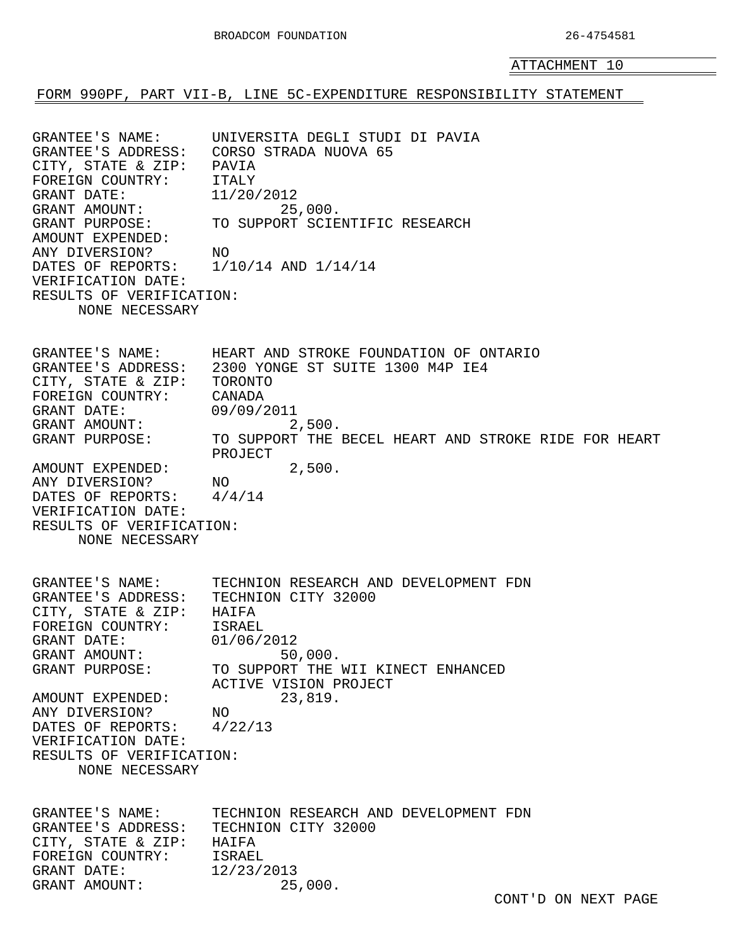<span id="page-35-0"></span>FORM 990PF, PART VII-B, LINE 5C-EXPENDITURE RESPONSIBILITY STATEMENT

GRANTEE'S NAME: UNIVERSITA DEGLI STUDI DI PAVIA GRANTEE'S ADDRESS: CORSO STRADA NUOVA 65 CITY, STATE & ZIP: PAVIA FOREIGN COUNTRY: ITALY GRANT DATE: 11/20/2012 GRANT AMOUNT: 25,000. GRANT PURPOSE: TO SUPPORT SCIENTIFIC RESEARCH AMOUNT EXPENDED: ANY DIVERSION? NO DATES OF REPORTS: 1/10/14 AND 1/14/14 VERIFICATION DATE: RESULTS OF VERIFICATION: NONE NECESSARY GRANTEE'S NAME: HEART AND STROKE FOUNDATION OF ONTARIO GRANTEE'S ADDRESS: 2300 YONGE ST SUITE 1300 M4P IE4 CITY, STATE & ZIP: TORONTO FOREIGN COUNTRY: CANADA GRANT DATE: 09/09/2011 GRANT AMOUNT: 2,500. GRANI AMOUNI.<br>GRANT PURPOSE: TO SUPPORT THE BECEL HEART AND STROKE RIDE FOR HEART PROJECT AMOUNT EXPENDED: 2,500. ANY DIVERSION? NO DATES OF REPORTS: 4/4/14 VERIFICATION DATE: RESULTS OF VERIFICATION: NONE NECESSARY GRANTEE'S NAME: TECHNION RESEARCH AND DEVELOPMENT FDN GRANTEE'S ADDRESS: TECHNION CITY 32000 CITY, STATE & ZIP: HAIFA FOREIGN COUNTRY: ISRAEL GRANT DATE: 01/06/2012 GRANT AMOUNT: 50,000.<br>GRANT PURPOSE: TO SUPPORT THE SU, 000.<br>TO SUPPORT THE WII KINECT ENHANCED ACTIVE VISION PROJECT AMOUNT EXPENDED: 23,819. ANY DIVERSION? NO DATES OF REPORTS: 4/22/13 VERIFICATION DATE: RESULTS OF VERIFICATION: NONE NECESSARY GRANTEE'S NAME: TECHNION RESEARCH AND DEVELOPMENT FDN GRANTEE'S ADDRESS: TECHNION CITY 32000 CITY, STATE & ZIP: HAIFA FOREIGN COUNTRY: ISRAEL GRANT DATE: 12/23/2013 GRANT AMOUNT: 25,000.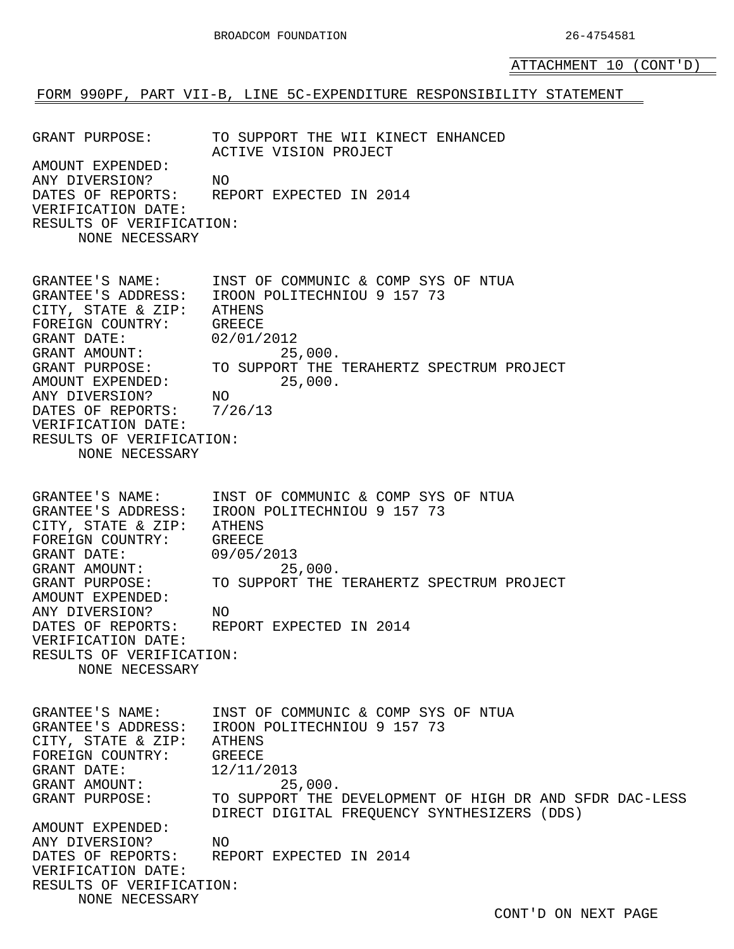ATTACHMENT 10 (CONT'D)

#### FORM 990PF, PART VII-B, LINE 5C-EXPENDITURE RESPONSIBILITY STATEMENT

GRANT PURPOSE: TO SUPPORT THE WII KINECT ENHANCED ACTIVE VISION PROJECT AMOUNT EXPENDED: ANY DIVERSION? NO DATES OF REPORTS: REPORT EXPECTED IN 2014 VERIFICATION DATE: RESULTS OF VERIFICATION: NONE NECESSARY GRANTEE'S NAME: INST OF COMMUNIC & COMP SYS OF NTUA GRANTEE'S ADDRESS: IROON POLITECHNIOU 9 157 73 CITY, STATE & ZIP: ATHENS FOREIGN COUNTRY: GREECE GRANT DATE: 02/01/2012 GRANT AMOUNT: 25,000.<br>GRANT PURPOSE: TO SUPPORT THE TO SUPPORT THE TERAHERTZ SPECTRUM PROJECT AMOUNT EXPENDED: 25,000.<br>ANY DIVERSION? NO ANY DIVERSION? DATES OF REPORTS: 7/26/13 VERIFICATION DATE: RESULTS OF VERIFICATION: NONE NECESSARY GRANTEE'S NAME: INST OF COMMUNIC & COMP SYS OF NTUA<br>GRANTEE'S ADDRESS: IROON POLITECHNIOU 9 157 73 IROON POLITECHNIOU 9 157 73 CITY, STATE & ZIP: ATHENS FOREIGN COUNTRY: GREECE GRANT DATE: 09/05/2013 GRANT AMOUNT: 25,000. GRANT PURPOSE: TO SUPPORT THE TERAHERTZ SPECTRUM PROJECT AMOUNT EXPENDED: ANY DIVERSION? NO<br>DATES OF REPORTS: RE REPORT EXPECTED IN 2014 VERIFICATION DATE: RESULTS OF VERIFICATION: NONE NECESSARY GRANTEE'S NAME: INST OF COMMUNIC & COMP SYS OF NTUA GRANTEE'S ADDRESS: IROON POLITECHNIOU 9 157 73 CITY, STATE & ZIP: ATHENS FOREIGN COUNTRY: GREECE GRANT DATE: 12/11/2013 GRANT AMOUNT: 25,000. GRANT PURPOSE: TO SUPPORT THE DEVELOPMENT OF HIGH DR AND SFDR DAC-LESS DIRECT DIGITAL FREQUENCY SYNTHESIZERS (DDS) AMOUNT EXPENDED: ANY DIVERSION? NO DATES OF REPORTS: REPORT EXPECTED IN 2014 VERIFICATION DATE: RESULTS OF VERIFICATION: NONE NECESSARY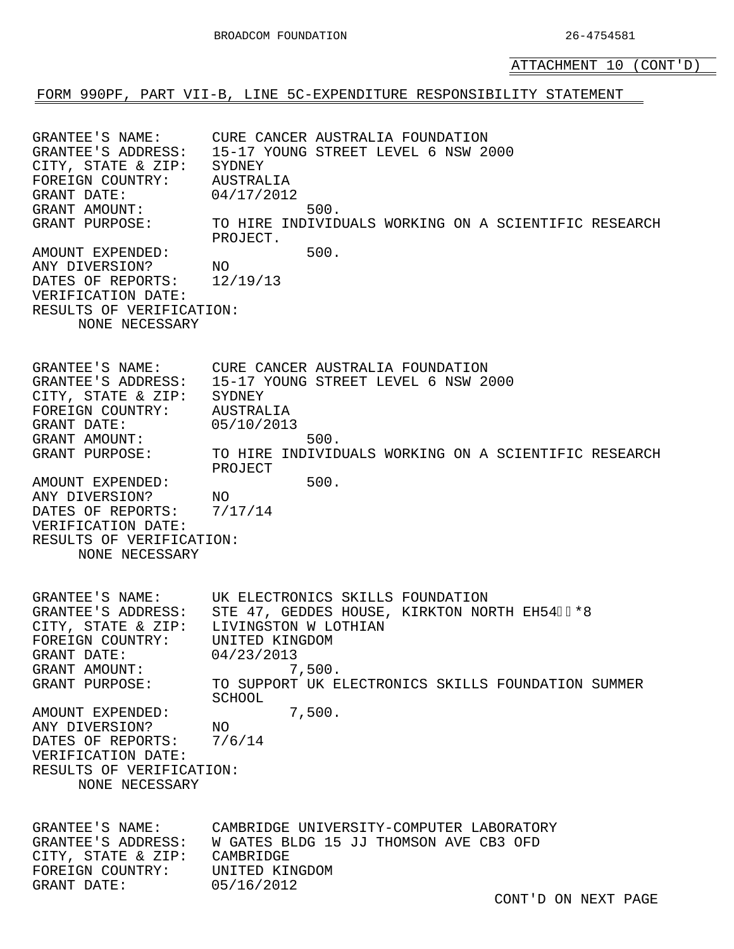ATTACHMENT 10 (CONT'D)

FORM 990PF, PART VII-B, LINE 5C-EXPENDITURE RESPONSIBILITY STATEMENT

GRANTEE'S NAME: CURE CANCER AUSTRALIA FOUNDATION<br>GRANTEE'S ADDRESS: 15-17 YOUNG STREET LEVEL 6 NSW 20 15-17 YOUNG STREET LEVEL 6 NSW 2000 CITY, STATE & ZIP: SYDNEY FOREIGN COUNTRY: AUSTRALIA<br>GRANT DATE: 04/17/2012 GRANT DATE: 04/17/2012 GRANT AMOUNT: 500. GRANT PURPOSE: TO HIRE INDIVIDUALS WORKING ON A SCIENTIFIC RESEARCH PROJECT. AMOUNT EXPENDED: 500. ANY DIVERSION? NO<br>DATES OF REPORTS: 12/19/13 DATES OF REPORTS: VERIFICATION DATE: RESULTS OF VERIFICATION: NONE NECESSARY GRANTEE'S NAME: CURE CANCER AUSTRALIA FOUNDATION GRANTEE'S ADDRESS: 15-17 YOUNG STREET LEVEL 6 NSW 2000 CITY, STATE & ZIP: SYDNEY<br>FOREIGN COUNTRY: AUSTRALIA FOREIGN COUNTRY: AUSTRALIA<br>GRANT DATE: 05/10/2013 GRANT DATE: 05/10/2013 GRANT AMOUNT: 500.<br>GRANT PURPOSE: TO HIRE INDIVID TO HIRE INDIVIDUALS WORKING ON A SCIENTIFIC RESEARCH PROJECT AMOUNT EXPENDED: 500. ANY DIVERSION? NO<br>DATES OF REPORTS: 7/17/14 DATES OF REPORTS: VERIFICATION DATE: RESULTS OF VERIFICATION: NONE NECESSARY GRANTEE'S NAME: UK ELECTRONICS SKILLS FOUNDATION<br>GRANTEE'S ADDRESS: STE 47, GEDDES HOUSE, KIRKTON NOI STE 47, GEDDES HOUSE, KIRKTON NORTH EH54ÁIJÖÛ<br>LIVINGSTON W LOTHIAN CITY, STATE & ZIP: LIVINGSTON W LOT<br>FOREIGN COUNTRY: UNITED KINGDOM FOREIGN COUNTRY: UNITED KINGRANT DATE: 04/23/2013 GRANT DATE: 04/23/2013 GRANT AMOUNT: 7,500. GRANT PURPOSE: TO SUPPORT UK ELECTRONICS SKILLS FOUNDATION SUMMER SCHOOL AMOUNT EXPENDED: 7,500. ANY DIVERSION? NO<br>DATES OF REPORTS: 7/6/14 DATES OF REPORTS: VERIFICATION DATE: RESULTS OF VERIFICATION: NONE NECESSARY GRANTEE'S NAME: CAMBRIDGE UNIVERSITY-COMPUTER LABORATORY<br>GRANTEE'S ADDRESS: W GATES BLDG 15 JJ THOMSON AVE CB3 OFD W GATES BLDG 15 JJ THOMSON AVE CB3 OFD<br>CAMBRIDGE CITY, STATE & ZIP: CAMBRIDGE FOREIGN COUNTRY: UNITED KING<br>GRANT DATE: 05/16/2012 GRANT DATE: 05/16/2012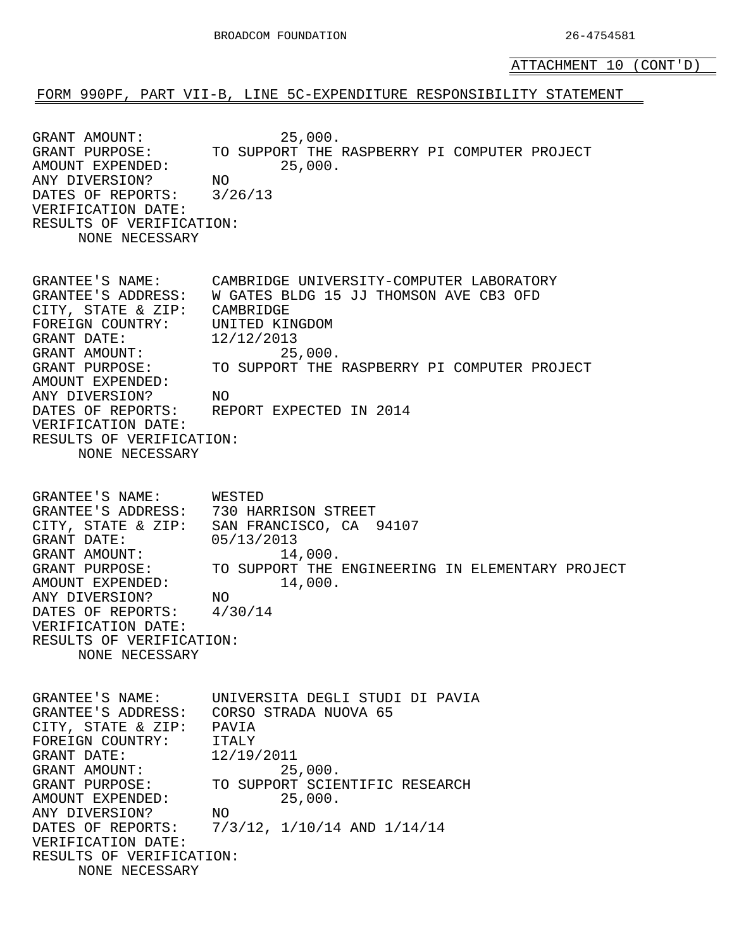ATTACHMENT 10 (CONT'D)

FORM 990PF, PART VII-B, LINE 5C-EXPENDITURE RESPONSIBILITY STATEMENT

GRANT AMOUNT: 25,000. GRANT PURPOSE: TO SUPPORT THE RASPBERRY PI COMPUTER PROJECT AMOUNT EXPENDED: 25,000. ANY DIVERSION? NO DATES OF REPORTS: 3/26/13 VERIFICATION DATE: RESULTS OF VERIFICATION: NONE NECESSARY GRANTEE'S NAME: CAMBRIDGE UNIVERSITY-COMPUTER LABORATORY GRANTEE'S ADDRESS: W GATES BLDG 15 JJ THOMSON AVE CB3 OFD CITY, STATE & ZIP: CAMBRIDGE FOREIGN COUNTRY: UNITED KINGDOM GRANT DATE: 12/12/2013 GRANT AMOUNT: 25,000. GRANT PURPOSE: TO SUPPORT THE RASPBERRY PI COMPUTER PROJECT AMOUNT EXPENDED: ANY DIVERSION? NO DATES OF REPORTS: REPORT EXPECTED IN 2014 VERIFICATION DATE: RESULTS OF VERIFICATION: NONE NECESSARY GRANTEE'S NAME: WESTED GRANTEE'S ADDRESS: 730 HARRISON STREET CITY, STATE & ZIP: SAN FRANCISCO, CA 94107 GRANT DATE: 05/13/2013 GRANT AMOUNT: 14,000.<br>GRANT PURPOSE: TO SUPPORT THE TO SUPPORT THE ENGINEERING IN ELEMENTARY PROJECT AMOUNT EXPENDED: 14,000. ANY DIVERSION? NO DATES OF REPORTS: 4/30/14 VERIFICATION DATE: RESULTS OF VERIFICATION: NONE NECESSARY GRANTEE'S NAME: UNIVERSITA DEGLI STUDI DI PAVIA GRANTEE'S ADDRESS: CORSO STRADA NUOVA 65 CITY, STATE & ZIP: PAVIA FOREIGN COUNTRY: ITALY GRANT DATE: 12/19/2011 GRANT AMOUNT: 25,000. GRANT PURPOSE: TO SUPPORT SCIENTIFIC RESEARCH AMOUNT EXPENDED: 25,000. ANY DIVERSION? NO DATES OF REPORTS: 7/3/12, 1/10/14 AND 1/14/14 VERIFICATION DATE: RESULTS OF VERIFICATION: NONE NECESSARY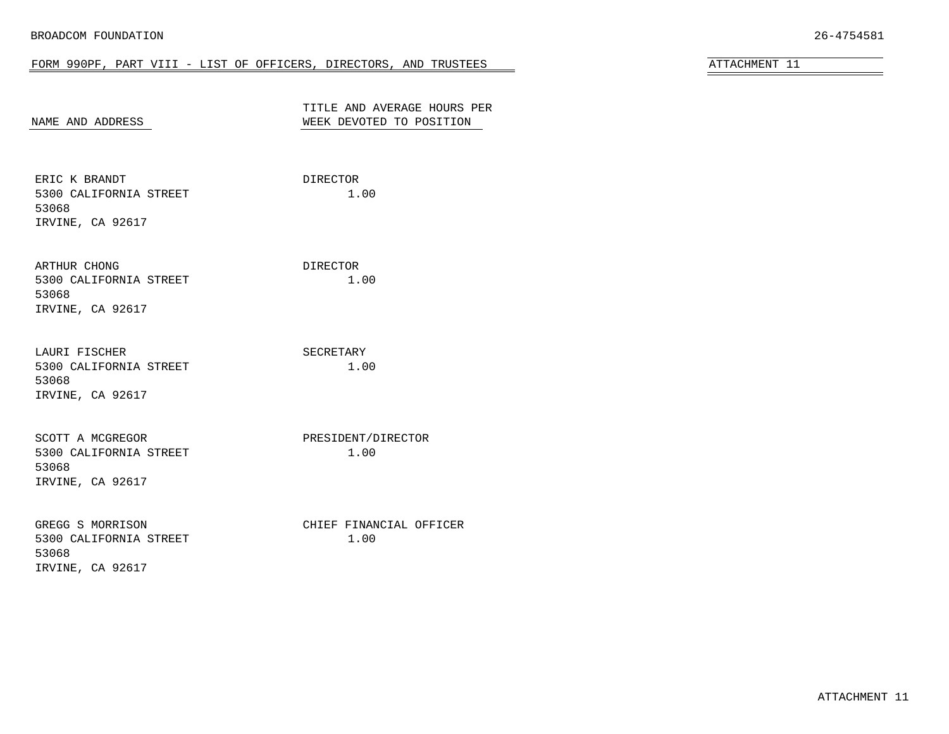#### FORM 990PF, PART VIII - LIST OF OFFICERS, DIRECTORS, AND TRUSTEES ATTACHMENT 11

<span id="page-39-0"></span>

| NAME AND ADDRESS                                                        | TITLE AND AVERAGE HOURS PER<br>WEEK DEVOTED TO POSITION |  |
|-------------------------------------------------------------------------|---------------------------------------------------------|--|
| ERIC K BRANDT<br>5300 CALIFORNIA STREET<br>53068<br>IRVINE, CA 92617    | DIRECTOR<br>1.00                                        |  |
| ARTHUR CHONG<br>5300 CALIFORNIA STREET<br>53068<br>IRVINE, CA 92617     | DIRECTOR<br>1.00                                        |  |
| LAURI FISCHER<br>5300 CALIFORNIA STREET<br>53068<br>IRVINE, CA 92617    | SECRETARY<br>1.00                                       |  |
| SCOTT A MCGREGOR<br>5300 CALIFORNIA STREET<br>53068<br>IRVINE, CA 92617 | PRESIDENT/DIRECTOR<br>1.00                              |  |
| GREGG S MORRISON<br>5300 CALIFORNIA STREET<br>53068<br>IRVINE, CA 92617 | CHIEF FINANCIAL OFFICER<br>1.00                         |  |

ATTACHMENT 11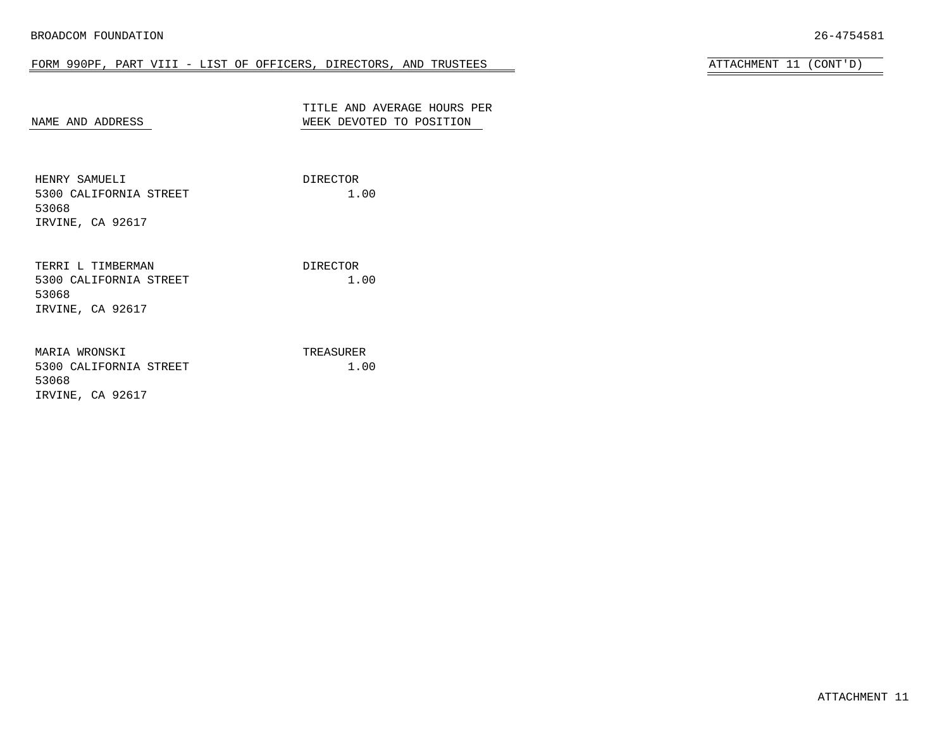# FORM 990PF, PART VIII - LIST OF OFFICERS, DIRECTORS, AND TRUSTEES ATTACHMENT 11 (CONT'D)

| ᇚᇧᠿᄓӍᇚᇧᇚ | $(OMT \cup N)$ |  |
|----------|----------------|--|

| NAME AND ADDRESS                                                         | TITLE AND AVERAGE HOURS PER<br>WEEK DEVOTED TO POSITION |
|--------------------------------------------------------------------------|---------------------------------------------------------|
| HENRY SAMUELI<br>5300 CALIFORNIA STREET<br>53068<br>IRVINE, CA 92617     | DIRECTOR<br>1.00                                        |
| TERRI L TIMBERMAN<br>5300 CALIFORNIA STREET<br>53068<br>IRVINE, CA 92617 | DIRECTOR<br>1.00                                        |
| MARIA WRONSKI<br>5300 CALIFORNIA STREET<br>53068<br>IRVINE, CA 92617     | TREASURER<br>1.00                                       |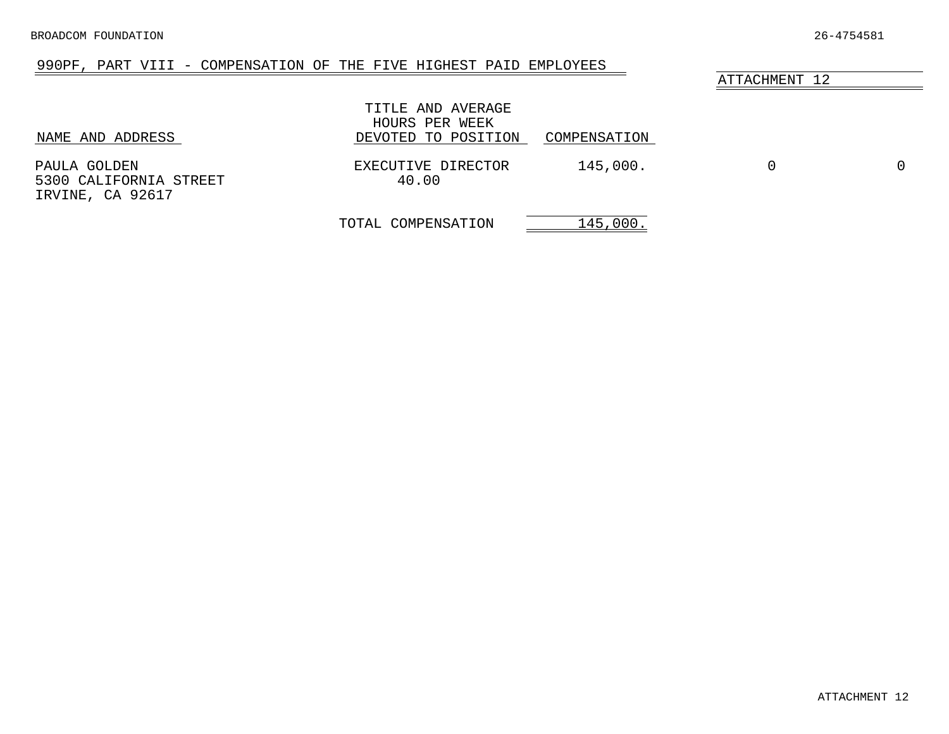# 990PF, PART VIII - COMPENSATION OF THE FIVE HIGHEST PAID EMPLOYEES

<span id="page-41-0"></span>

| NAME AND ADDRESS                                           | TITLE AND AVERAGE<br>HOURS PER WEEK<br>DEVOTED TO POSITION | COMPENSATION |                  |  |
|------------------------------------------------------------|------------------------------------------------------------|--------------|------------------|--|
| PAULA GOLDEN<br>5300 CALIFORNIA STREET<br>IRVINE, CA 92617 | EXECUTIVE DIRECTOR<br>40.00                                | 145,000.     | $\left( \right)$ |  |

TOTAL COMPENSATION 145,000.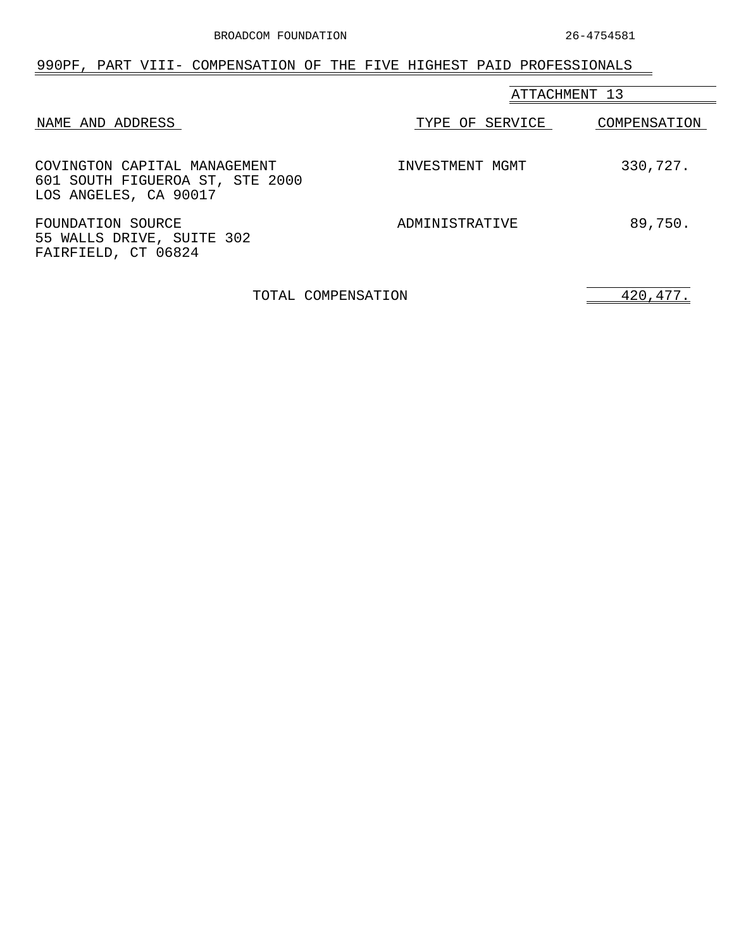<span id="page-42-0"></span>

| 990PF, PART VIII- COMPENSATION OF THE FIVE HIGHEST PAID PROFESSIONALS                    |                 |              |
|------------------------------------------------------------------------------------------|-----------------|--------------|
|                                                                                          | ATTACHMENT 13   |              |
| NAME AND ADDRESS                                                                         | TYPE OF SERVICE | COMPENSATION |
| COVINGTON CAPITAL MANAGEMENT<br>601 SOUTH FIGUEROA ST, STE 2000<br>LOS ANGELES, CA 90017 | INVESTMENT MGMT | 330,727.     |
| FOUNDATION SOURCE<br>55 WALLS DRIVE, SUITE 302<br>FAIRFIELD, CT 06824                    | ADMINISTRATIVE  | 89,750.      |

TOTAL COMPENSATION 420,477.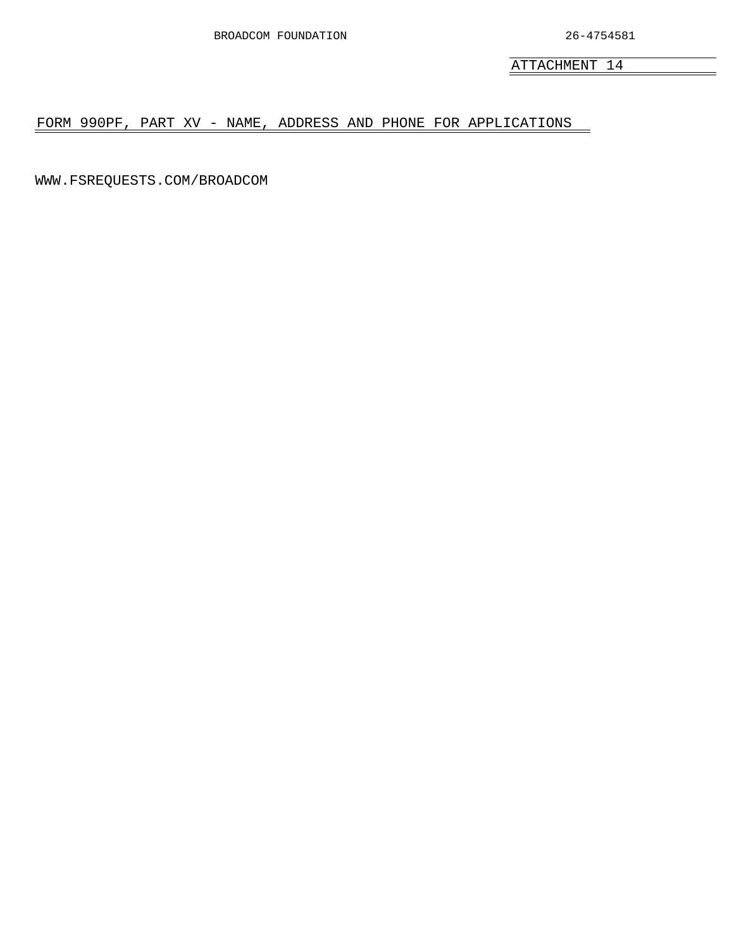<span id="page-43-0"></span>FORM 990PF, PART XV - NAME, ADDRESS AND PHONE FOR APPLICATIONS

WWW.FSREQUESTS.COM/BROADCOM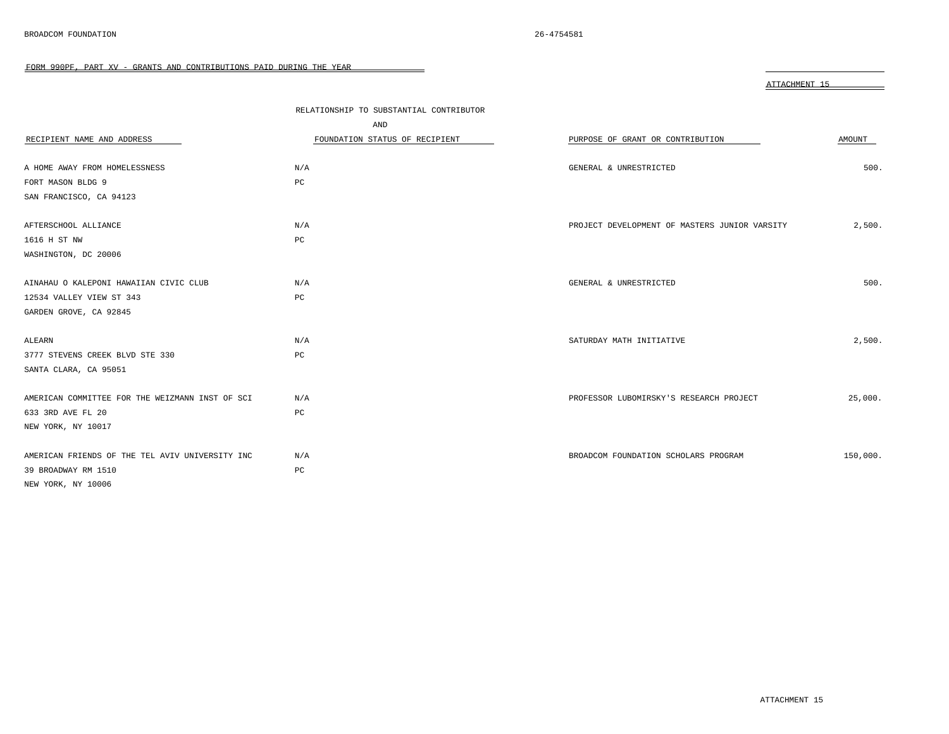<span id="page-44-0"></span>

|                                                 |                                         | ATTACHMENT 15                                 |          |
|-------------------------------------------------|-----------------------------------------|-----------------------------------------------|----------|
|                                                 | RELATIONSHIP TO SUBSTANTIAL CONTRIBUTOR |                                               |          |
|                                                 | AND                                     |                                               |          |
| RECIPIENT NAME AND ADDRESS                      | FOUNDATION STATUS OF RECIPIENT          | PURPOSE OF GRANT OR CONTRIBUTION              | AMOUNT   |
| A HOME AWAY FROM HOMELESSNESS                   | N/A                                     | GENERAL & UNRESTRICTED                        | 500.     |
| FORT MASON BLDG 9                               | PC                                      |                                               |          |
| SAN FRANCISCO, CA 94123                         |                                         |                                               |          |
| AFTERSCHOOL ALLIANCE                            | N/A                                     | PROJECT DEVELOPMENT OF MASTERS JUNIOR VARSITY | 2,500.   |
| 1616 H ST NW                                    | PC                                      |                                               |          |
| WASHINGTON, DC 20006                            |                                         |                                               |          |
| AINAHAU O KALEPONI HAWAIIAN CIVIC CLUB          | N/A                                     | GENERAL & UNRESTRICTED                        | 500.     |
| 12534 VALLEY VIEW ST 343                        | PC                                      |                                               |          |
| GARDEN GROVE, CA 92845                          |                                         |                                               |          |
| ALEARN                                          | N/A                                     | SATURDAY MATH INITIATIVE                      | 2.500.   |
| 3777 STEVENS CREEK BLVD STE 330                 | PC                                      |                                               |          |
| SANTA CLARA, CA 95051                           |                                         |                                               |          |
| AMERICAN COMMITTEE FOR THE WEIZMANN INST OF SCI | N/A                                     | PROFESSOR LUBOMIRSKY'S RESEARCH PROJECT       | 25,000.  |
| 633 3RD AVE FL 20                               | PC                                      |                                               |          |
| NEW YORK, NY 10017                              |                                         |                                               |          |
| AMERICAN FRIENDS OF THE TEL AVIV UNIVERSITY INC | N/A                                     | BROADCOM FOUNDATION SCHOLARS PROGRAM          | 150,000. |
| 39 BROADWAY RM 1510                             | PC                                      |                                               |          |
| NEW YORK, NY 10006                              |                                         |                                               |          |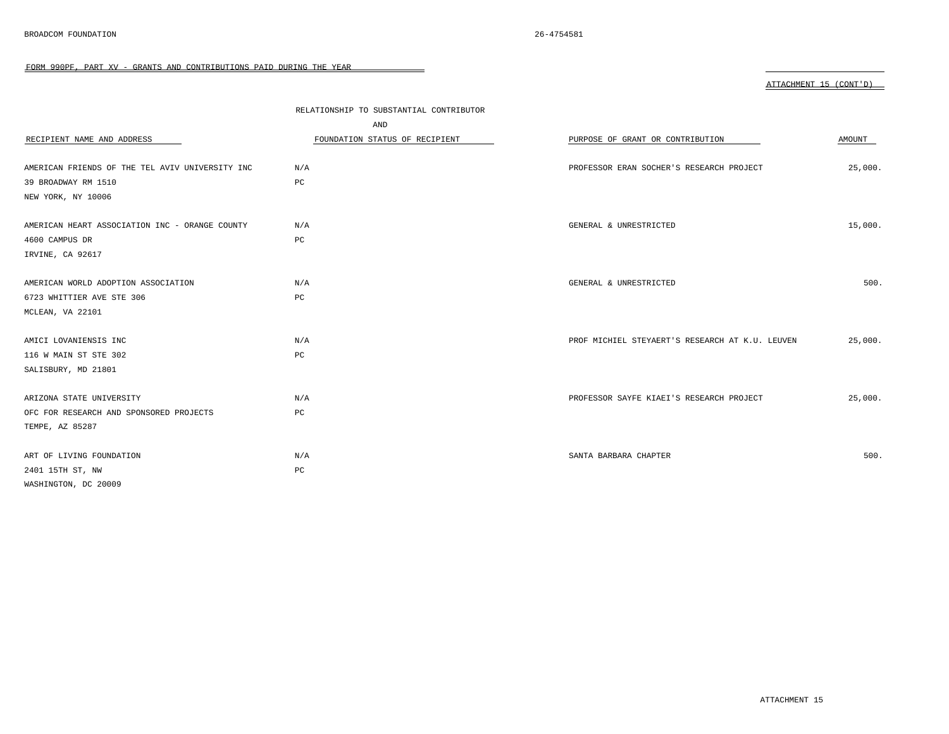| RECIPIENT NAME AND ADDRESS                      | RELATIONSHIP TO SUBSTANTIAL CONTRIBUTOR<br>AND<br>FOUNDATION STATUS OF RECIPIENT | PURPOSE OF GRANT OR CONTRIBUTION                | AMOUNT  |
|-------------------------------------------------|----------------------------------------------------------------------------------|-------------------------------------------------|---------|
| AMERICAN FRIENDS OF THE TEL AVIV UNIVERSITY INC | N/A                                                                              | PROFESSOR ERAN SOCHER'S RESEARCH PROJECT        | 25,000. |
| 39 BROADWAY RM 1510                             | $_{\rm PC}$                                                                      |                                                 |         |
| NEW YORK, NY 10006                              |                                                                                  |                                                 |         |
|                                                 |                                                                                  |                                                 |         |
| AMERICAN HEART ASSOCIATION INC - ORANGE COUNTY  | N/A                                                                              | GENERAL & UNRESTRICTED                          | 15,000. |
| 4600 CAMPUS DR                                  | $_{\rm PC}$                                                                      |                                                 |         |
| IRVINE, CA 92617                                |                                                                                  |                                                 |         |
|                                                 |                                                                                  |                                                 |         |
| AMERICAN WORLD ADOPTION ASSOCIATION             | N/A                                                                              | GENERAL & UNRESTRICTED                          | 500.    |
| 6723 WHITTIER AVE STE 306                       | PC                                                                               |                                                 |         |
| MCLEAN, VA 22101                                |                                                                                  |                                                 |         |
|                                                 |                                                                                  |                                                 |         |
| AMICI LOVANIENSIS INC                           | N/A                                                                              | PROF MICHIEL STEYAERT'S RESEARCH AT K.U. LEUVEN | 25,000. |
| 116 W MAIN ST STE 302                           | $_{\rm PC}$                                                                      |                                                 |         |
| SALISBURY, MD 21801                             |                                                                                  |                                                 |         |
|                                                 |                                                                                  |                                                 |         |
| ARIZONA STATE UNIVERSITY                        | N/A                                                                              | PROFESSOR SAYFE KIAEI'S RESEARCH PROJECT        | 25,000. |
| OFC FOR RESEARCH AND SPONSORED PROJECTS         | $_{\rm PC}$                                                                      |                                                 |         |
| TEMPE, AZ 85287                                 |                                                                                  |                                                 |         |
|                                                 |                                                                                  |                                                 |         |
| ART OF LIVING FOUNDATION                        | N/A                                                                              | SANTA BARBARA CHAPTER                           | 500.    |
| 2401 15TH ST, NW                                | $_{\rm PC}$                                                                      |                                                 |         |
| WASHINGTON, DC 20009                            |                                                                                  |                                                 |         |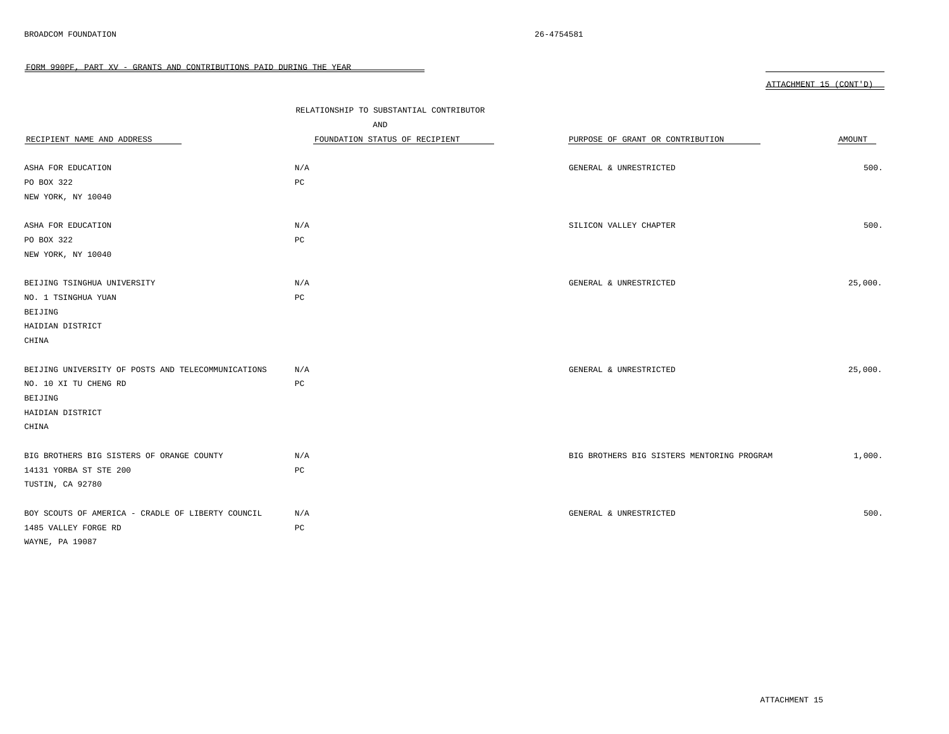|                                                    | RELATIONSHIP TO SUBSTANTIAL CONTRIBUTOR |                                            |         |
|----------------------------------------------------|-----------------------------------------|--------------------------------------------|---------|
|                                                    | AND                                     |                                            |         |
| RECIPIENT NAME AND ADDRESS                         | FOUNDATION STATUS OF RECIPIENT          | PURPOSE OF GRANT OR CONTRIBUTION           | AMOUNT  |
|                                                    |                                         |                                            |         |
| ASHA FOR EDUCATION                                 | N/A                                     | GENERAL & UNRESTRICTED                     | 500.    |
| PO BOX 322                                         | PC                                      |                                            |         |
| NEW YORK, NY 10040                                 |                                         |                                            |         |
|                                                    |                                         |                                            |         |
| ASHA FOR EDUCATION                                 | N/A                                     | SILICON VALLEY CHAPTER                     | 500.    |
| PO BOX 322                                         | PC                                      |                                            |         |
| NEW YORK, NY 10040                                 |                                         |                                            |         |
|                                                    |                                         |                                            |         |
| BEIJING TSINGHUA UNIVERSITY                        | N/A                                     | GENERAL & UNRESTRICTED                     | 25,000. |
| NO. 1 TSINGHUA YUAN                                | PC                                      |                                            |         |
| BEIJING                                            |                                         |                                            |         |
| HAIDIAN DISTRICT                                   |                                         |                                            |         |
| CHINA                                              |                                         |                                            |         |
|                                                    |                                         |                                            |         |
| BEIJING UNIVERSITY OF POSTS AND TELECOMMUNICATIONS | N/A                                     | GENERAL & UNRESTRICTED                     | 25,000. |
| NO. 10 XI TU CHENG RD                              | PC                                      |                                            |         |
| BEIJING                                            |                                         |                                            |         |
| HAIDIAN DISTRICT                                   |                                         |                                            |         |
| CHINA                                              |                                         |                                            |         |
|                                                    |                                         |                                            |         |
| BIG BROTHERS BIG SISTERS OF ORANGE COUNTY          | N/A                                     | BIG BROTHERS BIG SISTERS MENTORING PROGRAM | 1,000.  |
| 14131 YORBA ST STE 200                             | PC                                      |                                            |         |
| TUSTIN, CA 92780                                   |                                         |                                            |         |
|                                                    |                                         |                                            |         |
| BOY SCOUTS OF AMERICA - CRADLE OF LIBERTY COUNCIL  | N/A                                     | GENERAL & UNRESTRICTED                     | 500.    |
| 1485 VALLEY FORGE RD                               | $_{\rm PC}$                             |                                            |         |
| WAYNE, PA 19087                                    |                                         |                                            |         |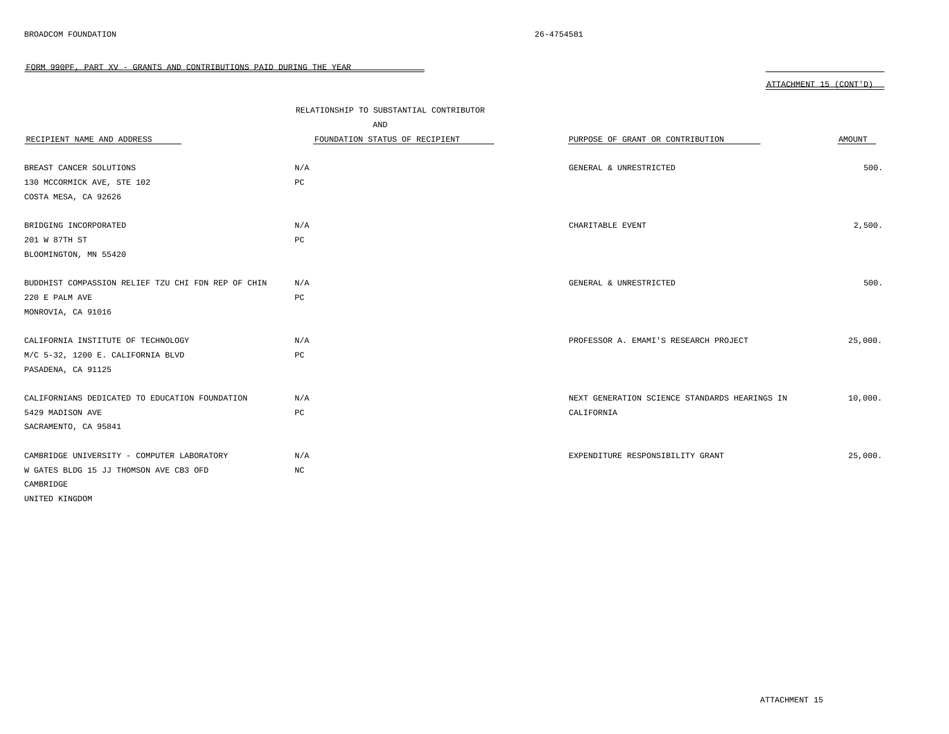|                                                    | RELATIONSHIP TO SUBSTANTIAL CONTRIBUTOR |                                               |         |
|----------------------------------------------------|-----------------------------------------|-----------------------------------------------|---------|
|                                                    | AND                                     |                                               |         |
| RECIPIENT NAME AND ADDRESS                         | FOUNDATION STATUS OF RECIPIENT          | PURPOSE OF GRANT OR CONTRIBUTION              | AMOUNT  |
|                                                    |                                         |                                               |         |
| BREAST CANCER SOLUTIONS                            | N/A                                     | GENERAL & UNRESTRICTED                        | 500.    |
| 130 MCCORMICK AVE, STE 102                         | $_{\rm PC}$                             |                                               |         |
| COSTA MESA, CA 92626                               |                                         |                                               |         |
| BRIDGING INCORPORATED                              | N/A                                     | CHARITABLE EVENT                              | 2,500.  |
| 201 W 87TH ST                                      | PC                                      |                                               |         |
|                                                    |                                         |                                               |         |
| BLOOMINGTON, MN 55420                              |                                         |                                               |         |
| BUDDHIST COMPASSION RELIEF TZU CHI FDN REP OF CHIN | N/A                                     | GENERAL & UNRESTRICTED                        | 500.    |
| 220 E PALM AVE                                     | $_{\rm PC}$                             |                                               |         |
| MONROVIA, CA 91016                                 |                                         |                                               |         |
|                                                    |                                         |                                               |         |
| CALIFORNIA INSTITUTE OF TECHNOLOGY                 | N/A                                     | PROFESSOR A. EMAMI'S RESEARCH PROJECT         | 25,000. |
| M/C 5-32, 1200 E. CALIFORNIA BLVD                  | PC                                      |                                               |         |
| PASADENA, CA 91125                                 |                                         |                                               |         |
| CALIFORNIANS DEDICATED TO EDUCATION FOUNDATION     | N/A                                     | NEXT GENERATION SCIENCE STANDARDS HEARINGS IN | 10,000. |
| 5429 MADISON AVE                                   | PC                                      | CALIFORNIA                                    |         |
| SACRAMENTO, CA 95841                               |                                         |                                               |         |
|                                                    |                                         |                                               |         |
| CAMBRIDGE UNIVERSITY - COMPUTER LABORATORY         | N/A                                     | EXPENDITURE RESPONSIBILITY GRANT              | 25,000. |
| W GATES BLDG 15 JJ THOMSON AVE CB3 OFD             | $_{\mathrm{NC}}$                        |                                               |         |
| CAMBRIDGE                                          |                                         |                                               |         |
| UNITED KINGDOM                                     |                                         |                                               |         |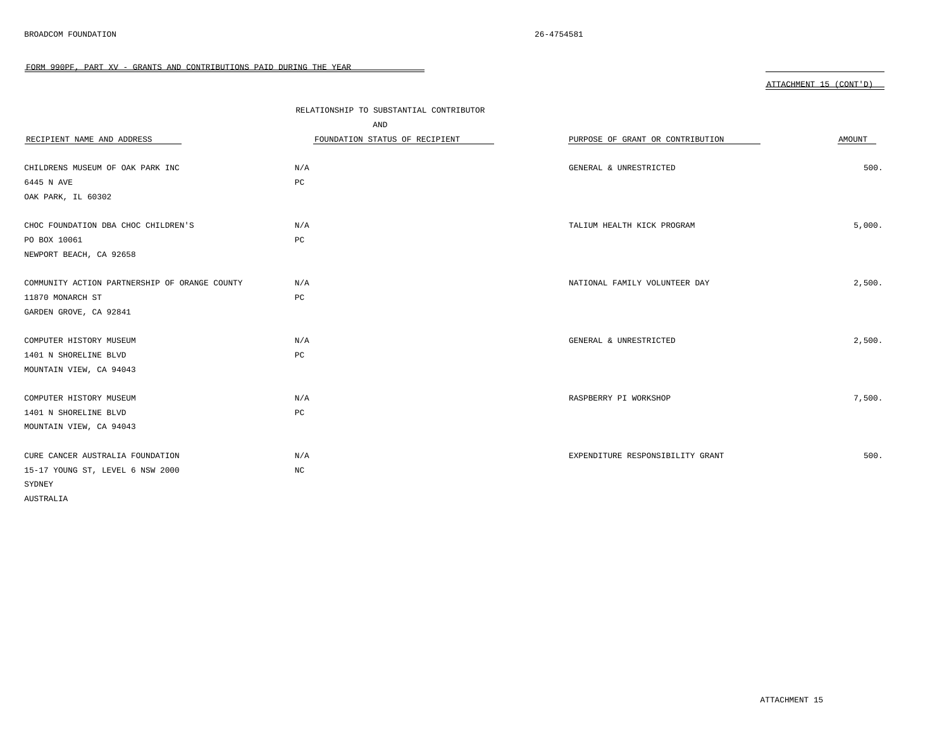|                                               | RELATIONSHIP TO SUBSTANTIAL CONTRIBUTOR |                                  |        |
|-----------------------------------------------|-----------------------------------------|----------------------------------|--------|
|                                               | AND                                     |                                  |        |
| RECIPIENT NAME AND ADDRESS                    | FOUNDATION STATUS OF RECIPIENT          | PURPOSE OF GRANT OR CONTRIBUTION | AMOUNT |
|                                               |                                         |                                  |        |
| CHILDRENS MUSEUM OF OAK PARK INC              | N/A                                     | GENERAL & UNRESTRICTED           | 500.   |
| 6445 N AVE                                    | PC                                      |                                  |        |
| OAK PARK, IL 60302                            |                                         |                                  |        |
|                                               |                                         |                                  |        |
| CHOC FOUNDATION DBA CHOC CHILDREN'S           | N/A                                     | TALIUM HEALTH KICK PROGRAM       | 5,000. |
| PO BOX 10061                                  | PC                                      |                                  |        |
| NEWPORT BEACH, CA 92658                       |                                         |                                  |        |
|                                               |                                         |                                  |        |
| COMMUNITY ACTION PARTNERSHIP OF ORANGE COUNTY | N/A                                     | NATIONAL FAMILY VOLUNTEER DAY    | 2,500. |
| 11870 MONARCH ST                              | PC                                      |                                  |        |
| GARDEN GROVE, CA 92841                        |                                         |                                  |        |
|                                               |                                         |                                  |        |
| COMPUTER HISTORY MUSEUM                       | N/A                                     | GENERAL & UNRESTRICTED           | 2,500. |
| 1401 N SHORELINE BLVD                         | PC                                      |                                  |        |
| MOUNTAIN VIEW, CA 94043                       |                                         |                                  |        |
|                                               |                                         |                                  |        |
| COMPUTER HISTORY MUSEUM                       | N/A                                     | RASPBERRY PI WORKSHOP            | 7,500. |
| 1401 N SHORELINE BLVD                         | PC                                      |                                  |        |
| MOUNTAIN VIEW, CA 94043                       |                                         |                                  |        |
|                                               |                                         |                                  |        |
| CURE CANCER AUSTRALIA FOUNDATION              | N/A                                     | EXPENDITURE RESPONSIBILITY GRANT | 500.   |
| 15-17 YOUNG ST, LEVEL 6 NSW 2000              | $_{\mathrm{NC}}$                        |                                  |        |
| SYDNEY                                        |                                         |                                  |        |
| AUSTRALIA                                     |                                         |                                  |        |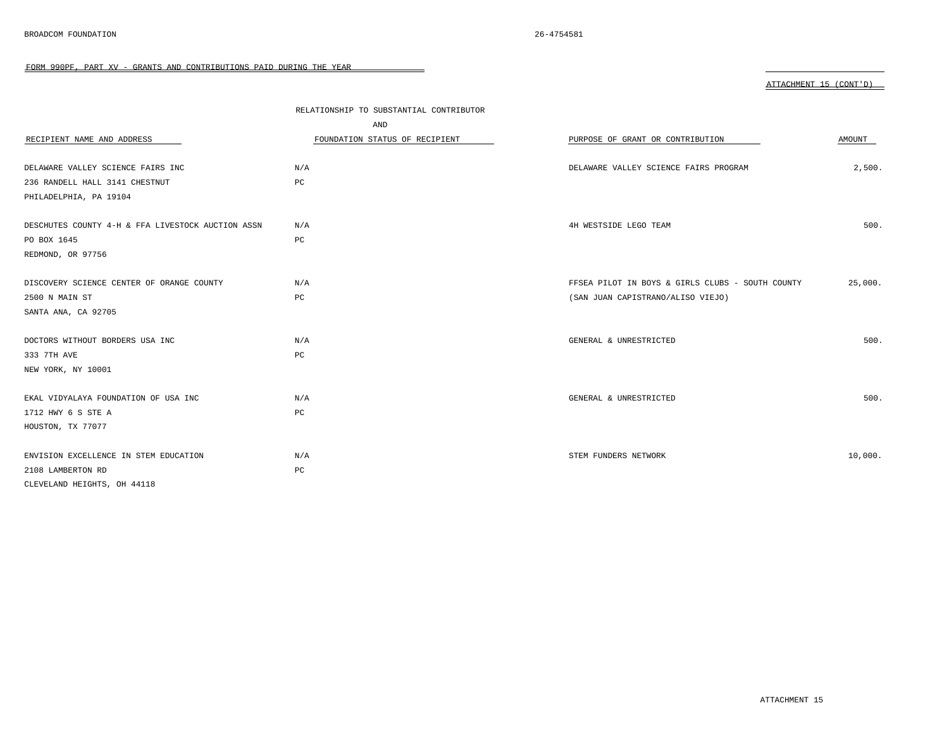| RECIPIENT NAME AND ADDRESS                        | RELATIONSHIP TO SUBSTANTIAL CONTRIBUTOR<br>AND<br>FOUNDATION STATUS OF RECIPIENT | PURPOSE OF GRANT OR CONTRIBUTION                 | AMOUNT  |
|---------------------------------------------------|----------------------------------------------------------------------------------|--------------------------------------------------|---------|
| DELAWARE VALLEY SCIENCE FAIRS INC                 | N/A                                                                              | DELAWARE VALLEY SCIENCE FAIRS PROGRAM            | 2,500.  |
| 236 RANDELL HALL 3141 CHESTNUT                    | $_{\rm PC}$                                                                      |                                                  |         |
| PHILADELPHIA, PA 19104                            |                                                                                  |                                                  |         |
|                                                   |                                                                                  |                                                  |         |
| DESCHUTES COUNTY 4-H & FFA LIVESTOCK AUCTION ASSN | N/A                                                                              | 4H WESTSIDE LEGO TEAM                            | 500.    |
| PO BOX 1645                                       | PC                                                                               |                                                  |         |
| REDMOND, OR 97756                                 |                                                                                  |                                                  |         |
|                                                   |                                                                                  |                                                  |         |
| DISCOVERY SCIENCE CENTER OF ORANGE COUNTY         | N/A                                                                              | FFSEA PILOT IN BOYS & GIRLS CLUBS - SOUTH COUNTY | 25,000. |
| 2500 N MAIN ST                                    | PC                                                                               | (SAN JUAN CAPISTRANO/ALISO VIEJO)                |         |
| SANTA ANA, CA 92705                               |                                                                                  |                                                  |         |
|                                                   |                                                                                  |                                                  |         |
| DOCTORS WITHOUT BORDERS USA INC                   | N/A                                                                              | GENERAL & UNRESTRICTED                           | 500.    |
| 333 7TH AVE                                       | PC                                                                               |                                                  |         |
| NEW YORK, NY 10001                                |                                                                                  |                                                  |         |
|                                                   |                                                                                  |                                                  |         |
| EKAL VIDYALAYA FOUNDATION OF USA INC              | N/A                                                                              | GENERAL & UNRESTRICTED                           | 500.    |
| 1712 HWY 6 S STE A                                | PC                                                                               |                                                  |         |
| HOUSTON, TX 77077                                 |                                                                                  |                                                  |         |
|                                                   |                                                                                  |                                                  |         |
| ENVISION EXCELLENCE IN STEM EDUCATION             | N/A                                                                              | STEM FUNDERS NETWORK                             | 10,000. |
| 2108 LAMBERTON RD                                 | PC                                                                               |                                                  |         |
| CLEVELAND HEIGHTS, OH 44118                       |                                                                                  |                                                  |         |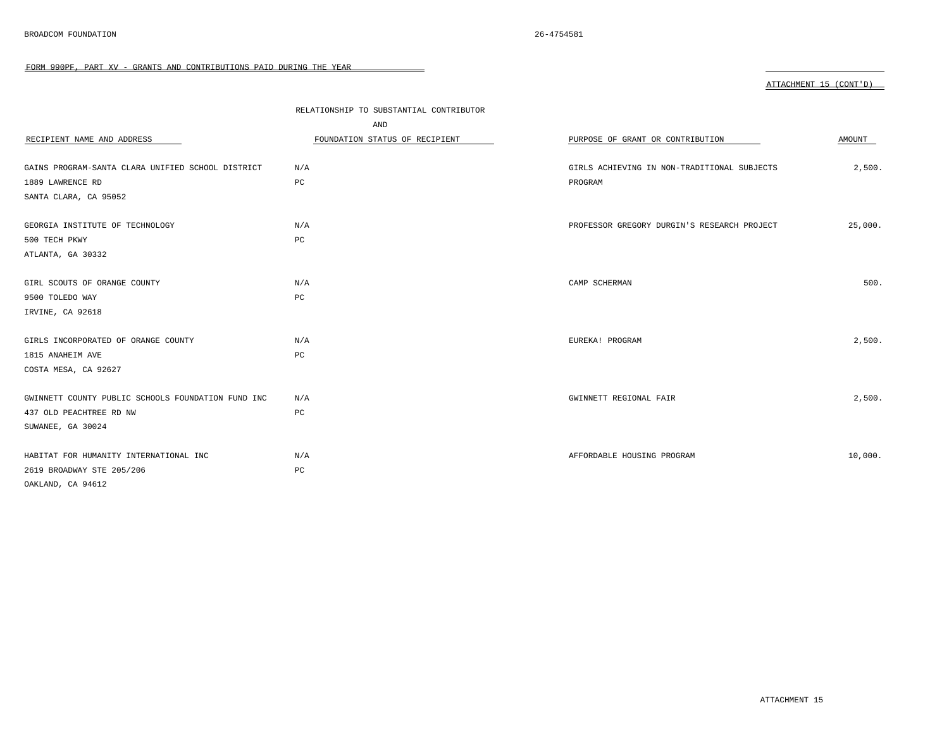|                                                    | RELATIONSHIP TO SUBSTANTIAL CONTRIBUTOR |                                             |         |
|----------------------------------------------------|-----------------------------------------|---------------------------------------------|---------|
|                                                    | AND                                     |                                             |         |
| RECIPIENT NAME AND ADDRESS                         | FOUNDATION STATUS OF RECIPIENT          | PURPOSE OF GRANT OR CONTRIBUTION            | AMOUNT  |
|                                                    |                                         |                                             |         |
| GAINS PROGRAM-SANTA CLARA UNIFIED SCHOOL DISTRICT  | N/A                                     | GIRLS ACHIEVING IN NON-TRADITIONAL SUBJECTS | 2,500.  |
| 1889 LAWRENCE RD                                   | PC                                      | PROGRAM                                     |         |
| SANTA CLARA, CA 95052                              |                                         |                                             |         |
|                                                    |                                         |                                             |         |
| GEORGIA INSTITUTE OF TECHNOLOGY                    | N/A                                     | PROFESSOR GREGORY DURGIN'S RESEARCH PROJECT | 25,000. |
| 500 TECH PKWY                                      | PC                                      |                                             |         |
| ATLANTA, GA 30332                                  |                                         |                                             |         |
|                                                    |                                         |                                             |         |
| GIRL SCOUTS OF ORANGE COUNTY                       | N/A                                     | CAMP SCHERMAN                               | 500.    |
| 9500 TOLEDO WAY                                    | PC                                      |                                             |         |
| IRVINE, CA 92618                                   |                                         |                                             |         |
|                                                    |                                         |                                             |         |
| GIRLS INCORPORATED OF ORANGE COUNTY                | N/A                                     | EUREKA! PROGRAM                             | 2,500.  |
| 1815 ANAHEIM AVE                                   | PC                                      |                                             |         |
| COSTA MESA, CA 92627                               |                                         |                                             |         |
|                                                    |                                         |                                             |         |
| GWINNETT COUNTY PUBLIC SCHOOLS FOUNDATION FUND INC | N/A                                     | GWINNETT REGIONAL FAIR                      | 2,500.  |
| 437 OLD PEACHTREE RD NW                            | PC                                      |                                             |         |
| SUWANEE, GA 30024                                  |                                         |                                             |         |
|                                                    |                                         |                                             |         |
| HABITAT FOR HUMANITY INTERNATIONAL INC             | N/A                                     | AFFORDABLE HOUSING PROGRAM                  | 10,000. |
| 2619 BROADWAY STE 205/206                          | PC                                      |                                             |         |
| OAKLAND, CA 94612                                  |                                         |                                             |         |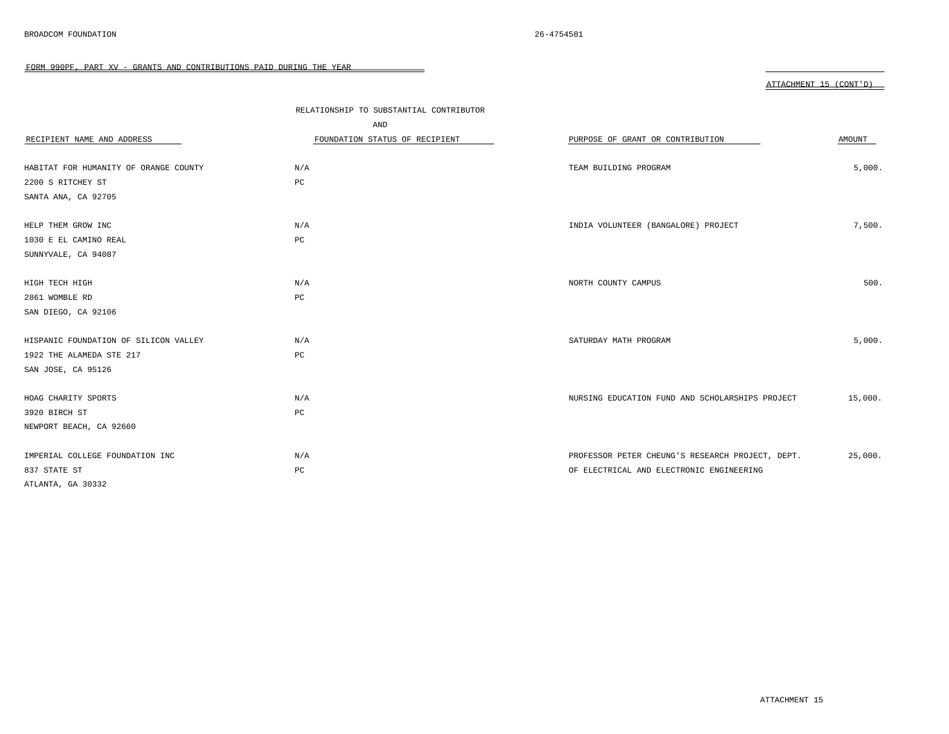|                                       | RELATIONSHIP TO SUBSTANTIAL CONTRIBUTOR |                                                  |         |
|---------------------------------------|-----------------------------------------|--------------------------------------------------|---------|
|                                       | AND                                     |                                                  |         |
| RECIPIENT NAME AND ADDRESS            | FOUNDATION STATUS OF RECIPIENT          | PURPOSE OF GRANT OR CONTRIBUTION                 | AMOUNT  |
|                                       |                                         |                                                  |         |
| HABITAT FOR HUMANITY OF ORANGE COUNTY | N/A                                     | TEAM BUILDING PROGRAM                            | 5,000.  |
| 2200 S RITCHEY ST                     | PC                                      |                                                  |         |
| SANTA ANA, CA 92705                   |                                         |                                                  |         |
|                                       |                                         |                                                  |         |
| HELP THEM GROW INC                    | N/A                                     | INDIA VOLUNTEER (BANGALORE) PROJECT              | 7,500.  |
| 1030 E EL CAMINO REAL                 | PC                                      |                                                  |         |
| SUNNYVALE, CA 94087                   |                                         |                                                  |         |
|                                       |                                         |                                                  |         |
| HIGH TECH HIGH                        | N/A                                     | NORTH COUNTY CAMPUS                              | 500.    |
| 2861 WOMBLE RD                        | $_{\rm PC}$                             |                                                  |         |
| SAN DIEGO, CA 92106                   |                                         |                                                  |         |
|                                       |                                         |                                                  |         |
| HISPANIC FOUNDATION OF SILICON VALLEY | N/A                                     | SATURDAY MATH PROGRAM                            | 5,000.  |
| 1922 THE ALAMEDA STE 217              | $_{\rm PC}$                             |                                                  |         |
| SAN JOSE, CA 95126                    |                                         |                                                  |         |
|                                       |                                         |                                                  |         |
| HOAG CHARITY SPORTS                   | N/A                                     | NURSING EDUCATION FUND AND SCHOLARSHIPS PROJECT  | 15,000. |
| 3920 BIRCH ST                         | PC                                      |                                                  |         |
| NEWPORT BEACH, CA 92660               |                                         |                                                  |         |
|                                       |                                         |                                                  |         |
| IMPERIAL COLLEGE FOUNDATION INC       | N/A                                     | PROFESSOR PETER CHEUNG'S RESEARCH PROJECT, DEPT. | 25,000. |
| 837 STATE ST                          | PC                                      | OF ELECTRICAL AND ELECTRONIC ENGINEERING         |         |
| ATLANTA, GA 30332                     |                                         |                                                  |         |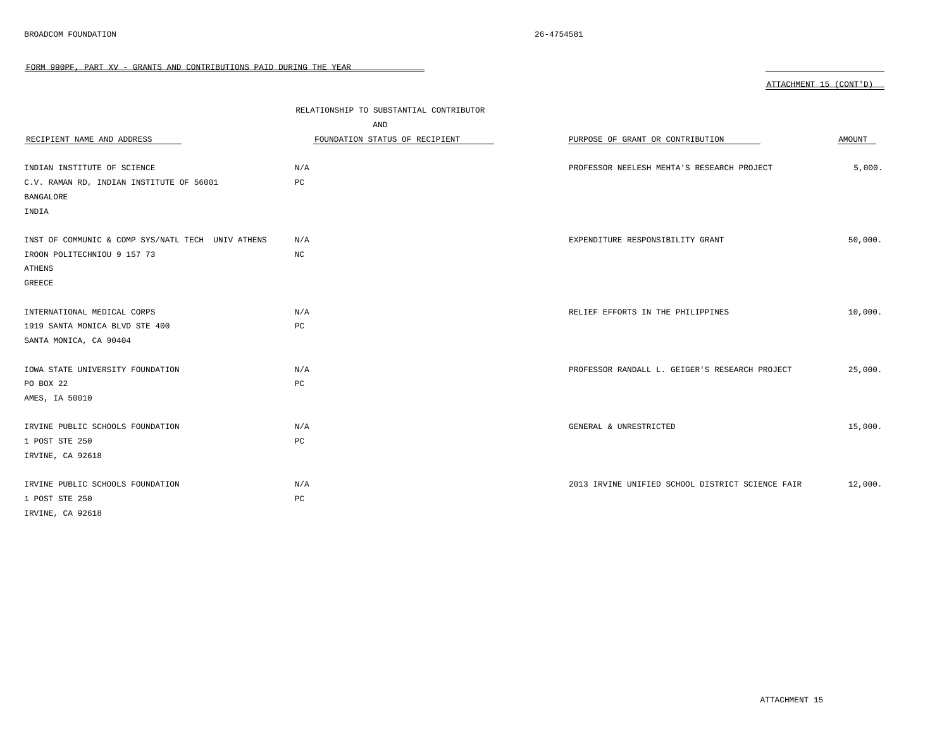| ruun ssurr, rani av<br>GRANIO AND CONTRIGUITORS FAID DORING INS |                                         |                                                  |                        |
|-----------------------------------------------------------------|-----------------------------------------|--------------------------------------------------|------------------------|
|                                                                 |                                         |                                                  | ATTACHMENT 15 (CONT'D) |
|                                                                 | RELATIONSHIP TO SUBSTANTIAL CONTRIBUTOR |                                                  |                        |
|                                                                 | AND                                     |                                                  |                        |
| RECIPIENT NAME AND ADDRESS                                      | FOUNDATION STATUS OF RECIPIENT          | PURPOSE OF GRANT OR CONTRIBUTION                 | AMOUNT                 |
| INDIAN INSTITUTE OF SCIENCE                                     | N/A                                     | PROFESSOR NEELESH MEHTA'S RESEARCH PROJECT       | 5,000.                 |
| C.V. RAMAN RD, INDIAN INSTITUTE OF 56001                        | PC                                      |                                                  |                        |
| BANGALORE                                                       |                                         |                                                  |                        |
| INDIA                                                           |                                         |                                                  |                        |
| INST OF COMMUNIC & COMP SYS/NATL TECH UNIV ATHENS               | N/A                                     | EXPENDITURE RESPONSIBILITY GRANT                 | 50,000.                |
| IROON POLITECHNIOU 9 157 73                                     | NC                                      |                                                  |                        |
| ATHENS                                                          |                                         |                                                  |                        |
| <b>GREECE</b>                                                   |                                         |                                                  |                        |
| INTERNATIONAL MEDICAL CORPS                                     | N/A                                     | RELIEF EFFORTS IN THE PHILIPPINES                | 10,000.                |
| 1919 SANTA MONICA BLVD STE 400                                  | PC                                      |                                                  |                        |
| SANTA MONICA, CA 90404                                          |                                         |                                                  |                        |
| IOWA STATE UNIVERSITY FOUNDATION                                | N/A                                     | PROFESSOR RANDALL L. GEIGER'S RESEARCH PROJECT   | 25,000.                |
| PO BOX 22                                                       | PC                                      |                                                  |                        |
| AMES, IA 50010                                                  |                                         |                                                  |                        |
| IRVINE PUBLIC SCHOOLS FOUNDATION                                | N/A                                     | GENERAL & UNRESTRICTED                           | 15,000.                |
| 1 POST STE 250                                                  | PC                                      |                                                  |                        |
| IRVINE, CA 92618                                                |                                         |                                                  |                        |
| IRVINE PUBLIC SCHOOLS FOUNDATION                                | N/A                                     | 2013 IRVINE UNIFIED SCHOOL DISTRICT SCIENCE FAIR | 12,000.                |
| 1 POST STE 250                                                  | PC                                      |                                                  |                        |
| IRVINE, CA 92618                                                |                                         |                                                  |                        |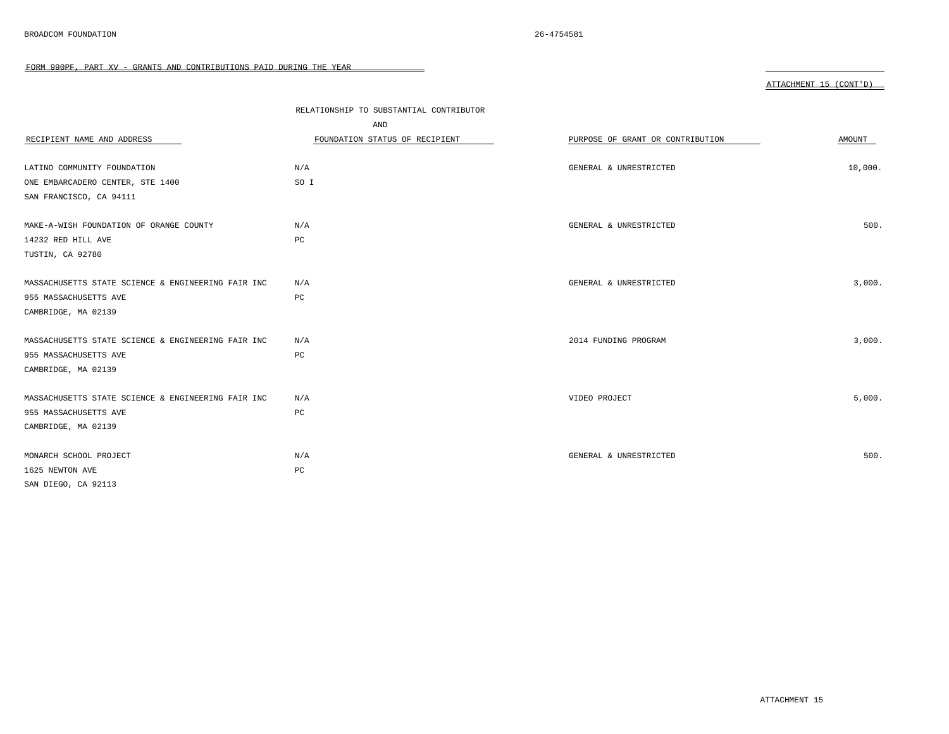| RECIPIENT NAME AND ADDRESS                         | RELATIONSHIP TO SUBSTANTIAL CONTRIBUTOR<br>AND<br>FOUNDATION STATUS OF RECIPIENT | PURPOSE OF GRANT OR CONTRIBUTION | AMOUNT  |
|----------------------------------------------------|----------------------------------------------------------------------------------|----------------------------------|---------|
| LATINO COMMUNITY FOUNDATION                        | N/A                                                                              | GENERAL & UNRESTRICTED           | 10,000. |
| ONE EMBARCADERO CENTER, STE 1400                   | SO I                                                                             |                                  |         |
| SAN FRANCISCO, CA 94111                            |                                                                                  |                                  |         |
|                                                    |                                                                                  |                                  |         |
| MAKE-A-WISH FOUNDATION OF ORANGE COUNTY            | N/A                                                                              | GENERAL & UNRESTRICTED           | 500.    |
| 14232 RED HILL AVE                                 | PC                                                                               |                                  |         |
| TUSTIN, CA 92780                                   |                                                                                  |                                  |         |
|                                                    |                                                                                  |                                  |         |
| MASSACHUSETTS STATE SCIENCE & ENGINEERING FAIR INC | N/A                                                                              | GENERAL & UNRESTRICTED           | 3,000.  |
| 955 MASSACHUSETTS AVE                              | $_{\rm PC}$                                                                      |                                  |         |
| CAMBRIDGE, MA 02139                                |                                                                                  |                                  |         |
|                                                    |                                                                                  |                                  |         |
| MASSACHUSETTS STATE SCIENCE & ENGINEERING FAIR INC | N/A                                                                              | 2014 FUNDING PROGRAM             | 3,000.  |
| 955 MASSACHUSETTS AVE                              | PC                                                                               |                                  |         |
| CAMBRIDGE, MA 02139                                |                                                                                  |                                  |         |
|                                                    |                                                                                  |                                  |         |
| MASSACHUSETTS STATE SCIENCE & ENGINEERING FAIR INC | N/A                                                                              | VIDEO PROJECT                    | 5,000.  |
| 955 MASSACHUSETTS AVE                              | PC                                                                               |                                  |         |
| CAMBRIDGE, MA 02139                                |                                                                                  |                                  |         |
|                                                    |                                                                                  |                                  |         |
| MONARCH SCHOOL PROJECT                             | N/A                                                                              | GENERAL & UNRESTRICTED           | 500.    |
| 1625 NEWTON AVE                                    | PC                                                                               |                                  |         |
| SAN DIEGO, CA 92113                                |                                                                                  |                                  |         |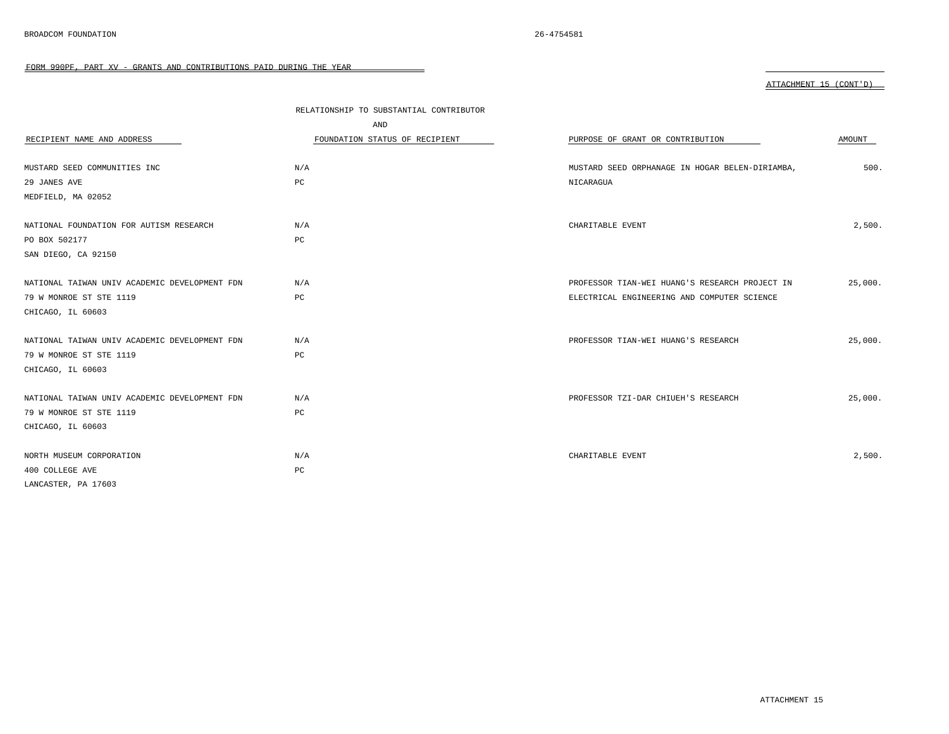|                                               | RELATIONSHIP TO SUBSTANTIAL CONTRIBUTOR<br>AND |                                                 |         |
|-----------------------------------------------|------------------------------------------------|-------------------------------------------------|---------|
| RECIPIENT NAME AND ADDRESS                    | FOUNDATION STATUS OF RECIPIENT                 | PURPOSE OF GRANT OR CONTRIBUTION                | AMOUNT  |
| MUSTARD SEED COMMUNITIES INC                  | N/A                                            | MUSTARD SEED ORPHANAGE IN HOGAR BELEN-DIRIAMBA, | 500.    |
| 29 JANES AVE                                  | PC                                             | NICARAGUA                                       |         |
| MEDFIELD, MA 02052                            |                                                |                                                 |         |
|                                               |                                                |                                                 |         |
| NATIONAL FOUNDATION FOR AUTISM RESEARCH       | N/A                                            | CHARITABLE EVENT                                | 2,500.  |
| PO BOX 502177                                 | $_{\rm PC}$                                    |                                                 |         |
| SAN DIEGO, CA 92150                           |                                                |                                                 |         |
|                                               |                                                |                                                 |         |
| NATIONAL TAIWAN UNIV ACADEMIC DEVELOPMENT FDN | N/A                                            | PROFESSOR TIAN-WEI HUANG'S RESEARCH PROJECT IN  | 25,000. |
| 79 W MONROE ST STE 1119                       | PC                                             | ELECTRICAL ENGINEERING AND COMPUTER SCIENCE     |         |
| CHICAGO, IL 60603                             |                                                |                                                 |         |
|                                               |                                                |                                                 |         |
| NATIONAL TAIWAN UNIV ACADEMIC DEVELOPMENT FDN | N/A                                            | PROFESSOR TIAN-WEI HUANG'S RESEARCH             | 25,000. |
| 79 W MONROE ST STE 1119                       | PC                                             |                                                 |         |
| CHICAGO, IL 60603                             |                                                |                                                 |         |
|                                               |                                                |                                                 |         |
| NATIONAL TAIWAN UNIV ACADEMIC DEVELOPMENT FDN | N/A                                            | PROFESSOR TZI-DAR CHIUEH'S RESEARCH             | 25,000. |
| 79 W MONROE ST STE 1119                       | $_{\rm PC}$                                    |                                                 |         |
| CHICAGO, IL 60603                             |                                                |                                                 |         |
|                                               |                                                |                                                 |         |
| NORTH MUSEUM CORPORATION                      | N/A                                            | CHARITABLE EVENT                                | 2,500.  |
| 400 COLLEGE AVE                               | $_{\rm PC}$                                    |                                                 |         |
| LANCASTER, PA 17603                           |                                                |                                                 |         |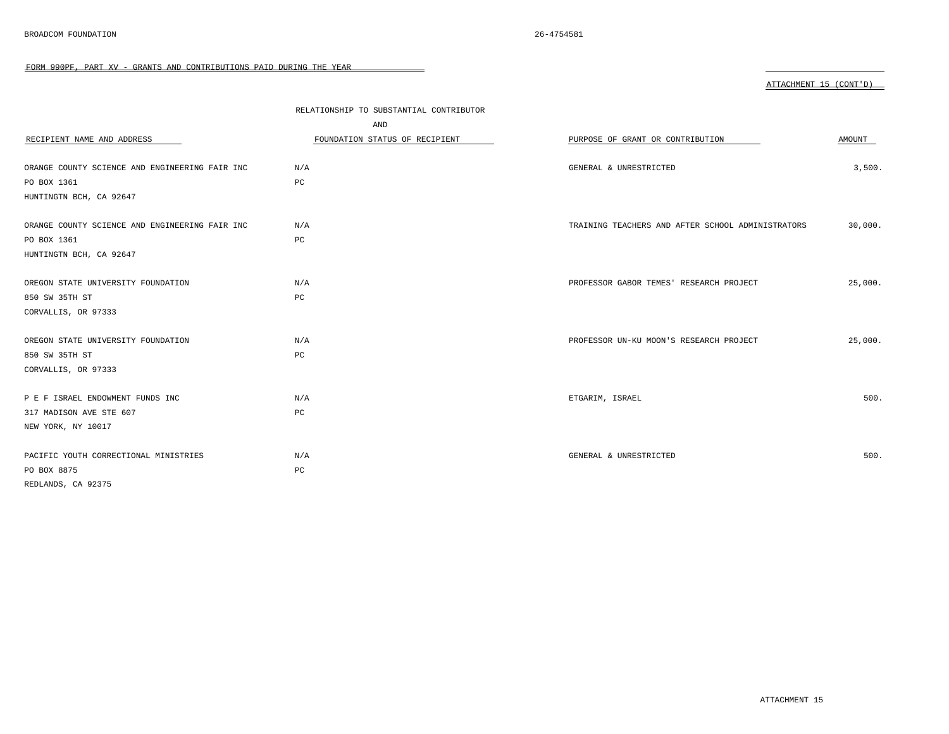|                                                | RELATIONSHIP TO SUBSTANTIAL CONTRIBUTOR |                                                   |         |
|------------------------------------------------|-----------------------------------------|---------------------------------------------------|---------|
|                                                | AND                                     |                                                   |         |
| RECIPIENT NAME AND ADDRESS                     | FOUNDATION STATUS OF RECIPIENT          | PURPOSE OF GRANT OR CONTRIBUTION                  | AMOUNT  |
|                                                |                                         |                                                   |         |
| ORANGE COUNTY SCIENCE AND ENGINEERING FAIR INC | N/A                                     | GENERAL & UNRESTRICTED                            | 3,500.  |
| PO BOX 1361                                    | PC                                      |                                                   |         |
| HUNTINGTN BCH, CA 92647                        |                                         |                                                   |         |
| ORANGE COUNTY SCIENCE AND ENGINEERING FAIR INC | N/A                                     | TRAINING TEACHERS AND AFTER SCHOOL ADMINISTRATORS | 30,000. |
| PO BOX 1361                                    | PC                                      |                                                   |         |
| HUNTINGTN BCH, CA 92647                        |                                         |                                                   |         |
| OREGON STATE UNIVERSITY FOUNDATION             | N/A                                     | PROFESSOR GABOR TEMES' RESEARCH PROJECT           | 25,000. |
| 850 SW 35TH ST                                 | PC                                      |                                                   |         |
| CORVALLIS, OR 97333                            |                                         |                                                   |         |
| OREGON STATE UNIVERSITY FOUNDATION             | N/A                                     | PROFESSOR UN-KU MOON'S RESEARCH PROJECT           | 25,000. |
| 850 SW 35TH ST                                 | PC                                      |                                                   |         |
| CORVALLIS, OR 97333                            |                                         |                                                   |         |
| P E F ISRAEL ENDOWMENT FUNDS INC               | N/A                                     | ETGARIM, ISRAEL                                   | 500.    |
| 317 MADISON AVE STE 607                        | PC                                      |                                                   |         |
| NEW YORK, NY 10017                             |                                         |                                                   |         |
| PACIFIC YOUTH CORRECTIONAL MINISTRIES          | N/A                                     | GENERAL & UNRESTRICTED                            | 500.    |
| PO BOX 8875                                    | $_{\rm PC}$                             |                                                   |         |
| REDLANDS, CA 92375                             |                                         |                                                   |         |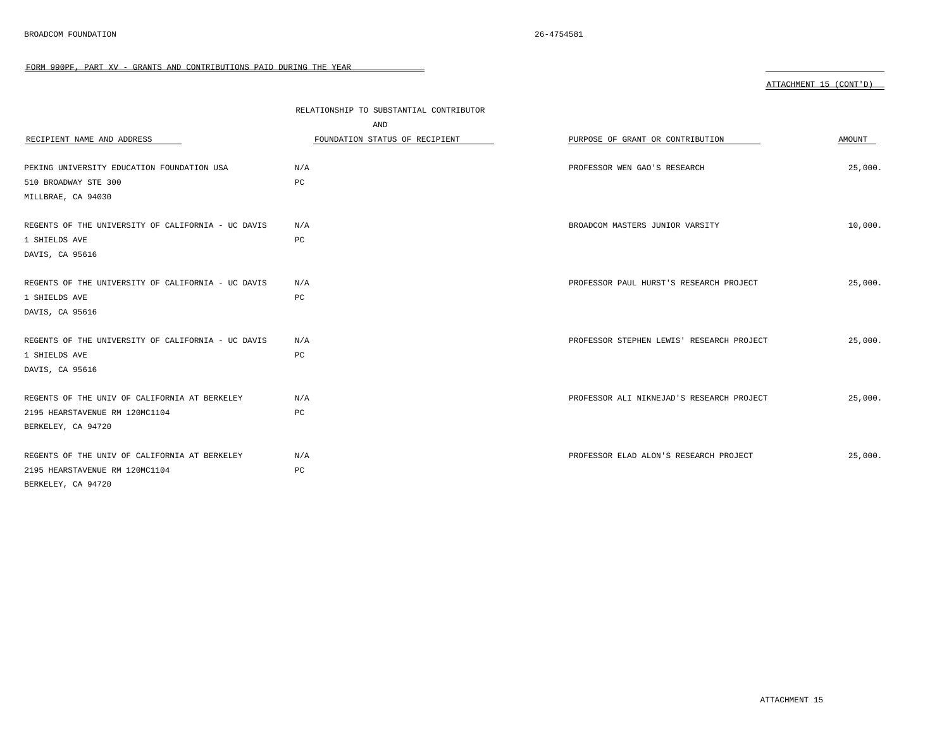|                                                    | RELATIONSHIP TO SUBSTANTIAL CONTRIBUTOR<br>AND |                                           |         |
|----------------------------------------------------|------------------------------------------------|-------------------------------------------|---------|
| RECIPIENT NAME AND ADDRESS                         | FOUNDATION STATUS OF RECIPIENT                 | PURPOSE OF GRANT OR CONTRIBUTION          | AMOUNT  |
| PEKING UNIVERSITY EDUCATION FOUNDATION USA         | N/A                                            | PROFESSOR WEN GAO'S RESEARCH              | 25,000. |
| 510 BROADWAY STE 300                               | PC                                             |                                           |         |
| MILLBRAE, CA 94030                                 |                                                |                                           |         |
|                                                    |                                                |                                           |         |
| REGENTS OF THE UNIVERSITY OF CALIFORNIA - UC DAVIS | N/A                                            | BROADCOM MASTERS JUNIOR VARSITY           | 10,000. |
| 1 SHIELDS AVE                                      | PC                                             |                                           |         |
| DAVIS, CA 95616                                    |                                                |                                           |         |
|                                                    |                                                |                                           |         |
| REGENTS OF THE UNIVERSITY OF CALIFORNIA - UC DAVIS | N/A                                            | PROFESSOR PAUL HURST'S RESEARCH PROJECT   | 25,000. |
| 1 SHIELDS AVE                                      | PC                                             |                                           |         |
| DAVIS, CA 95616                                    |                                                |                                           |         |
|                                                    |                                                |                                           |         |
| REGENTS OF THE UNIVERSITY OF CALIFORNIA - UC DAVIS | N/A                                            | PROFESSOR STEPHEN LEWIS' RESEARCH PROJECT | 25,000. |
| 1 SHIELDS AVE                                      | PC                                             |                                           |         |
| DAVIS, CA 95616                                    |                                                |                                           |         |
|                                                    |                                                |                                           |         |
| REGENTS OF THE UNIV OF CALIFORNIA AT BERKELEY      | N/A                                            | PROFESSOR ALI NIKNEJAD'S RESEARCH PROJECT | 25,000. |
| 2195 HEARSTAVENUE RM 120MC1104                     | PC                                             |                                           |         |
| BERKELEY, CA 94720                                 |                                                |                                           |         |
|                                                    |                                                |                                           |         |
| REGENTS OF THE UNIV OF CALIFORNIA AT BERKELEY      | N/A                                            | PROFESSOR ELAD ALON'S RESEARCH PROJECT    | 25,000. |
| 2195 HEARSTAVENUE RM 120MC1104                     | PC                                             |                                           |         |
| BERKELEY, CA 94720                                 |                                                |                                           |         |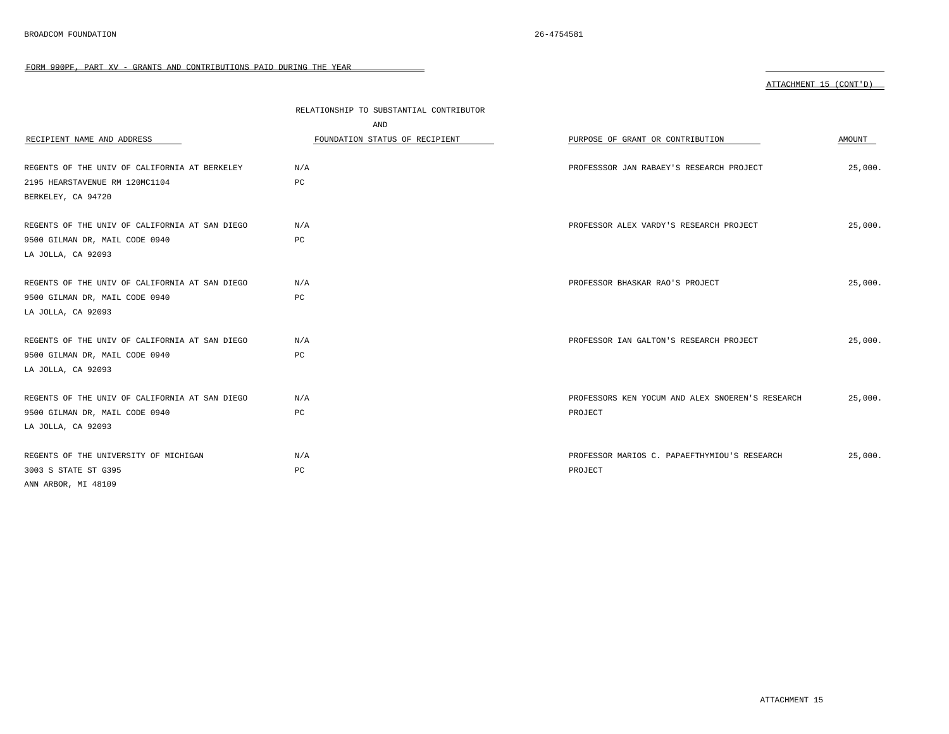|                                                | RELATIONSHIP TO SUBSTANTIAL CONTRIBUTOR<br>AND |                                                  |         |
|------------------------------------------------|------------------------------------------------|--------------------------------------------------|---------|
| RECIPIENT NAME AND ADDRESS                     | FOUNDATION STATUS OF RECIPIENT                 | PURPOSE OF GRANT OR CONTRIBUTION                 | AMOUNT  |
|                                                |                                                |                                                  |         |
| REGENTS OF THE UNIV OF CALIFORNIA AT BERKELEY  | N/A                                            | PROFESSSOR JAN RABAEY'S RESEARCH PROJECT         | 25,000. |
| 2195 HEARSTAVENUE RM 120MC1104                 | PC                                             |                                                  |         |
| BERKELEY, CA 94720                             |                                                |                                                  |         |
|                                                |                                                |                                                  |         |
| REGENTS OF THE UNIV OF CALIFORNIA AT SAN DIEGO | N/A                                            | PROFESSOR ALEX VARDY'S RESEARCH PROJECT          | 25,000. |
| 9500 GILMAN DR, MAIL CODE 0940                 | PC                                             |                                                  |         |
| LA JOLLA, CA 92093                             |                                                |                                                  |         |
|                                                |                                                |                                                  |         |
| REGENTS OF THE UNIV OF CALIFORNIA AT SAN DIEGO | N/A                                            | PROFESSOR BHASKAR RAO'S PROJECT                  | 25.000. |
| 9500 GILMAN DR, MAIL CODE 0940                 | PC                                             |                                                  |         |
| LA JOLLA, CA 92093                             |                                                |                                                  |         |
|                                                |                                                |                                                  |         |
| REGENTS OF THE UNIV OF CALIFORNIA AT SAN DIEGO | N/A                                            | PROFESSOR IAN GALTON'S RESEARCH PROJECT          | 25,000. |
| 9500 GILMAN DR, MAIL CODE 0940                 | PC                                             |                                                  |         |
| LA JOLLA, CA 92093                             |                                                |                                                  |         |
|                                                |                                                |                                                  |         |
| REGENTS OF THE UNIV OF CALIFORNIA AT SAN DIEGO | N/A                                            | PROFESSORS KEN YOCUM AND ALEX SNOEREN'S RESEARCH | 25,000. |
| 9500 GILMAN DR, MAIL CODE 0940                 | PC                                             | PROJECT                                          |         |
| LA JOLLA, CA 92093                             |                                                |                                                  |         |
|                                                |                                                |                                                  |         |
| REGENTS OF THE UNIVERSITY OF MICHIGAN          | N/A                                            | PROFESSOR MARIOS C. PAPAEFTHYMIOU'S RESEARCH     | 25,000. |
| 3003 S STATE ST G395                           | PC                                             | PROJECT                                          |         |
| ANN ARBOR, MI 48109                            |                                                |                                                  |         |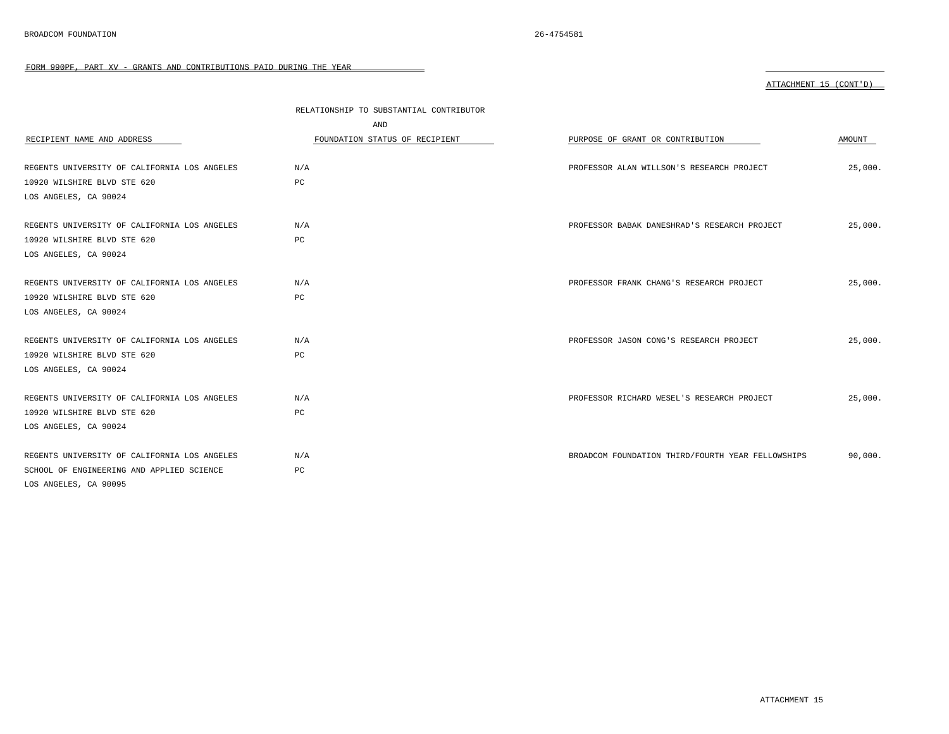|                                              | RELATIONSHIP TO SUBSTANTIAL CONTRIBUTOR |                                                   |         |
|----------------------------------------------|-----------------------------------------|---------------------------------------------------|---------|
|                                              | AND                                     |                                                   |         |
| RECIPIENT NAME AND ADDRESS                   | FOUNDATION STATUS OF RECIPIENT          | PURPOSE OF GRANT OR CONTRIBUTION                  | AMOUNT  |
|                                              |                                         |                                                   |         |
| REGENTS UNIVERSITY OF CALIFORNIA LOS ANGELES | N/A                                     | PROFESSOR ALAN WILLSON'S RESEARCH PROJECT         | 25,000. |
| 10920 WILSHIRE BLVD STE 620                  | PC                                      |                                                   |         |
| LOS ANGELES, CA 90024                        |                                         |                                                   |         |
| REGENTS UNIVERSITY OF CALIFORNIA LOS ANGELES | N/A                                     | PROFESSOR BABAK DANESHRAD'S RESEARCH PROJECT      | 25,000. |
| 10920 WILSHIRE BLVD STE 620                  | РC                                      |                                                   |         |
| LOS ANGELES, CA 90024                        |                                         |                                                   |         |
|                                              |                                         |                                                   |         |
| REGENTS UNIVERSITY OF CALIFORNIA LOS ANGELES | N/A                                     | PROFESSOR FRANK CHANG'S RESEARCH PROJECT          | 25,000. |
| 10920 WILSHIRE BLVD STE 620                  | PC                                      |                                                   |         |
| LOS ANGELES, CA 90024                        |                                         |                                                   |         |
|                                              |                                         |                                                   |         |
| REGENTS UNIVERSITY OF CALIFORNIA LOS ANGELES | N/A                                     | PROFESSOR JASON CONG'S RESEARCH PROJECT           | 25.000. |
| 10920 WILSHIRE BLVD STE 620                  | PC                                      |                                                   |         |
| LOS ANGELES, CA 90024                        |                                         |                                                   |         |
|                                              |                                         |                                                   |         |
| REGENTS UNIVERSITY OF CALIFORNIA LOS ANGELES | N/A                                     | PROFESSOR RICHARD WESEL'S RESEARCH PROJECT        | 25,000. |
| 10920 WILSHIRE BLVD STE 620                  | PC                                      |                                                   |         |
| LOS ANGELES, CA 90024                        |                                         |                                                   |         |
| REGENTS UNIVERSITY OF CALIFORNIA LOS ANGELES | N/A                                     | BROADCOM FOUNDATION THIRD/FOURTH YEAR FELLOWSHIPS | 90,000. |
| SCHOOL OF ENGINEERING AND APPLIED SCIENCE    | PC                                      |                                                   |         |
| LOS ANGELES, CA 90095                        |                                         |                                                   |         |
|                                              |                                         |                                                   |         |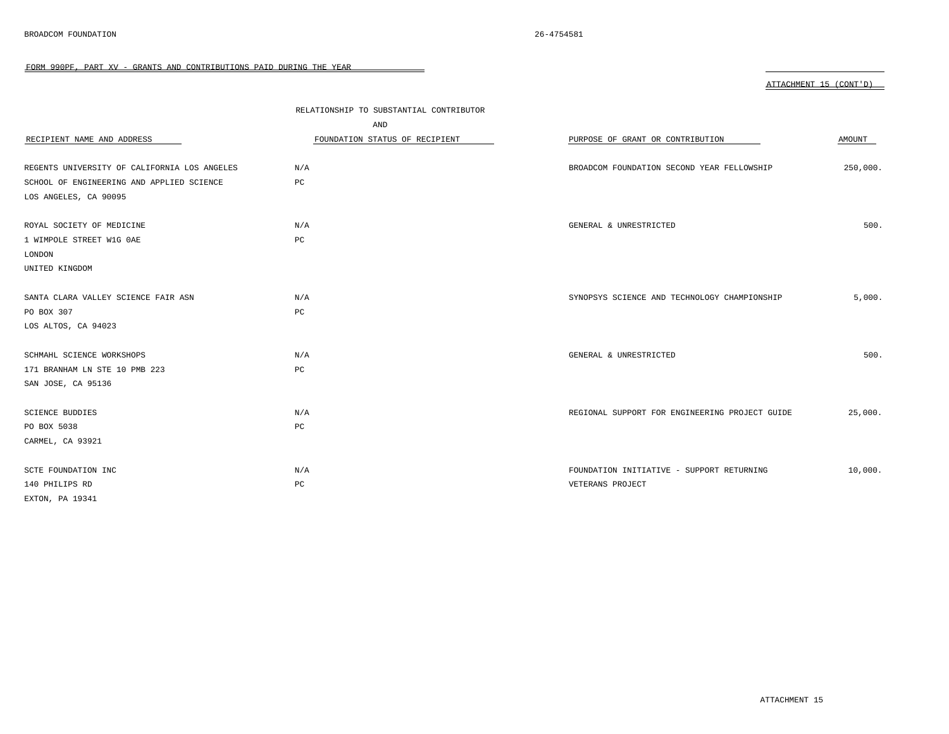| ATTACHMENT 1 | $15$ (CONT'D) |
|--------------|---------------|
|              |               |

|                                              | RELATIONSHIP TO SUBSTANTIAL CONTRIBUTOR |                                                |          |
|----------------------------------------------|-----------------------------------------|------------------------------------------------|----------|
|                                              | AND                                     |                                                |          |
| RECIPIENT NAME AND ADDRESS                   | FOUNDATION STATUS OF RECIPIENT          | PURPOSE OF GRANT OR CONTRIBUTION               | AMOUNT   |
|                                              |                                         |                                                |          |
| REGENTS UNIVERSITY OF CALIFORNIA LOS ANGELES | N/A                                     | BROADCOM FOUNDATION SECOND YEAR FELLOWSHIP     | 250,000. |
| SCHOOL OF ENGINEERING AND APPLIED SCIENCE    | $_{\rm PC}$                             |                                                |          |
| LOS ANGELES, CA 90095                        |                                         |                                                |          |
|                                              |                                         |                                                |          |
| ROYAL SOCIETY OF MEDICINE                    | N/A                                     | GENERAL & UNRESTRICTED                         | 500.     |
| 1 WIMPOLE STREET W1G OAE                     | PC                                      |                                                |          |
| LONDON                                       |                                         |                                                |          |
| UNITED KINGDOM                               |                                         |                                                |          |
|                                              |                                         |                                                |          |
| SANTA CLARA VALLEY SCIENCE FAIR ASN          | N/A                                     | SYNOPSYS SCIENCE AND TECHNOLOGY CHAMPIONSHIP   | 5,000.   |
| PO BOX 307                                   | PC                                      |                                                |          |
| LOS ALTOS, CA 94023                          |                                         |                                                |          |
|                                              |                                         |                                                |          |
| SCHMAHL SCIENCE WORKSHOPS                    | N/A                                     | GENERAL & UNRESTRICTED                         | 500.     |
| 171 BRANHAM LN STE 10 PMB 223                | $_{\rm PC}$                             |                                                |          |
| SAN JOSE, CA 95136                           |                                         |                                                |          |
|                                              |                                         |                                                |          |
| <b>SCIENCE BUDDIES</b>                       | N/A                                     | REGIONAL SUPPORT FOR ENGINEERING PROJECT GUIDE | 25,000.  |
| PO BOX 5038                                  | $_{\rm PC}$                             |                                                |          |
| CARMEL, CA 93921                             |                                         |                                                |          |
|                                              |                                         |                                                |          |
| SCTE FOUNDATION INC                          | N/A                                     | FOUNDATION INITIATIVE - SUPPORT RETURNING      | 10,000.  |
| 140 PHILIPS RD                               | $_{\rm PC}$                             | VETERANS PROJECT                               |          |
| EXTON, PA 19341                              |                                         |                                                |          |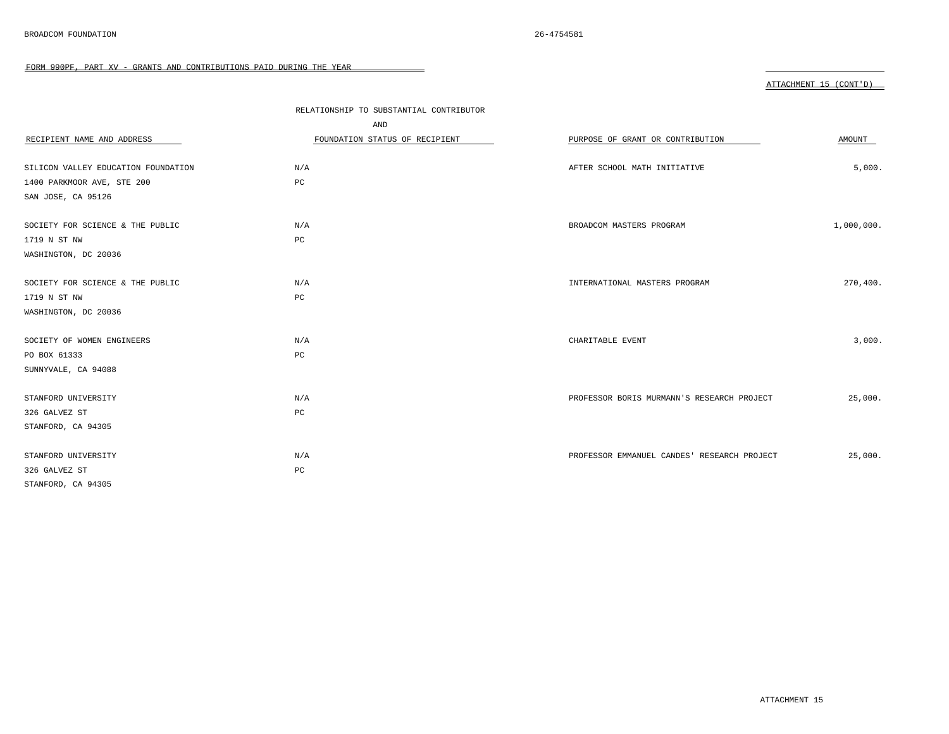|                                     | RELATIONSHIP TO SUBSTANTIAL CONTRIBUTOR |                                             |            |
|-------------------------------------|-----------------------------------------|---------------------------------------------|------------|
|                                     | AND                                     |                                             |            |
| RECIPIENT NAME AND ADDRESS          | FOUNDATION STATUS OF RECIPIENT          | PURPOSE OF GRANT OR CONTRIBUTION            | AMOUNT     |
|                                     |                                         |                                             |            |
| SILICON VALLEY EDUCATION FOUNDATION | N/A                                     | AFTER SCHOOL MATH INITIATIVE                | 5,000.     |
| 1400 PARKMOOR AVE, STE 200          | PC                                      |                                             |            |
| SAN JOSE, CA 95126                  |                                         |                                             |            |
|                                     |                                         |                                             |            |
| SOCIETY FOR SCIENCE & THE PUBLIC    | N/A                                     | BROADCOM MASTERS PROGRAM                    | 1,000,000. |
| 1719 N ST NW                        | PC                                      |                                             |            |
| WASHINGTON, DC 20036                |                                         |                                             |            |
| SOCIETY FOR SCIENCE & THE PUBLIC    | N/A                                     | INTERNATIONAL MASTERS PROGRAM               | 270,400.   |
|                                     |                                         |                                             |            |
| 1719 N ST NW                        | PC                                      |                                             |            |
| WASHINGTON, DC 20036                |                                         |                                             |            |
| SOCIETY OF WOMEN ENGINEERS          | N/A                                     | CHARITABLE EVENT                            | 3,000.     |
| PO BOX 61333                        | PC                                      |                                             |            |
| SUNNYVALE, CA 94088                 |                                         |                                             |            |
|                                     |                                         |                                             |            |
| STANFORD UNIVERSITY                 | N/A                                     | PROFESSOR BORIS MURMANN'S RESEARCH PROJECT  | 25,000.    |
| 326 GALVEZ ST                       | PC                                      |                                             |            |
| STANFORD, CA 94305                  |                                         |                                             |            |
|                                     |                                         |                                             |            |
| STANFORD UNIVERSITY                 | N/A                                     | PROFESSOR EMMANUEL CANDES' RESEARCH PROJECT | 25,000.    |
| 326 GALVEZ ST                       | $_{\rm PC}$                             |                                             |            |
| STANFORD, CA 94305                  |                                         |                                             |            |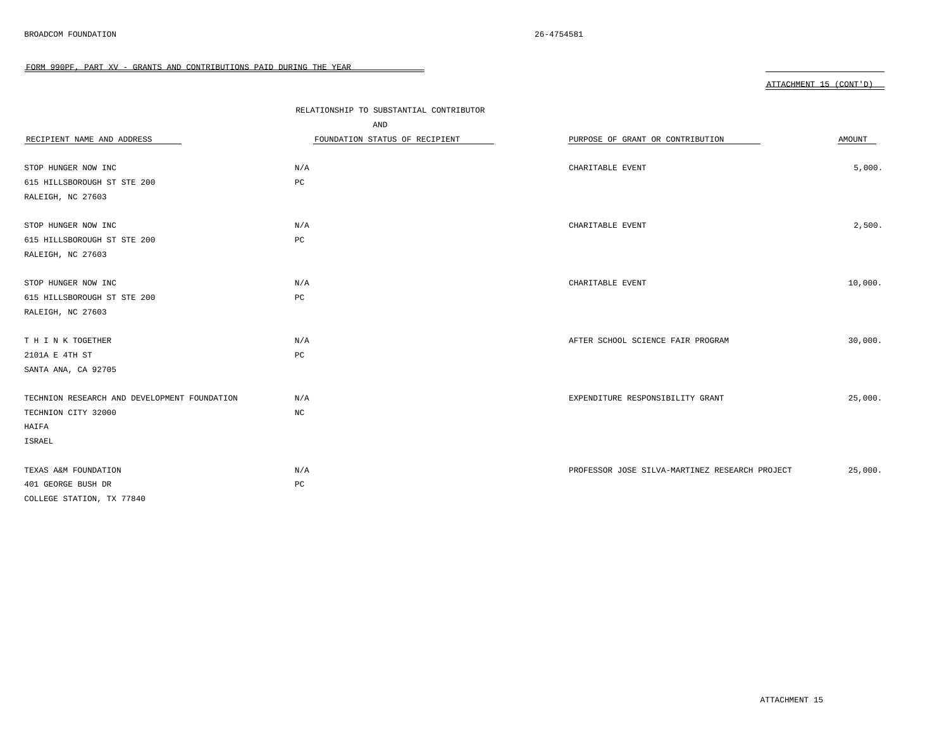|                                              | RELATIONSHIP TO SUBSTANTIAL CONTRIBUTOR |                                                |         |
|----------------------------------------------|-----------------------------------------|------------------------------------------------|---------|
|                                              | AND                                     |                                                |         |
| RECIPIENT NAME AND ADDRESS                   | FOUNDATION STATUS OF RECIPIENT          | PURPOSE OF GRANT OR CONTRIBUTION               | AMOUNT  |
| STOP HUNGER NOW INC                          | N/A                                     | CHARITABLE EVENT                               | 5,000.  |
| 615 HILLSBOROUGH ST STE 200                  | PC                                      |                                                |         |
| RALEIGH, NC 27603                            |                                         |                                                |         |
| STOP HUNGER NOW INC                          | N/A                                     | CHARITABLE EVENT                               | 2,500.  |
| 615 HILLSBOROUGH ST STE 200                  | PC                                      |                                                |         |
| RALEIGH, NC 27603                            |                                         |                                                |         |
| STOP HUNGER NOW INC                          | N/A                                     | CHARITABLE EVENT                               | 10,000. |
| 615 HILLSBOROUGH ST STE 200                  | PC                                      |                                                |         |
| RALEIGH, NC 27603                            |                                         |                                                |         |
|                                              |                                         |                                                |         |
| T H I N K TOGETHER                           | N/A                                     | AFTER SCHOOL SCIENCE FAIR PROGRAM              | 30,000. |
| 2101A E 4TH ST                               | $_{\rm PC}$                             |                                                |         |
| SANTA ANA, CA 92705                          |                                         |                                                |         |
| TECHNION RESEARCH AND DEVELOPMENT FOUNDATION | N/A                                     | EXPENDITURE RESPONSIBILITY GRANT               | 25,000. |
| TECHNION CITY 32000                          | $_{\rm NC}$                             |                                                |         |
| HAIFA                                        |                                         |                                                |         |
| ISRAEL                                       |                                         |                                                |         |
| TEXAS A&M FOUNDATION                         | N/A                                     | PROFESSOR JOSE SILVA-MARTINEZ RESEARCH PROJECT | 25,000. |
| 401 GEORGE BUSH DR                           | PC                                      |                                                |         |
| COLLEGE STATION, TX 77840                    |                                         |                                                |         |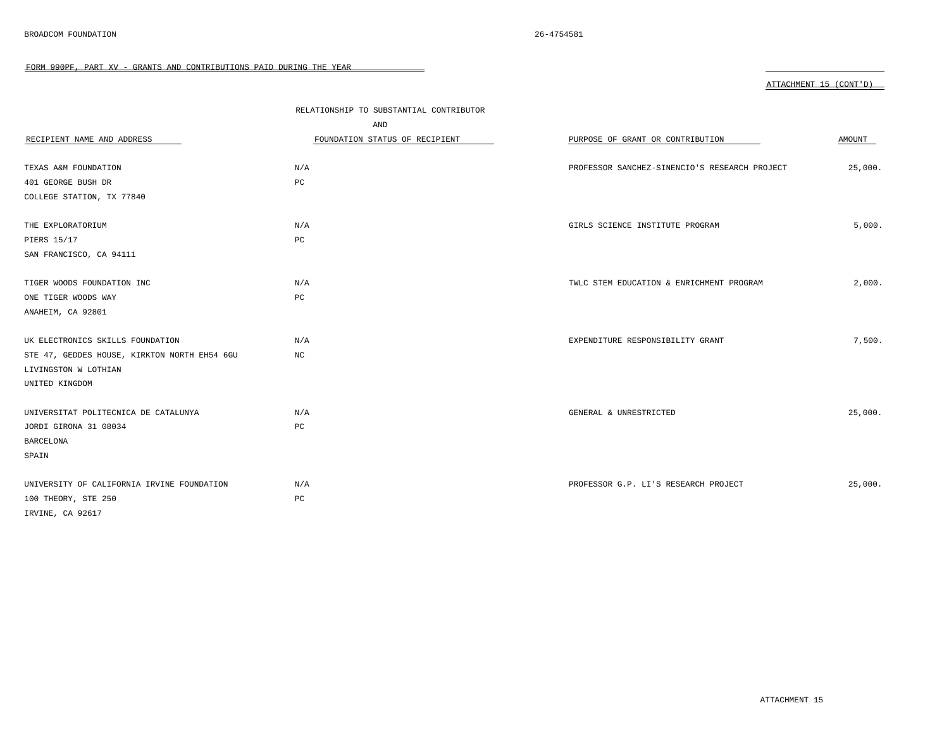|                                              | RELATIONSHIP TO SUBSTANTIAL CONTRIBUTOR |                                               |         |
|----------------------------------------------|-----------------------------------------|-----------------------------------------------|---------|
|                                              | AND                                     |                                               |         |
| RECIPIENT NAME AND ADDRESS                   | FOUNDATION STATUS OF RECIPIENT          | PURPOSE OF GRANT OR CONTRIBUTION              | AMOUNT  |
|                                              |                                         |                                               |         |
| TEXAS A&M FOUNDATION                         | N/A                                     | PROFESSOR SANCHEZ-SINENCIO'S RESEARCH PROJECT | 25,000. |
| 401 GEORGE BUSH DR                           | PC                                      |                                               |         |
| COLLEGE STATION, TX 77840                    |                                         |                                               |         |
|                                              |                                         |                                               |         |
| THE EXPLORATORIUM                            | N/A                                     | GIRLS SCIENCE INSTITUTE PROGRAM               | 5,000.  |
| PIERS 15/17                                  | PC                                      |                                               |         |
| SAN FRANCISCO, CA 94111                      |                                         |                                               |         |
|                                              |                                         |                                               |         |
| TIGER WOODS FOUNDATION INC                   | N/A                                     | TWLC STEM EDUCATION & ENRICHMENT PROGRAM      | 2,000.  |
| ONE TIGER WOODS WAY                          | PC                                      |                                               |         |
| ANAHEIM, CA 92801                            |                                         |                                               |         |
|                                              |                                         |                                               |         |
| UK ELECTRONICS SKILLS FOUNDATION             | N/A                                     | EXPENDITURE RESPONSIBILITY GRANT              | 7,500.  |
| STE 47, GEDDES HOUSE, KIRKTON NORTH EH54 6GU | $_{\mathrm{NC}}$                        |                                               |         |
| LIVINGSTON W LOTHIAN                         |                                         |                                               |         |
| UNITED KINGDOM                               |                                         |                                               |         |
|                                              |                                         |                                               |         |
| UNIVERSITAT POLITECNICA DE CATALUNYA         | N/A                                     | GENERAL & UNRESTRICTED                        | 25,000. |
| JORDI GIRONA 31 08034                        | PC                                      |                                               |         |
| <b>BARCELONA</b>                             |                                         |                                               |         |
| SPAIN                                        |                                         |                                               |         |
|                                              |                                         |                                               |         |
| UNIVERSITY OF CALIFORNIA IRVINE FOUNDATION   | N/A                                     | PROFESSOR G.P. LI'S RESEARCH PROJECT          | 25,000. |
| 100 THEORY, STE 250                          | PC                                      |                                               |         |
| IRVINE, CA 92617                             |                                         |                                               |         |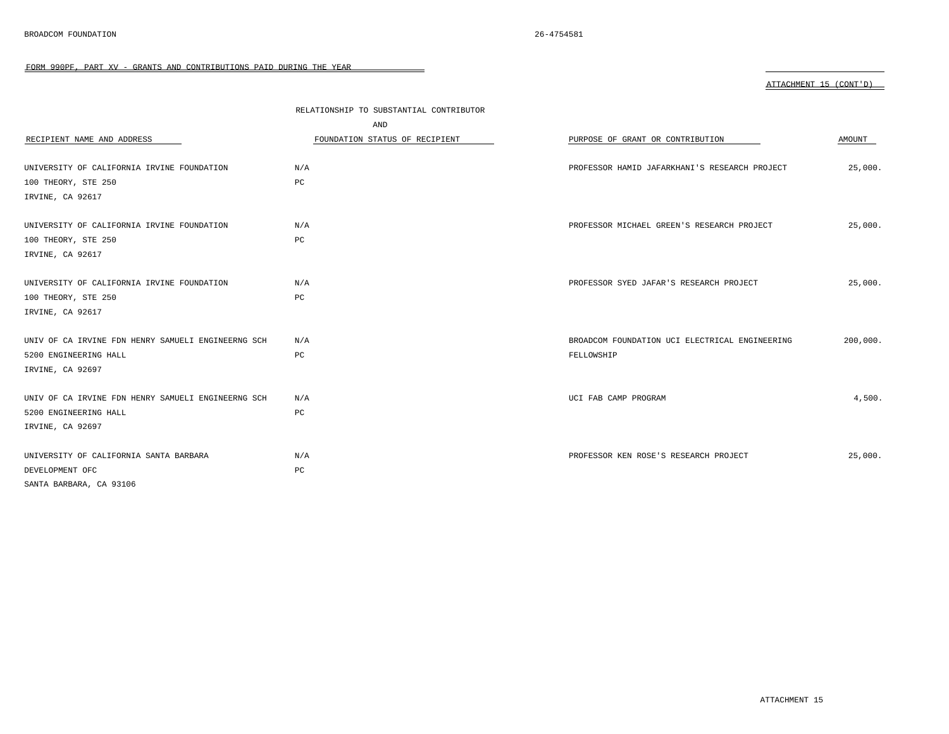|                                                    | RELATIONSHIP TO SUBSTANTIAL CONTRIBUTOR |                                                |          |
|----------------------------------------------------|-----------------------------------------|------------------------------------------------|----------|
|                                                    | AND                                     |                                                |          |
| RECIPIENT NAME AND ADDRESS                         | FOUNDATION STATUS OF RECIPIENT          | PURPOSE OF GRANT OR CONTRIBUTION               | AMOUNT   |
|                                                    |                                         |                                                |          |
| UNIVERSITY OF CALIFORNIA IRVINE FOUNDATION         | N/A                                     | PROFESSOR HAMID JAFARKHANI'S RESEARCH PROJECT  | 25,000.  |
| 100 THEORY, STE 250                                | PC                                      |                                                |          |
| IRVINE, CA 92617                                   |                                         |                                                |          |
|                                                    |                                         |                                                |          |
| UNIVERSITY OF CALIFORNIA IRVINE FOUNDATION         | N/A                                     | PROFESSOR MICHAEL GREEN'S RESEARCH PROJECT     | 25,000.  |
| 100 THEORY, STE 250                                | PC                                      |                                                |          |
| IRVINE, CA 92617                                   |                                         |                                                |          |
|                                                    |                                         |                                                |          |
| UNIVERSITY OF CALIFORNIA IRVINE FOUNDATION         | N/A                                     | PROFESSOR SYED JAFAR'S RESEARCH PROJECT        | 25,000.  |
| 100 THEORY, STE 250                                | PC                                      |                                                |          |
| IRVINE, CA 92617                                   |                                         |                                                |          |
|                                                    |                                         |                                                |          |
| UNIV OF CA IRVINE FDN HENRY SAMUELI ENGINEERNG SCH | N/A                                     | BROADCOM FOUNDATION UCI ELECTRICAL ENGINEERING | 200,000. |
| 5200 ENGINEERING HALL                              | PC                                      | FELLOWSHIP                                     |          |
| IRVINE, CA 92697                                   |                                         |                                                |          |
|                                                    |                                         |                                                |          |
| UNIV OF CA IRVINE FDN HENRY SAMUELI ENGINEERNG SCH | N/A                                     | UCI FAB CAMP PROGRAM                           | 4,500.   |
| 5200 ENGINEERING HALL                              | PC                                      |                                                |          |
| IRVINE, CA 92697                                   |                                         |                                                |          |
|                                                    |                                         |                                                |          |
| UNIVERSITY OF CALIFORNIA SANTA BARBARA             | N/A                                     | PROFESSOR KEN ROSE'S RESEARCH PROJECT          | 25,000.  |
| DEVELOPMENT OFC                                    | PC                                      |                                                |          |
| SANTA BARBARA, CA 93106                            |                                         |                                                |          |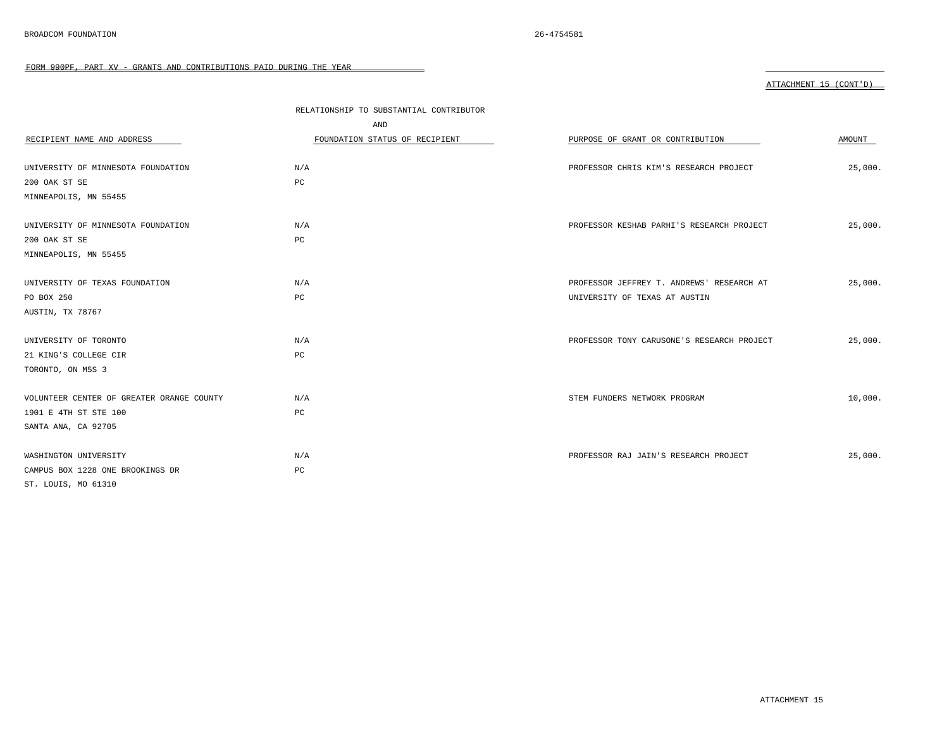|                                           | RELATIONSHIP TO SUBSTANTIAL CONTRIBUTOR |                                            |         |
|-------------------------------------------|-----------------------------------------|--------------------------------------------|---------|
|                                           | AND                                     |                                            |         |
| RECIPIENT NAME AND ADDRESS                | FOUNDATION STATUS OF RECIPIENT          | PURPOSE OF GRANT OR CONTRIBUTION           | AMOUNT  |
|                                           |                                         |                                            |         |
| UNIVERSITY OF MINNESOTA FOUNDATION        | N/A                                     | PROFESSOR CHRIS KIM'S RESEARCH PROJECT     | 25,000. |
| 200 OAK ST SE                             | PC                                      |                                            |         |
| MINNEAPOLIS, MN 55455                     |                                         |                                            |         |
|                                           |                                         |                                            |         |
| UNIVERSITY OF MINNESOTA FOUNDATION        | N/A                                     | PROFESSOR KESHAB PARHI'S RESEARCH PROJECT  | 25,000. |
| 200 OAK ST SE                             | $_{\rm PC}$                             |                                            |         |
| MINNEAPOLIS, MN 55455                     |                                         |                                            |         |
|                                           |                                         |                                            |         |
| UNIVERSITY OF TEXAS FOUNDATION            | N/A                                     | PROFESSOR JEFFREY T. ANDREWS' RESEARCH AT  | 25,000. |
| PO BOX 250                                | $_{\rm PC}$                             | UNIVERSITY OF TEXAS AT AUSTIN              |         |
| AUSTIN, TX 78767                          |                                         |                                            |         |
|                                           |                                         |                                            |         |
| UNIVERSITY OF TORONTO                     | N/A                                     | PROFESSOR TONY CARUSONE'S RESEARCH PROJECT | 25,000. |
| 21 KING'S COLLEGE CIR                     | PC                                      |                                            |         |
| TORONTO, ON M5S 3                         |                                         |                                            |         |
|                                           |                                         |                                            |         |
| VOLUNTEER CENTER OF GREATER ORANGE COUNTY | N/A                                     | STEM FUNDERS NETWORK PROGRAM               | 10,000. |
| 1901 E 4TH ST STE 100                     | PC                                      |                                            |         |
| SANTA ANA, CA 92705                       |                                         |                                            |         |
|                                           |                                         |                                            |         |
| WASHINGTON UNIVERSITY                     | N/A                                     | PROFESSOR RAJ JAIN'S RESEARCH PROJECT      | 25,000. |
| CAMPUS BOX 1228 ONE BROOKINGS DR          | PC                                      |                                            |         |
| ST. LOUIS, MO 61310                       |                                         |                                            |         |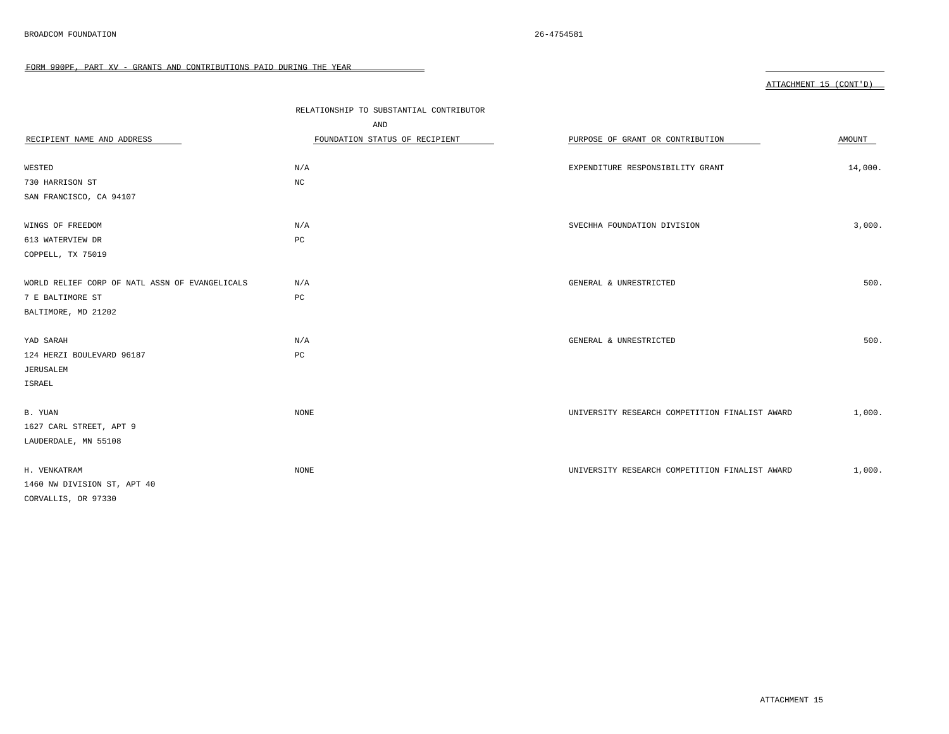| ATTACHMENT 15 (CONT'D) |  |  |
|------------------------|--|--|
|                        |  |  |

|                                                | RELATIONSHIP TO SUBSTANTIAL CONTRIBUTOR<br>AND |                                                |         |
|------------------------------------------------|------------------------------------------------|------------------------------------------------|---------|
| RECIPIENT NAME AND ADDRESS                     | FOUNDATION STATUS OF RECIPIENT                 | PURPOSE OF GRANT OR CONTRIBUTION               | AMOUNT  |
|                                                |                                                |                                                |         |
| WESTED                                         | N/A                                            | EXPENDITURE RESPONSIBILITY GRANT               | 14,000. |
| 730 HARRISON ST                                | $_{\rm NC}$                                    |                                                |         |
| SAN FRANCISCO, CA 94107                        |                                                |                                                |         |
| WINGS OF FREEDOM                               | N/A                                            | SVECHHA FOUNDATION DIVISION                    | 3,000.  |
| 613 WATERVIEW DR                               | PC                                             |                                                |         |
| COPPELL, TX 75019                              |                                                |                                                |         |
|                                                |                                                |                                                |         |
| WORLD RELIEF CORP OF NATL ASSN OF EVANGELICALS | N/A                                            | GENERAL & UNRESTRICTED                         | 500.    |
| 7 E BALTIMORE ST                               | PC                                             |                                                |         |
| BALTIMORE, MD 21202                            |                                                |                                                |         |
|                                                |                                                |                                                |         |
| YAD SARAH                                      | N/A                                            | GENERAL & UNRESTRICTED                         | 500.    |
| 124 HERZI BOULEVARD 96187                      | $_{\rm PC}$                                    |                                                |         |
| JERUSALEM                                      |                                                |                                                |         |
| ISRAEL                                         |                                                |                                                |         |
|                                                |                                                |                                                |         |
| B. YUAN                                        | NONE                                           | UNIVERSITY RESEARCH COMPETITION FINALIST AWARD | 1,000.  |
| 1627 CARL STREET, APT 9                        |                                                |                                                |         |
| LAUDERDALE, MN 55108                           |                                                |                                                |         |
|                                                |                                                |                                                |         |
| H. VENKATRAM                                   | $\rm{NONE}$                                    | UNIVERSITY RESEARCH COMPETITION FINALIST AWARD | 1,000.  |
| 1460 NW DIVISION ST, APT 40                    |                                                |                                                |         |
| CORVALLIS, OR 97330                            |                                                |                                                |         |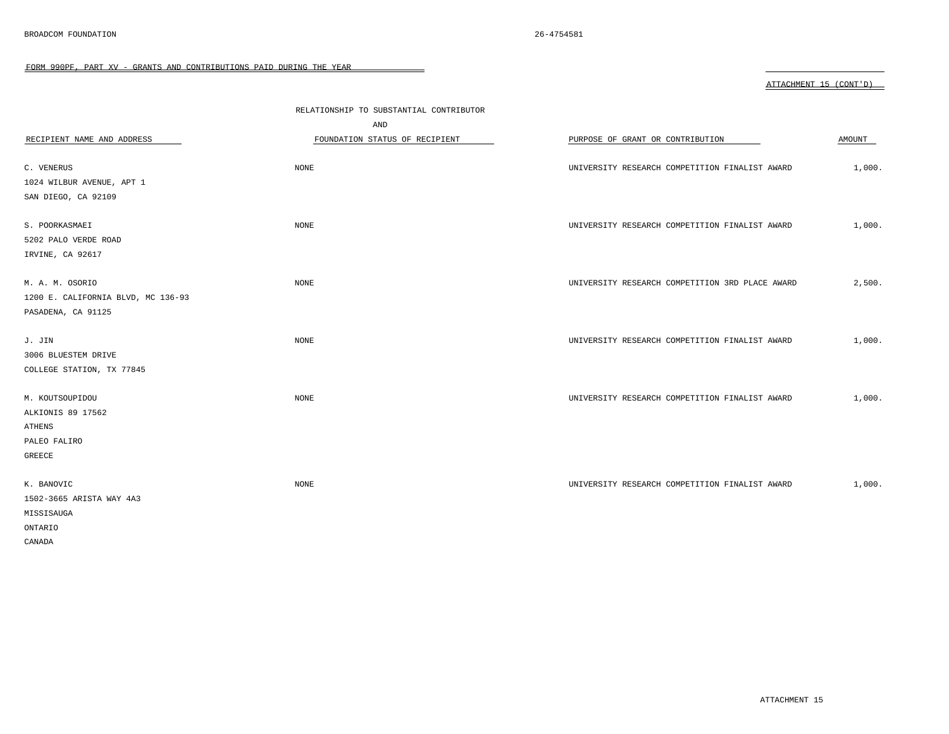|                                    |                                         |                                                 | ATTACHMENT 15 (CONT'D) |
|------------------------------------|-----------------------------------------|-------------------------------------------------|------------------------|
|                                    | RELATIONSHIP TO SUBSTANTIAL CONTRIBUTOR |                                                 |                        |
|                                    | AND                                     |                                                 |                        |
| RECIPIENT NAME AND ADDRESS         | FOUNDATION STATUS OF RECIPIENT          | PURPOSE OF GRANT OR CONTRIBUTION                | AMOUNT                 |
|                                    |                                         |                                                 |                        |
| C. VENERUS                         | NONE                                    | UNIVERSITY RESEARCH COMPETITION FINALIST AWARD  | 1,000.                 |
| 1024 WILBUR AVENUE, APT 1          |                                         |                                                 |                        |
| SAN DIEGO, CA 92109                |                                         |                                                 |                        |
|                                    |                                         |                                                 |                        |
| S. POORKASMAEI                     | <b>NONE</b>                             | UNIVERSITY RESEARCH COMPETITION FINALIST AWARD  | 1,000.                 |
| 5202 PALO VERDE ROAD               |                                         |                                                 |                        |
| IRVINE, CA 92617                   |                                         |                                                 |                        |
| M. A. M. OSORIO                    | NONE                                    | UNIVERSITY RESEARCH COMPETITION 3RD PLACE AWARD | 2,500.                 |
| 1200 E. CALIFORNIA BLVD, MC 136-93 |                                         |                                                 |                        |
| PASADENA, CA 91125                 |                                         |                                                 |                        |
|                                    |                                         |                                                 |                        |
| J. JIN                             | NONE                                    | UNIVERSITY RESEARCH COMPETITION FINALIST AWARD  | 1,000.                 |
| 3006 BLUESTEM DRIVE                |                                         |                                                 |                        |
| COLLEGE STATION, TX 77845          |                                         |                                                 |                        |
|                                    |                                         |                                                 |                        |
| M. KOUTSOUPIDOU                    | NONE                                    | UNIVERSITY RESEARCH COMPETITION FINALIST AWARD  | 1,000.                 |
| ALKIONIS 89 17562                  |                                         |                                                 |                        |
| ATHENS                             |                                         |                                                 |                        |
| PALEO FALIRO                       |                                         |                                                 |                        |
| GREECE                             |                                         |                                                 |                        |
| K. BANOVIC                         | NONE                                    | UNIVERSITY RESEARCH COMPETITION FINALIST AWARD  | 1,000.                 |
| 1502-3665 ARISTA WAY 4A3           |                                         |                                                 |                        |
| MISSISAUGA                         |                                         |                                                 |                        |
| ONTARIO                            |                                         |                                                 |                        |
| CANADA                             |                                         |                                                 |                        |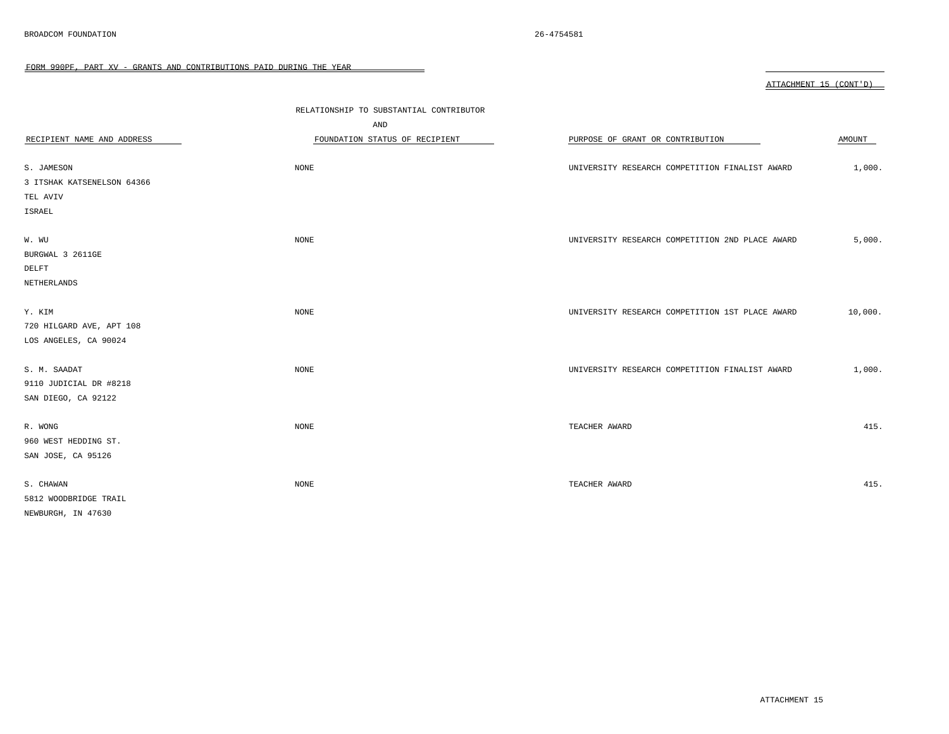|                            |                                         |                                                 | ATTACHMENT 15 (CONT'D) |
|----------------------------|-----------------------------------------|-------------------------------------------------|------------------------|
|                            | RELATIONSHIP TO SUBSTANTIAL CONTRIBUTOR |                                                 |                        |
|                            | AND                                     |                                                 |                        |
| RECIPIENT NAME AND ADDRESS | FOUNDATION STATUS OF RECIPIENT          | PURPOSE OF GRANT OR CONTRIBUTION                | AMOUNT                 |
|                            |                                         |                                                 |                        |
| S. JAMESON                 | NONE                                    | UNIVERSITY RESEARCH COMPETITION FINALIST AWARD  | 1,000.                 |
| 3 ITSHAK KATSENELSON 64366 |                                         |                                                 |                        |
| TEL AVIV                   |                                         |                                                 |                        |
| ISRAEL                     |                                         |                                                 |                        |
|                            |                                         |                                                 |                        |
| W. WU                      | NONE                                    | UNIVERSITY RESEARCH COMPETITION 2ND PLACE AWARD | 5,000.                 |
| BURGWAL 3 2611GE           |                                         |                                                 |                        |
| DELFT                      |                                         |                                                 |                        |
| NETHERLANDS                |                                         |                                                 |                        |
|                            |                                         |                                                 |                        |
| Y. KIM                     | <b>NONE</b>                             | UNIVERSITY RESEARCH COMPETITION 1ST PLACE AWARD | 10,000.                |
| 720 HILGARD AVE, APT 108   |                                         |                                                 |                        |
| LOS ANGELES, CA 90024      |                                         |                                                 |                        |
|                            |                                         |                                                 |                        |
| S. M. SAADAT               | NONE                                    | UNIVERSITY RESEARCH COMPETITION FINALIST AWARD  | 1,000.                 |
| 9110 JUDICIAL DR #8218     |                                         |                                                 |                        |
| SAN DIEGO, CA 92122        |                                         |                                                 |                        |
|                            |                                         |                                                 |                        |
| R. WONG                    | NONE                                    | TEACHER AWARD                                   | 415.                   |
| 960 WEST HEDDING ST.       |                                         |                                                 |                        |
| SAN JOSE, CA 95126         |                                         |                                                 |                        |
|                            |                                         |                                                 |                        |
| S. CHAWAN                  | NONE                                    | TEACHER AWARD                                   | 415.                   |
| 5812 WOODBRIDGE TRAIL      |                                         |                                                 |                        |
| NEWBURGH, IN 47630         |                                         |                                                 |                        |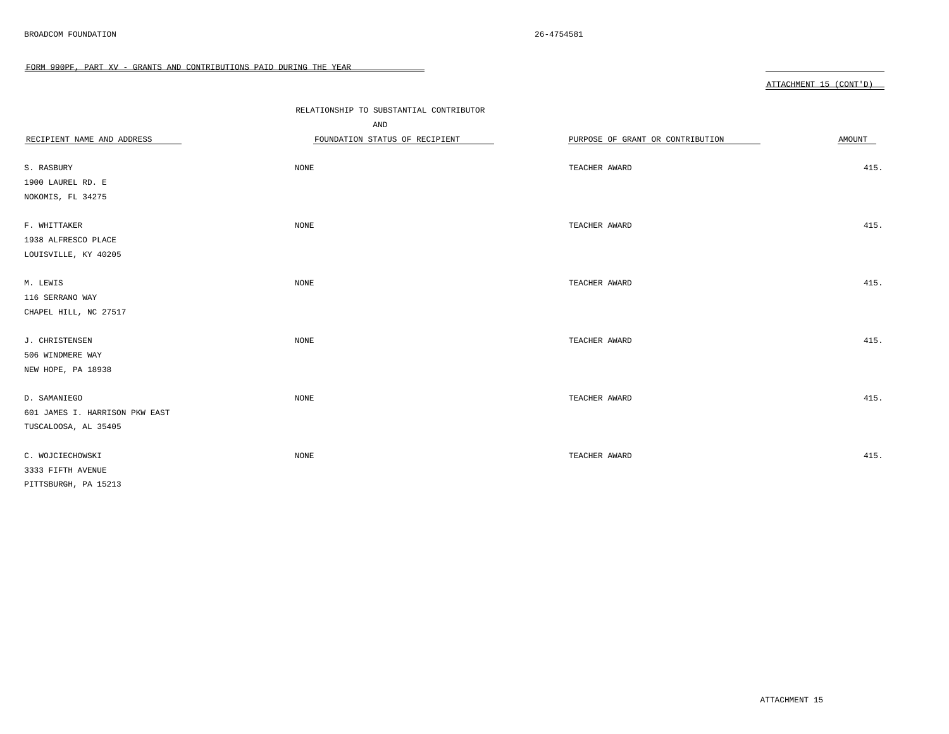|                                | RELATIONSHIP TO SUBSTANTIAL CONTRIBUTOR |                                  |        |  |  |
|--------------------------------|-----------------------------------------|----------------------------------|--------|--|--|
|                                | AND                                     |                                  |        |  |  |
| RECIPIENT NAME AND ADDRESS     | FOUNDATION STATUS OF RECIPIENT          | PURPOSE OF GRANT OR CONTRIBUTION | AMOUNT |  |  |
|                                |                                         |                                  |        |  |  |
| S. RASBURY                     | <b>NONE</b>                             | TEACHER AWARD                    | 415.   |  |  |
| 1900 LAUREL RD. E              |                                         |                                  |        |  |  |
| NOKOMIS, FL 34275              |                                         |                                  |        |  |  |
| F. WHITTAKER                   | NONE                                    | TEACHER AWARD                    | 415.   |  |  |
| 1938 ALFRESCO PLACE            |                                         |                                  |        |  |  |
| LOUISVILLE, KY 40205           |                                         |                                  |        |  |  |
|                                |                                         |                                  |        |  |  |
| M. LEWIS                       | NONE                                    | TEACHER AWARD                    | 415.   |  |  |
| 116 SERRANO WAY                |                                         |                                  |        |  |  |
| CHAPEL HILL, NC 27517          |                                         |                                  |        |  |  |
|                                |                                         |                                  |        |  |  |
| J. CHRISTENSEN                 | <b>NONE</b>                             | TEACHER AWARD                    | 415.   |  |  |
| 506 WINDMERE WAY               |                                         |                                  |        |  |  |
| NEW HOPE, PA 18938             |                                         |                                  |        |  |  |
|                                |                                         |                                  |        |  |  |
| D. SAMANIEGO                   | <b>NONE</b>                             | TEACHER AWARD                    | 415.   |  |  |
| 601 JAMES I. HARRISON PKW EAST |                                         |                                  |        |  |  |
| TUSCALOOSA, AL 35405           |                                         |                                  |        |  |  |
| C. WOJCIECHOWSKI               | <b>NONE</b>                             | TEACHER AWARD                    | 415.   |  |  |
| 3333 FIFTH AVENUE              |                                         |                                  |        |  |  |
| PITTSBURGH, PA 15213           |                                         |                                  |        |  |  |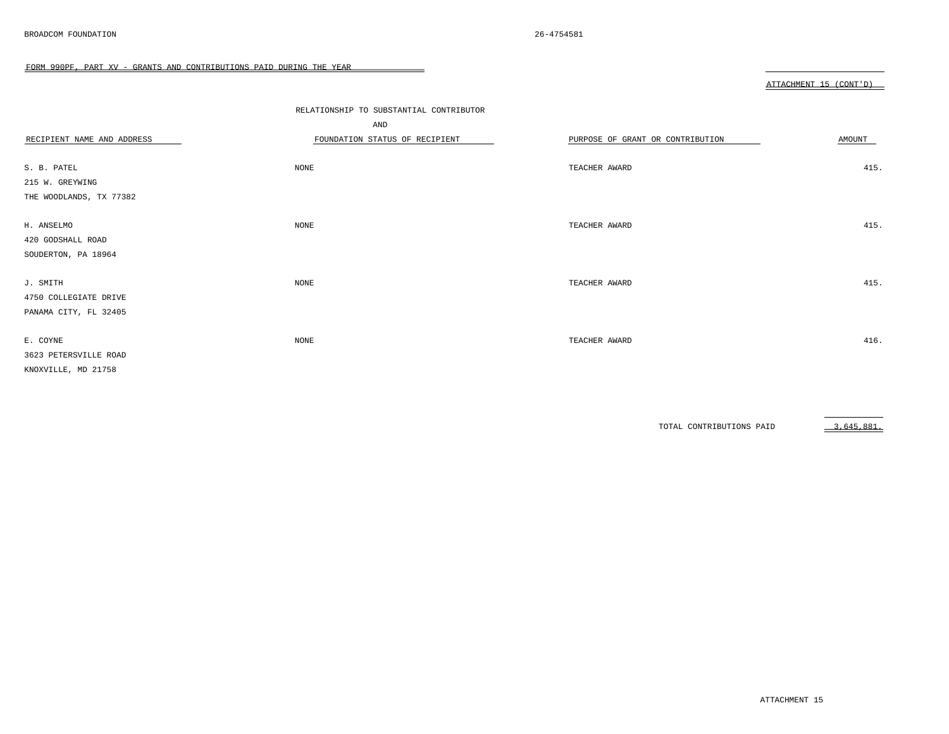|                            |                                         |                                  | ATTACHMENT 15 (CONT'D) |
|----------------------------|-----------------------------------------|----------------------------------|------------------------|
|                            |                                         |                                  |                        |
|                            | RELATIONSHIP TO SUBSTANTIAL CONTRIBUTOR |                                  |                        |
|                            | AND                                     |                                  |                        |
| RECIPIENT NAME AND ADDRESS | FOUNDATION STATUS OF RECIPIENT          | PURPOSE OF GRANT OR CONTRIBUTION | AMOUNT                 |
|                            |                                         |                                  |                        |
| S. B. PATEL                | <b>NONE</b>                             | TEACHER AWARD                    | 415.                   |
| 215 W. GREYWING            |                                         |                                  |                        |
| THE WOODLANDS, TX 77382    |                                         |                                  |                        |
|                            |                                         |                                  |                        |
| H. ANSELMO                 | <b>NONE</b>                             | TEACHER AWARD                    | 415.                   |
| 420 GODSHALL ROAD          |                                         |                                  |                        |
| SOUDERTON, PA 18964        |                                         |                                  |                        |
|                            |                                         |                                  |                        |
| J. SMITH                   | NONE                                    | TEACHER AWARD                    | 415.                   |
| 4750 COLLEGIATE DRIVE      |                                         |                                  |                        |
| PANAMA CITY, FL 32405      |                                         |                                  |                        |
|                            |                                         |                                  |                        |
| E. COYNE                   | NONE                                    | TEACHER AWARD                    | 416.                   |
| 3623 PETERSVILLE ROAD      |                                         |                                  |                        |
| KNOXVILLE, MD 21758        |                                         |                                  |                        |

TOTAL CONTRIBUTIONS PAID 3,645,881.